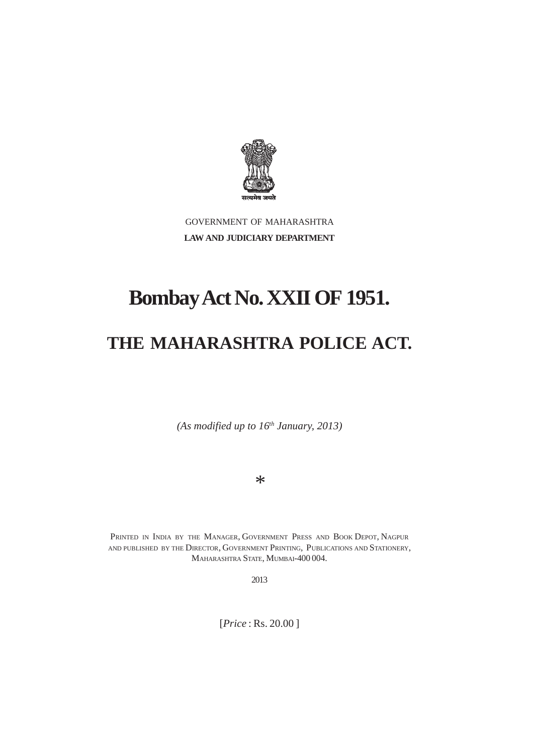

GOVERNMENT OF MAHARASHTRA **LAW AND JUDICIARY DEPARTMENT**

# **Bombay Act No. XXII OF 1951.**

## **THE MAHARASHTRA POLICE ACT.**

*(As modified up to 16th January, 2013)*

*\**

PRINTED IN INDIA BY THE MANAGER, GOVERNMENT PRESS AND BOOK DEPOT, NAGPUR AND PUBLISHED BY THE DIRECTOR, GOVERNMENT PRINTING, PUBLICATIONS AND STATIONERY, MAHARASHTRA STATE, MUMBAI-400 004.

2013

[*Price* : Rs. 20.00 ]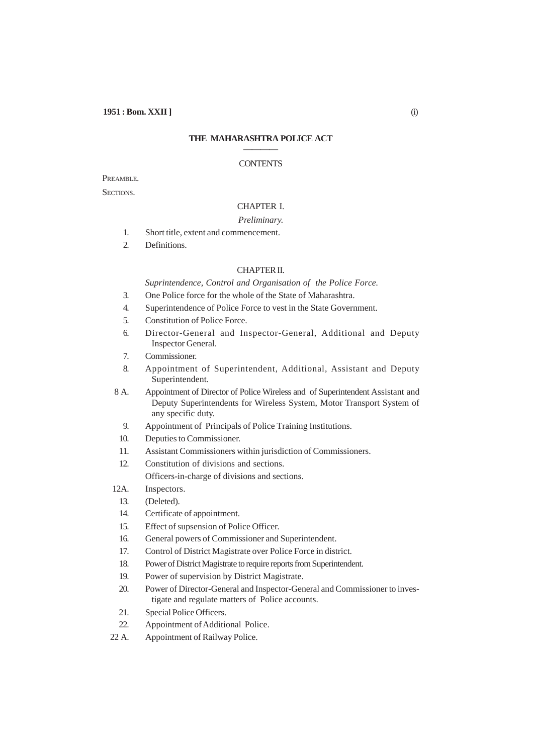## **THE MAHARASHTRA POLICE ACT** ————

#### **CONTENTS**

PREAMBLE.

SECTIONS.

## CHAPTER I.

## *Preliminary.*

- 1. Short title, extent and commencement.
- 2. Definitions.

## CHAPTER II.

## *Suprintendence, Control and Organisation of the Police Force.*

- 3. One Police force for the whole of the State of Maharashtra.
- 4. Superintendence of Police Force to vest in the State Government.
- 5. Constitution of Police Force.
- 6. Director-General and Inspector-General, Additional and Deputy Inspector General.
- 7. Commissioner.
- 8. Appointment of Superintendent, Additional, Assistant and Deputy Superintendent.

8 A. Appointment of Director of Police Wireless and of Superintendent Assistant and Deputy Superintendents for Wireless System, Motor Transport System of any specific duty.

- 9. Appointment of Principals of Police Training Institutions.
- 10. Deputies to Commissioner.
- 11. Assistant Commissioners within jurisdiction of Commissioners.
- 12. Constitution of divisions and sections.

Officers-in-charge of divisions and sections.

- 12A. Inspectors.
- 13. (Deleted).
- 14. Certificate of appointment.
- 15. Effect of supsension of Police Officer.
- 16. General powers of Commissioner and Superintendent.
- 17. Control of District Magistrate over Police Force in district.
- 18. Power of District Magistrate to require reports from Superintendent.
- 19. Power of supervision by District Magistrate.
- 20. Power of Director-General and Inspector-General and Commissioner to investigate and regulate matters of Police accounts.
- 21. Special Police Officers.
- 22. Appointment of Additional Police.
- 22 A. Appointment of Railway Police.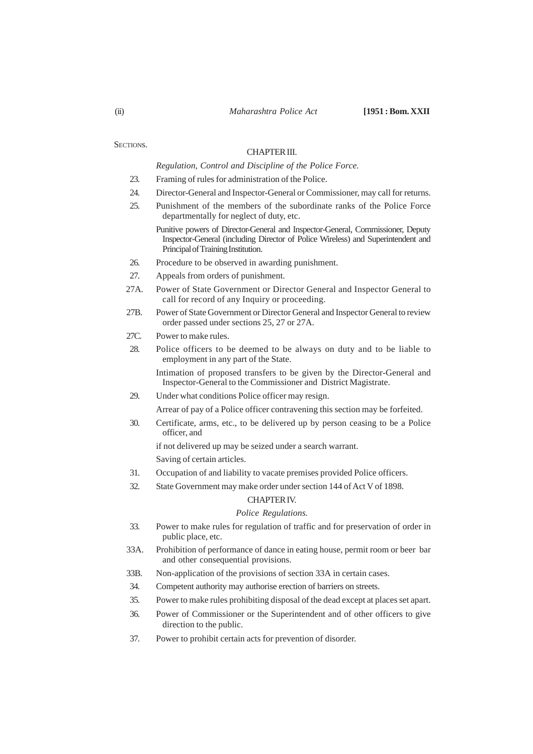## CHAPTER III.

*Regulation, Control and Discipline of the Police Force.*

- 23. Framing of rules for administration of the Police.
- 24. Director-General and Inspector-General or Commissioner, may call for returns.
- 25. Punishment of the members of the subordinate ranks of the Police Force departmentally for neglect of duty, etc.
	- Punitive powers of Director-General and Inspector-General, Commissioner, Deputy Inspector-General (including Director of Police Wireless) and Superintendent and Principal of Training Institution.
- 26. Procedure to be observed in awarding punishment.
- 27. Appeals from orders of punishment.
- 27A. Power of State Government or Director General and Inspector General to call for record of any Inquiry or proceeding.
- 27B. Power of State Government or Director General and Inspector General to review order passed under sections 25, 27 or 27A.
- 27C. Power to make rules.
- 28. Police officers to be deemed to be always on duty and to be liable to employment in any part of the State.

Intimation of proposed transfers to be given by the Director-General and Inspector-General to the Commissioner and District Magistrate.

29. Under what conditions Police officer may resign.

Arrear of pay of a Police officer contravening this section may be forfeited.

30. Certificate, arms, etc., to be delivered up by person ceasing to be a Police officer, and

if not delivered up may be seized under a search warrant.

Saving of certain articles.

- 31. Occupation of and liability to vacate premises provided Police officers.
- 32. State Government may make order under section 144 of Act V of 1898.

#### CHAPTER IV.

#### *Police Regulations.*

- 33. Power to make rules for regulation of traffic and for preservation of order in public place, etc.
- 33A. Prohibition of performance of dance in eating house, permit room or beer bar and other consequential provisions.
- 33B. Non-application of the provisions of section 33A in certain cases.
- 34. Competent authority may authorise erection of barriers on streets.
- 35. Power to make rules prohibiting disposal of the dead except at places set apart.
- 36. Power of Commissioner or the Superintendent and of other officers to give direction to the public.
- 37. Power to prohibit certain acts for prevention of disorder.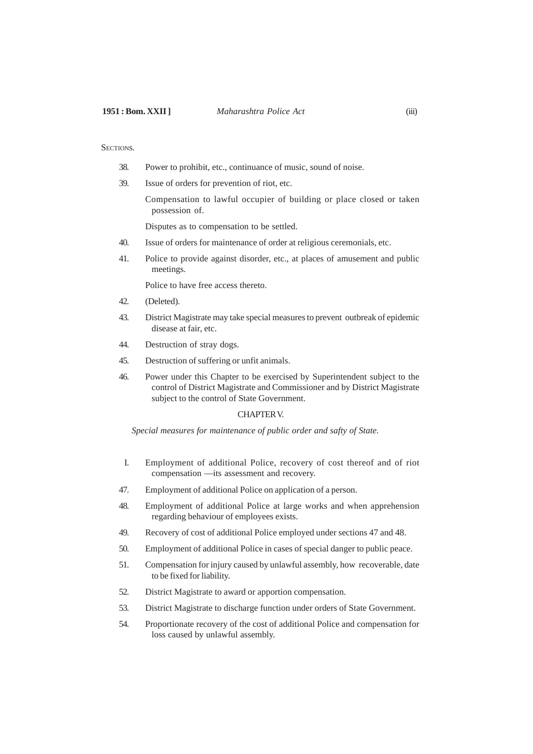- 38. Power to prohibit, etc., continuance of music, sound of noise.
- 39. Issue of orders for prevention of riot, etc.

Compensation to lawful occupier of building or place closed or taken possession of.

Disputes as to compensation to be settled.

- 40. Issue of orders for maintenance of order at religious ceremonials, etc.
- 41. Police to provide against disorder, etc., at places of amusement and public meetings.

Police to have free access thereto.

- 42. (Deleted).
- 43. District Magistrate may take special measures to prevent outbreak of epidemic disease at fair, etc.
- 44. Destruction of stray dogs.
- 45. Destruction of suffering or unfit animals.
- 46. Power under this Chapter to be exercised by Superintendent subject to the control of District Magistrate and Commissioner and by District Magistrate subject to the control of State Government.

#### CHAPTER V.

*Special measures for maintenance of public order and safty of State.*

- I. Employment of additional Police, recovery of cost thereof and of riot compensation —its assessment and recovery.
- 47. Employment of additional Police on application of a person.
- 48. Employment of additional Police at large works and when apprehension regarding behaviour of employees exists.
- 49. Recovery of cost of additional Police employed under sections 47 and 48.
- 50. Employment of additional Police in cases of special danger to public peace.
- 51. Compensation for injury caused by unlawful assembly, how recoverable, date to be fixed for liability.
- 52. District Magistrate to award or apportion compensation.
- 53. District Magistrate to discharge function under orders of State Government.
- 54. Proportionate recovery of the cost of additional Police and compensation for loss caused by unlawful assembly.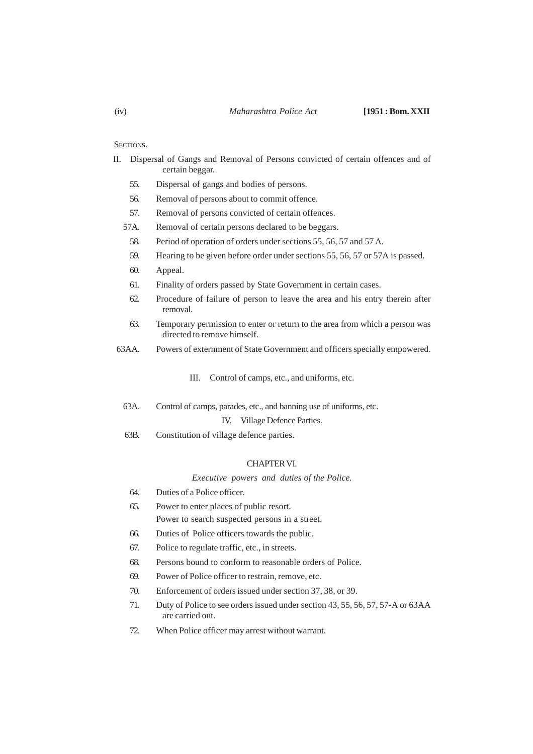- II. Dispersal of Gangs and Removal of Persons convicted of certain offences and of certain beggar.
	- 55. Dispersal of gangs and bodies of persons.
	- 56. Removal of persons about to commit offence.
	- 57. Removal of persons convicted of certain offences.
	- 57A. Removal of certain persons declared to be beggars.
		- 58. Period of operation of orders under sections 55, 56, 57 and 57 A.
		- 59. Hearing to be given before order under sections 55, 56, 57 or 57A is passed.
		- 60. Appeal.
		- 61. Finality of orders passed by State Government in certain cases.
		- 62. Procedure of failure of person to leave the area and his entry therein after removal.
		- 63. Temporary permission to enter or return to the area from which a person was directed to remove himself.
- 63AA. Powers of externment of State Government and officers specially empowered.

III. Control of camps, etc., and uniforms, etc.

- 63A. Control of camps, parades, etc., and banning use of uniforms, etc. IV. Village Defence Parties.
- 63B. Constitution of village defence parties.

#### CHAPTER VI.

*Executive powers and duties of the Police.*

- 64. Duties of a Police officer.
- 65. Power to enter places of public resort. Power to search suspected persons in a street.
- 66. Duties of Police officers towards the public.
- 67. Police to regulate traffic, etc., in streets.
- 68. Persons bound to conform to reasonable orders of Police.
- 69. Power of Police officer to restrain, remove, etc.
- 70. Enforcement of orders issued under section 37, 38, or 39.
- 71. Duty of Police to see orders issued under section 43, 55, 56, 57, 57-A or 63AA are carried out.
- 72. When Police officer may arrest without warrant.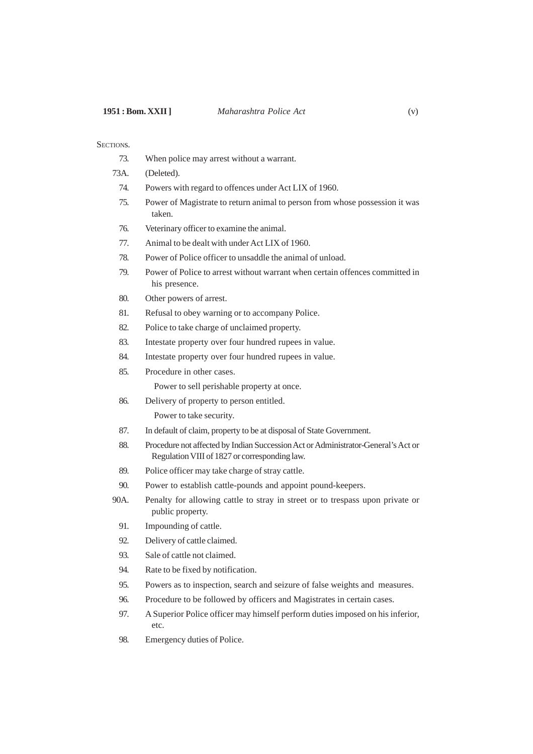- 73. When police may arrest without a warrant.
- 73A. (Deleted).
	- 74. Powers with regard to offences under Act LIX of 1960.
	- 75. Power of Magistrate to return animal to person from whose possession it was taken.
	- 76. Veterinary officer to examine the animal.
	- 77. Animal to be dealt with under Act LIX of 1960.
	- 78. Power of Police officer to unsaddle the animal of unload.
	- 79. Power of Police to arrest without warrant when certain offences committed in his presence.
	- 80. Other powers of arrest.
	- 81. Refusal to obey warning or to accompany Police.
	- 82. Police to take charge of unclaimed property.
	- 83. Intestate property over four hundred rupees in value.
	- 84. Intestate property over four hundred rupees in value.
	- 85. Procedure in other cases.

Power to sell perishable property at once.

86. Delivery of property to person entitled.

Power to take security.

- 87. In default of claim, property to be at disposal of State Government.
- 88. Procedure not affected by Indian Succession Act or Administrator-General's Act or Regulation VIII of 1827 or corresponding law.
- 89. Police officer may take charge of stray cattle.
- 90. Power to establish cattle-pounds and appoint pound-keepers.
- 90A. Penalty for allowing cattle to stray in street or to trespass upon private or public property.
	- 91. Impounding of cattle.
	- 92. Delivery of cattle claimed.
	- 93. Sale of cattle not claimed.
	- 94. Rate to be fixed by notification.
	- 95. Powers as to inspection, search and seizure of false weights and measures.
	- 96. Procedure to be followed by officers and Magistrates in certain cases.
	- 97. A Superior Police officer may himself perform duties imposed on his inferior, etc.
	- 98. Emergency duties of Police.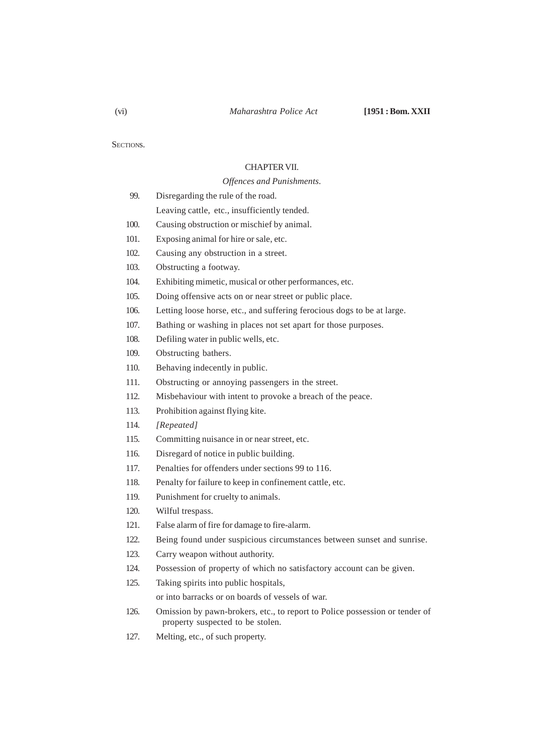## CHAPTER VII.

## *Offences and Punishments.*

| 99.  | Disregarding the rule of the road.                                      |
|------|-------------------------------------------------------------------------|
|      | Leaving cattle, etc., insufficiently tended.                            |
| 100. | Causing obstruction or mischief by animal.                              |
| 101. | Exposing animal for hire or sale, etc.                                  |
| 102. | Causing any obstruction in a street.                                    |
| 103. | Obstructing a footway.                                                  |
| 104. | Exhibiting mimetic, musical or other performances, etc.                 |
| 105. | Doing offensive acts on or near street or public place.                 |
| 106. | Letting loose horse, etc., and suffering ferocious dogs to be at large. |
|      |                                                                         |

- 107. Bathing or washing in places not set apart for those purposes.
- 108. Defiling water in public wells, etc.
- 109. Obstructing bathers.
- 110. Behaving indecently in public.
- 111. Obstructing or annoying passengers in the street.
- 112. Misbehaviour with intent to provoke a breach of the peace.
- 113. Prohibition against flying kite.
- 114. *[Repeated]*
- 115. Committing nuisance in or near street, etc.
- 116. Disregard of notice in public building.
- 117. Penalties for offenders under sections 99 to 116.
- 118. Penalty for failure to keep in confinement cattle, etc.
- 119. Punishment for cruelty to animals.
- 120. Wilful trespass.
- 121. False alarm of fire for damage to fire-alarm.
- 122. Being found under suspicious circumstances between sunset and sunrise.
- 123. Carry weapon without authority.
- 124. Possession of property of which no satisfactory account can be given.
- 125. Taking spirits into public hospitals,

or into barracks or on boards of vessels of war.

- 126. Omission by pawn-brokers, etc., to report to Police possession or tender of property suspected to be stolen.
- 127. Melting, etc., of such property.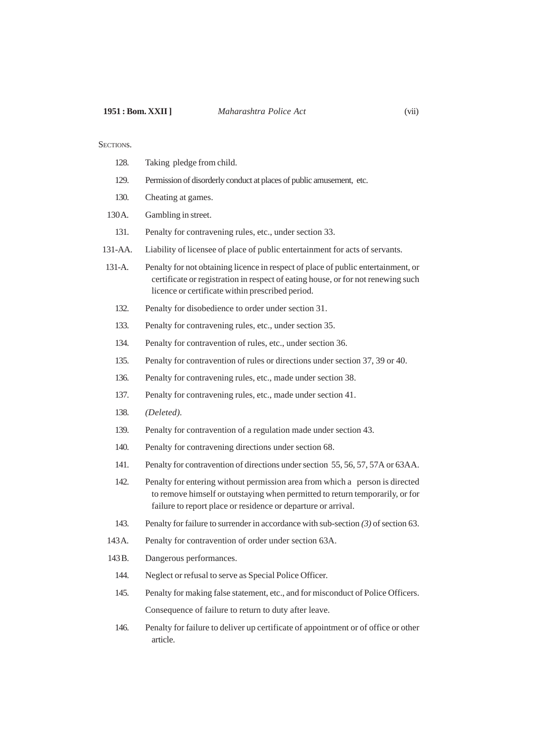- 128. Taking pledge from child.
- 129. Permission of disorderly conduct at places of public amusement, etc.
- 130. Cheating at games.
- 130 A. Gambling in street.
	- 131. Penalty for contravening rules, etc., under section 33.
- 131-AA. Liability of licensee of place of public entertainment for acts of servants.
- 131-A. Penalty for not obtaining licence in respect of place of public entertainment, or certificate or registration in respect of eating house, or for not renewing such licence or certificate within prescribed period.
	- 132. Penalty for disobedience to order under section 31.
	- 133. Penalty for contravening rules, etc., under section 35.
	- 134. Penalty for contravention of rules, etc., under section 36.
	- 135. Penalty for contravention of rules or directions under section 37, 39 or 40.
	- 136. Penalty for contravening rules, etc., made under section 38.
	- 137. Penalty for contravening rules, etc., made under section 41.
	- 138. *(Deleted).*
	- 139. Penalty for contravention of a regulation made under section 43.
	- 140. Penalty for contravening directions under section 68.
	- 141. Penalty for contravention of directions under section 55, 56, 57, 57A or 63AA.
	- 142. Penalty for entering without permission area from which a person is directed to remove himself or outstaying when permitted to return temporarily, or for failure to report place or residence or departure or arrival.
	- 143. Penalty for failure to surrender in accordance with sub-section *(3)* of section 63.
- 143 A. Penalty for contravention of order under section 63A.
- 143 B. Dangerous performances.
	- 144. Neglect or refusal to serve as Special Police Officer.
	- 145. Penalty for making false statement, etc., and for misconduct of Police Officers. Consequence of failure to return to duty after leave.
	- 146. Penalty for failure to deliver up certificate of appointment or of office or other article.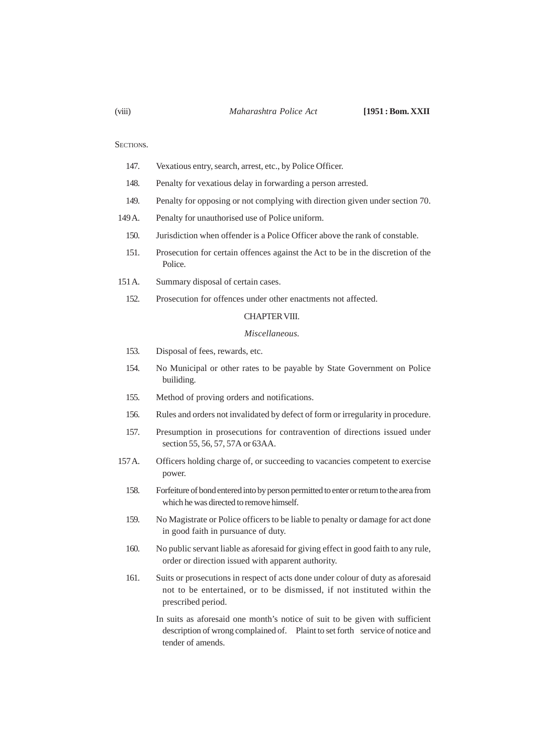- 147. Vexatious entry, search, arrest, etc., by Police Officer.
- 148. Penalty for vexatious delay in forwarding a person arrested.
- 149. Penalty for opposing or not complying with direction given under section 70.
- 149 A. Penalty for unauthorised use of Police uniform.
	- 150. Jurisdiction when offender is a Police Officer above the rank of constable.
	- 151. Prosecution for certain offences against the Act to be in the discretion of the Police.
- 151 A. Summary disposal of certain cases.
	- 152. Prosecution for offences under other enactments not affected.

## CHAPTER VIII.

#### *Miscellaneous.*

- 153. Disposal of fees, rewards, etc.
- 154. No Municipal or other rates to be payable by State Government on Police builiding.
- 155. Method of proving orders and notifications.
- 156. Rules and orders not invalidated by defect of form or irregularity in procedure.
- 157. Presumption in prosecutions for contravention of directions issued under section 55, 56, 57, 57A or 63AA.
- 157 A. Officers holding charge of, or succeeding to vacancies competent to exercise power.
	- 158. Forfeiture of bond entered into by person permitted to enter or return to the area from which he was directed to remove himself.
	- 159. No Magistrate or Police officers to be liable to penalty or damage for act done in good faith in pursuance of duty.
	- 160. No public servant liable as aforesaid for giving effect in good faith to any rule, order or direction issued with apparent authority.
	- 161. Suits or prosecutions in respect of acts done under colour of duty as aforesaid not to be entertained, or to be dismissed, if not instituted within the prescribed period.
		- In suits as aforesaid one month's notice of suit to be given with sufficient description of wrong complained of. Plaint to set forth service of notice and tender of amends.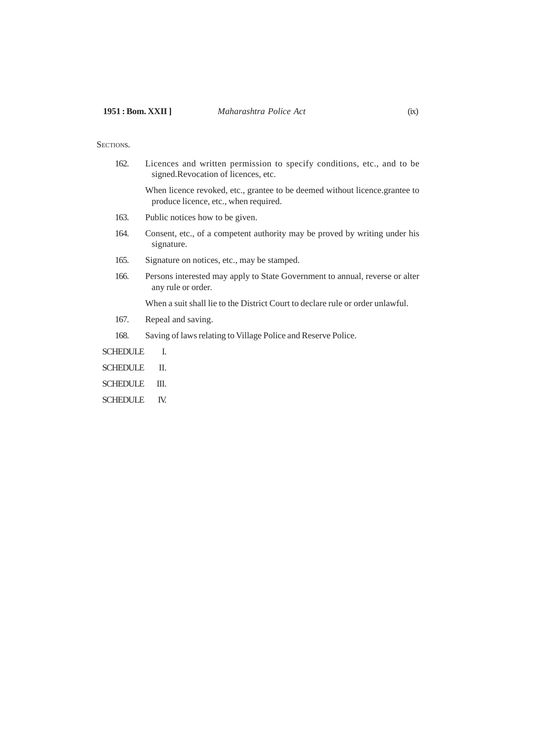162. Licences and written permission to specify conditions, etc., and to be signed.Revocation of licences, etc.

When licence revoked, etc., grantee to be deemed without licence.grantee to produce licence, etc., when required.

- 163. Public notices how to be given.
- 164. Consent, etc., of a competent authority may be proved by writing under his signature.
- 165. Signature on notices, etc., may be stamped.
- 166. Persons interested may apply to State Government to annual, reverse or alter any rule or order.

When a suit shall lie to the District Court to declare rule or order unlawful.

- 167. Repeal and saving.
- 168. Saving of laws relating to Village Police and Reserve Police.

SCHEDULE I.

- SCHEDULE II.
- SCHEDULE III.
- SCHEDULE IV.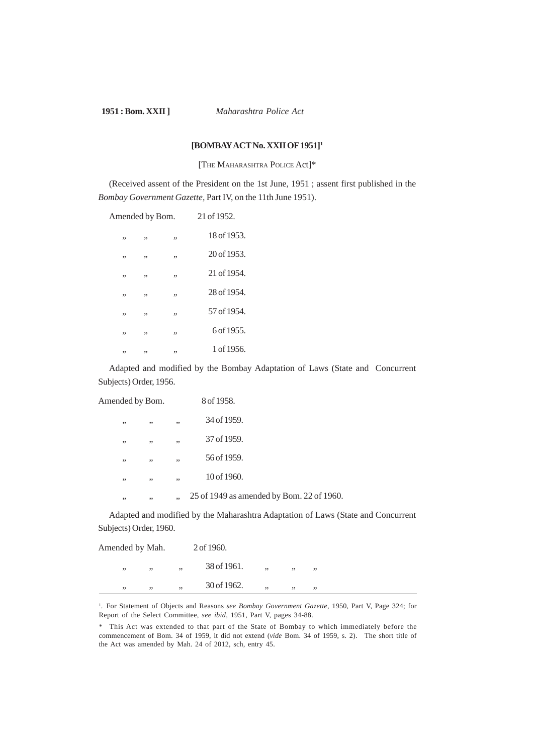**1951 : Bom. XXII ]** *Maharashtra Police Act*

## **[BOMBAY ACT No. XXII OF 1951]<sup>1</sup>**

[THE MAHARASHTRA POLICE Act]\*

(Received assent of the President on the 1st June, 1951 ; assent first published in the *Bombay Government Gazette,* Part IV, on the 11th June 1951).

| Amended by Bom. |    |    | 21 of 1952. |
|-----------------|----|----|-------------|
| ,,              | ,, | ,, | 18 of 1953. |
| ,,              | ,, | ,, | 20 of 1953. |
| ,,              | ,, | ,, | 21 of 1954. |
| ,,              | ,, | ,, | 28 of 1954. |
| ,,              | ,, | ,, | 57 of 1954. |
| ,,              | ,, | ,, | 6 of 1955.  |
| ,,              | ,, | ,, | 1 of 1956.  |

Adapted and modified by the Bombay Adaptation of Laws (State and Concurrent Subjects) Order, 1956.

| Amended by Bom. |     | 8 of 1958.                                |
|-----------------|-----|-------------------------------------------|
| , ,<br>,,       | , , | 34 of 1959.                               |
| ,,<br>, ,       | ,,  | 37 of 1959.                               |
| , ,<br>, ,      | , , | 56 of 1959.                               |
| , ,<br>, ,      | , , | 10 of 1960.                               |
| , ,<br>, ,      | , , | 25 of 1949 as amended by Bom. 22 of 1960. |

Adapted and modified by the Maharashtra Adaptation of Laws (State and Concurrent Subjects) Order, 1960.

| Amended by Mah. |     |    | 2 of 1960.  |     |     |     |  |  |
|-----------------|-----|----|-------------|-----|-----|-----|--|--|
| , ,             | , , | ,, | 38 of 1961. | , , | , , | , , |  |  |
| , ,             | , , | ,, | 30 of 1962. | , , | , , | , , |  |  |

<sup>1</sup>. For Statement of Objects and Reasons *see Bombay Government Gazette*, 1950, Part V, Page 324; for Report of the Select Committee, *see ibid*, 1951, Part V, pages 34-88.

<sup>\*</sup> This Act was extended to that part of the State of Bombay to which immediately before the commencement of Bom. 34 of 1959, it did not extend (*vide* Bom. 34 of 1959, s. 2). The short title of the Act was amended by Mah. 24 of 2012, sch, entry 45.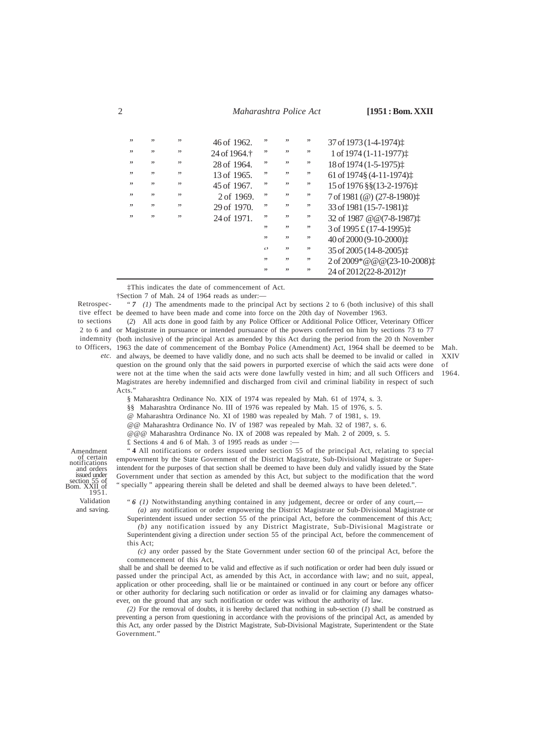2 *Maharashtra Police Act* **[1951 : Bom. XXII**

| ,,  | , , | , , | $46$ of $1962$ .         | ,,                | ,,  | ,, | 37 of 1973 (1-4-1974):               |
|-----|-----|-----|--------------------------|-------------------|-----|----|--------------------------------------|
| , , | , , | , , | 24 of 1964. <sup>†</sup> | ,,                | ,,  | ,, | 1 of 1974 (1-11-1977):               |
| , , | , , | , , | 28 of 1964.              | ,,                | ,,  | ,, | 18 of 1974 (1-5-1975):               |
| , , | , , | , , | 13 of 1965.              | , ,               | ,,  | ,, | 61 of 1974§ (4-11-1974) $\ddagger$   |
| , , | , , | , , | 45 of 1967.              | , ,               | ,,  | ,, | 15 of 1976 §§(13-2-1976) $\ddagger$  |
| ,,  | , , | , , | 2 of 1969.               | , ,               | ,,  | ,, | 7 of 1981 (@) (27-8-1980) $\ddagger$ |
| , , | , , | , , | 29 of 1970.              | , ,               | ,,  | ,, | 33 of 1981 (15-7-1981):              |
| , , | , , | , , | 24 of 1971.              | , ,               | ,,  | ,, | 32 of 1987 @ @ (7-8-1987) $\ddagger$ |
|     |     |     |                          | , ,               | ,,  | ,, | 3 of 1995 £ (17-4-1995) $\ddagger$   |
|     |     |     |                          | , ,               | , , | ,, | 40 of 2000 (9-10-2000):              |
|     |     |     |                          | $\leftrightarrow$ | ,,  | ,, | 35 of 2005 (14-8-2005):              |
|     |     |     |                          | , ,               | , , | ,, | 2 of 2009*@@@(23-10-2008):           |
|     |     |     |                          | ,,                | , , | ,, | 24 of 2012(22-8-2012) <sup>+</sup>   |
|     |     |     |                          |                   |     |    |                                      |

‡This indicates the date of commencement of Act.

†Section 7 of Mah. 24 of 1964 reads as under:—

" $7$  (1) The amendments made to the principal Act by sections 2 to 6 (both inclusive) of this shall tive effect be deemed to have been made and come into force on the 20th day of November 1963.

(*2*) All acts done in good faith by any Police Officer or Additional Police Officer, Veterinary Officer 2 to 6 and or Magistrate in pursuance or intended pursuance of the powers conferred on him by sections 73 to 77 indemnity (both inclusive) of the principal Act as amended by this Act during the period from the 20 th November to Officers, 1963 the date of commencement of the Bombay Police (Amendment) Act, 1964 shall be deemed to be etc. and always, be deemed to have validly done, and no such acts shall be deemed to be invalid or called in question on the ground only that the said powers in purported exercise of which the said acts were done were not at the time when the said acts were done lawfully vested in him; and all such Officers and Magistrates are hereby indemnified and discharged from civil and criminal liability in respect of such Acts."

XXIV of 1964.

Mah.

§ Maharashtra Ordinance No. XIX of 1974 was repealed by Mah. 61 of 1974, s. 3.

§§ Maharashtra Ordinance No. III of 1976 was repealed by Mah. 15 of 1976, s. 5.

@ Maharashtra Ordinance No. XI of 1980 was repealed by Mah. 7 of 1981, s. 19.

@@ Maharashtra Ordinance No. IV of 1987 was repealed by Mah. 32 of 1987, s. 6.

@@@ Maharashtra Ordinance No. IX of 2008 was repealed by Mah. 2 of 2009, s. 5.

£ Sections 4 and 6 of Mah. 3 of 1995 reads as under :—

" **4** All notifications or orders issued under section 55 of the principal Act, relating to special empowerment by the State Government of the District Magistrate, Sub-Divisional Magistrate or Superintendent for the purposes of that section shall be deemed to have been duly and validly issued by the State Government under that section as amended by this Act, but subject to the modification that the word " specially " appearing therein shall be deleted and shall be deemed always to have been deleted.".

and orders issued under section 55 of Bom. XXII of 1951. Validation and saving.

Amendment of certain notifications

Retrospecto sections

" *6 (1)* Notwithstanding anything contained in any judgement, decree or order of any court,—

*(a)* any notification or order empowering the District Magistrate or Sub-Divisional Magistrate or Superintendent issued under section 55 of the principal Act, before the commencement of this Act; *(b)* any notification issued by any District Magistrate, Sub-Divisional Magistrate or Superintendent giving a direction under section 55 of the principal Act, before the commencement of

this Act;

*(c)* any order passed by the State Government under section 60 of the principal Act, before the commencement of this Act,

 shall be and shall be deemed to be valid and effective as if such notification or order had been duly issued or passed under the principal Act, as amended by this Act, in accordance with law; and no suit, appeal, application or other proceeding, shall lie or be maintained or continued in any court or before any officer or other authority for declaring such notification or order as invalid or for claiming any damages whatsoever, on the ground that any such notification or order was without the authority of law.

*(2)* For the removal of doubts, it is hereby declared that nothing in sub-section (*1*) shall be construed as preventing a person from questioning in accordance with the provisions of the principal Act, as amended by this Act, any order passed by the District Magistrate, Sub-Divisional Magistrate, Superintendent or the State Government."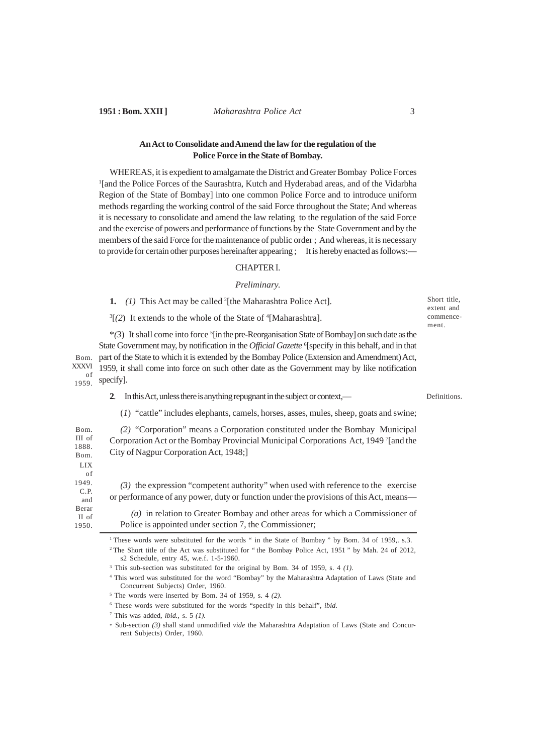## **1951 : Bom. XXII ]** *Maharashtra Police Act* 3

## **An Act to Consolidate and Amend the law for the regulation of the Police Force in the State of Bombay.**

WHEREAS, it is expedient to amalgamate the District and Greater Bombay Police Forces <sup>1</sup>[and the Police Forces of the Saurashtra, Kutch and Hyderabad areas, and of the Vidarbha Region of the State of Bombay] into one common Police Force and to introduce uniform methods regarding the working control of the said Force throughout the State; And whereas it is necessary to consolidate and amend the law relating to the regulation of the said Force and the exercise of powers and performance of functions by the State Government and by the members of the said Force for the maintenance of public order ; And whereas, it is necessary to provide for certain other purposes hereinafter appearing ; It is hereby enacted as follows:—

#### CHAPTER I.

#### *Preliminary.*

**1.** *(1)* This Act may be called <sup>2</sup> [the Maharashtra Police Act].

 $3[(2)$  It extends to the whole of the State of  $4[Maharashtra]$ .

\**(3*) It shall come into force <sup>5</sup> [in the pre-Reorganisation State of Bombay] on such date as the State Government may, by notification in the *Official Gazette* <sup>6</sup>[specify in this behalf, and in that part of the State to which it is extended by the Bombay Police (Extension and Amendment) Act, 1959, it shall come into force on such other date as the Government may by like notification specify]. Bom. XXXVI of 1959.

**2**. In this Act, unless there is anything repugnant in the subject or context,—

Definitions.

Short title, extent and commencement.

(*1*) "cattle" includes elephants, camels, horses, asses, mules, sheep, goats and swine;

*(2)* "Corporation" means a Corporation constituted under the Bombay Municipal Corporation Act or the Bombay Provincial Municipal Corporations Act, 1949 <sup>7</sup> [and the City of Nagpur Corporation Act, 1948;] Bom. III of 1888. Bom.

*(3)* the expression "competent authority" when used with reference to the exercise or performance of any power, duty or function under the provisions of this Act, means—

*(a)* in relation to Greater Bombay and other areas for which a Commissioner of Police is appointed under section 7, the Commissioner;

<sup>1</sup>These words were substituted for the words " in the State of Bombay " by Bom. 34 of 1959,. s.3. <sup>2</sup> The Short title of the Act was substituted for "the Bombay Police Act, 1951" by Mah. 24 of 2012, s2 Schedule, entry 45, w.e.f. 1-5-1960.

3 This sub-section was substituted for the original by Bom. 34 of 1959, s. 4 *(1).*

<sup>4</sup> This word was substituted for the word "Bombay" by the Maharashtra Adaptation of Laws (State and Concurrent Subjects) Order, 1960.

5 The words were inserted by Bom. 34 of 1959, s. 4 *(2)*.

6 These words were substituted for the words "specify in this behalf", *ibid.*

7 This was added, *ibid.,* s. 5 *(1).*

LIX of 1949. C.P. and Berar II of 1950.

> \* Sub-section *(3)* shall stand unmodified *vide* the Maharashtra Adaptation of Laws (State and Concurrent Subjects) Order, 1960.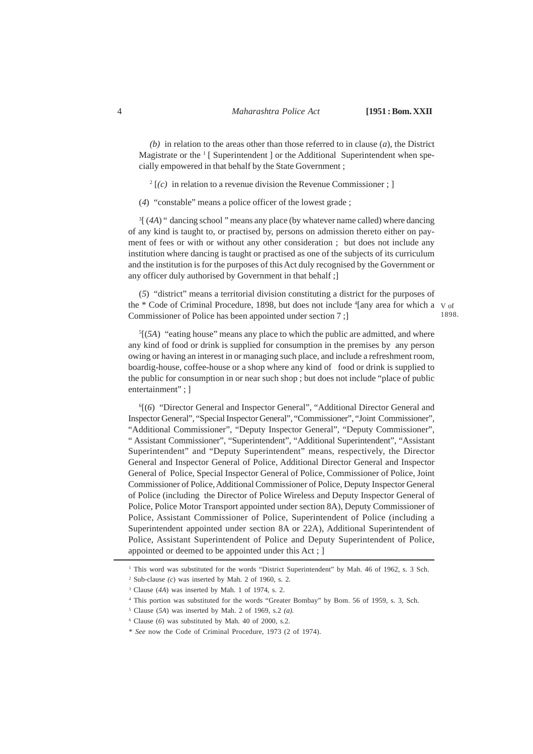*(b)* in relation to the areas other than those referred to in clause (*a*), the District Magistrate or the <sup>1</sup> [ Superintendent ] or the Additional Superintendent when specially empowered in that behalf by the State Government ;

 $2\left[\frac{c}{c}\right]$  in relation to a revenue division the Revenue Commissioner; ]

(*4*) "constable" means a police officer of the lowest grade ;

<sup>3</sup>[(4A) " dancing school " means any place (by whatever name called) where dancing of any kind is taught to, or practised by, persons on admission thereto either on payment of fees or with or without any other consideration ; but does not include any institution where dancing is taught or practised as one of the subjects of its curriculum and the institution is for the purposes of this Act duly recognised by the Government or any officer duly authorised by Government in that behalf ;]

(*5*) "district" means a territorial division constituting a district for the purposes of the \* Code of Criminal Procedure, 1898, but does not include <sup>4</sup>[any area for which a v of Commissioner of Police has been appointed under section 7 ;] 1898.

5 [(*5A*) "eating house" means any place to which the public are admitted, and where any kind of food or drink is supplied for consumption in the premises by any person owing or having an interest in or managing such place, and include a refreshment room, boardig-house, coffee-house or a shop where any kind of food or drink is supplied to the public for consumption in or near such shop ; but does not include "place of public entertainment" ; ]

6 [(*6*) "Director General and Inspector General", "Additional Director General and Inspector General", "Special Inspector General", "Commissioner", "Joint Commissioner", "Additional Commissioner", "Deputy Inspector General", "Deputy Commissioner", " Assistant Commissioner", "Superintendent", "Additional Superintendent", "Assistant Superintendent" and "Deputy Superintendent" means*,* respectively, the Director General and Inspector General of Police, Additional Director General and Inspector General of Police, Special Inspector General of Police, Commissioner of Police, Joint Commissioner of Police, Additional Commissioner of Police, Deputy Inspector General of Police (including the Director of Police Wireless and Deputy Inspector General of Police, Police Motor Transport appointed under section 8A), Deputy Commissioner of Police, Assistant Commissioner of Police, Superintendent of Police (including a Superintendent appointed under section 8A or 22A), Additional Superintendent of Police, Assistant Superintendent of Police and Deputy Superintendent of Police, appointed or deemed to be appointed under this Act ; ]

<sup>&</sup>lt;sup>1</sup> This word was substituted for the words "District Superintendent" by Mah. 46 of 1962, s. 3 Sch.

 $2$  Sub-clause  $(c)$  was inserted by Mah. 2 of 1960, s. 2.

<sup>3</sup> Clause (*4A*) was inserted by Mah. 1 of 1974, s. 2.

<sup>4</sup> This portion was substituted for the words "Greater Bombay" by Bom. 56 of 1959, s. 3, Sch.

<sup>5</sup> Clause (*5A*) was inserted by Mah. 2 of 1969, s.2 *(a).*

<sup>6</sup> Clause (*6*) was substituted by Mah. 40 of 2000, s.2.

<sup>\*</sup> *See* now the Code of Criminal Procedure, 1973 (2 of 1974).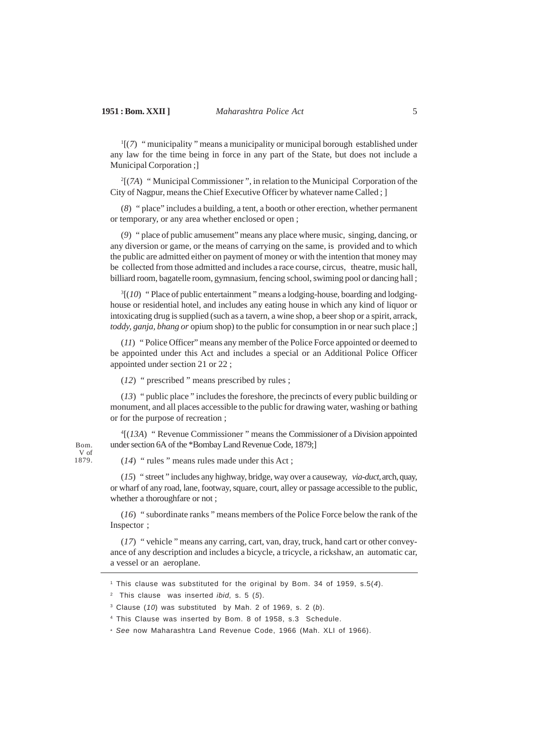<sup>1</sup>[(7) " municipality " means a municipality or municipal borough established under any law for the time being in force in any part of the State, but does not include a Municipal Corporation ;]

2 [(*7A*) " Municipal Commissioner ", in relation to the Municipal Corporation of the City of Nagpur, means the Chief Executive Officer by whatever name Called ; ]

(*8*) " place" includes a building, a tent, a booth or other erection, whether permanent or temporary, or any area whether enclosed or open ;

(*9*) " place of public amusement" means any place where music, singing, dancing, or any diversion or game, or the means of carrying on the same, is provided and to which the public are admitted either on payment of money or with the intention that money may be collected from those admitted and includes a race course, circus, theatre, music hall, billiard room, bagatelle room, gymnasium, fencing school, swiming pool or dancing hall ;

<sup>3</sup>[(10) "Place of public entertainment" means a lodging-house, boarding and lodginghouse or residential hotel, and includes any eating house in which any kind of liquor or intoxicating drug is supplied (such as a tavern, a wine shop, a beer shop or a spirit, arrack, *toddy, ganja, bhang or* opium shop) to the public for consumption in or near such place ;

(*11*) " Police Officer" means any member of the Police Force appointed or deemed to be appointed under this Act and includes a special or an Additional Police Officer appointed under section 21 or 22 ;

(*12*) " prescribed " means prescribed by rules ;

(*13*) " public place " includes the foreshore, the precincts of every public building or monument, and all places accessible to the public for drawing water, washing or bathing or for the purpose of recreation ;

4 [(*13A*) " Revenue Commissioner " means the Commissioner of a Division appointed under section 6A of the \*Bombay Land Revenue Code, 1879;]

(*14*) " rules " means rules made under this Act ;

(*15*) " street " includes any highway, bridge, way over a causeway, *via-duct,* arch, quay, or wharf of any road, lane, footway, square, court, alley or passage accessible to the public, whether a thoroughfare or not ;

(*16*) " subordinate ranks " means members of the Police Force below the rank of the Inspector ;

(*17*) " vehicle " means any carring, cart, van, dray, truck, hand cart or other conveyance of any description and includes a bicycle, a tricycle, a rickshaw, an automatic car, a vessel or an aeroplane.

1 This clause was substituted for the original by Bom. 34 of 1959, s.5(4).

4 This Clause was inserted by Bom. 8 of 1958, s.3 Schedule.

V of 1879.

<sup>&</sup>lt;sup>2</sup> This clause was inserted *ibid*, s. 5  $(5)$ .

 $3$  Clause (10) was substituted by Mah. 2 of 1969, s. 2 (b).

<sup>\*</sup> See now Maharashtra Land Revenue Code, 1966 (Mah. XLI of 1966).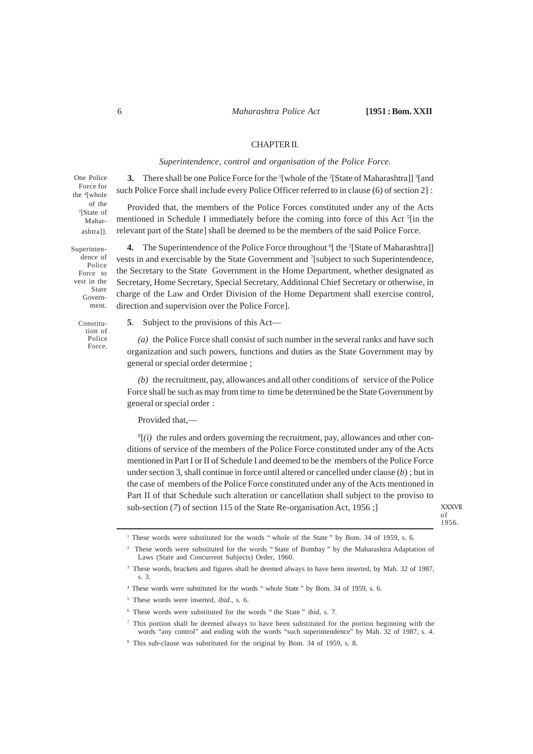## CHAPTER II.

## *Superintendence, control and organisation of the Police Force.*

**3.** There shall be one Police Force for the <sup>1</sup>[whole of the <sup>2</sup>[State of Maharashtra]] <sup>3</sup>[and such Police Force shall include every Police Officer referred to in clause (6) of section 2] :

Provided that, the members of the Police Forces constituted under any of the Acts mentioned in Schedule I immediately before the coming into force of this Act <sup>5</sup>[in the relevant part of the State] shall be deemed to be the members of the said Police Force. of the

4. The Superintendence of the Police Force throughout <sup>6</sup>[ the <sup>2</sup>[State of Maharashtra]] vests in and exercisable by the State Government and <sup>7</sup>[subject to such Superintendence, the Secretary to the State Government in the Home Department, whether designated as Secretary, Home Secretary, Special Secretary, Additional Chief Secretary or otherwise, in charge of the Law and Order Division of the Home Department shall exercise control, direction and supervision over the Police Force]. dence of vest in the

Constitution of Police Force.

One Police Force for the <sup>4</sup> [whole

> 2 [State of Maharashtra]].

Superinten-

Police Force to

> State Government.

> > **5**. Subject to the provisions of this Act—

*(a)* the Police Force shall consist of such number in the several ranks and have such organization and such powers, functions and duties as the State Government may by general or special order determine ;

*(b)* the recruitment, pay, allowances and all other conditions of service of the Police Force shall be such as may from time to time be determined be the State Government by general or special order :

Provided that,—

 $<sup>8</sup>$ [ $(i)$  the rules and orders governing the recruitment, pay, allowances and other con-</sup> ditions of service of the members of the Police Force constituted under any of the Acts mentioned in Part I or II of Schedule I and deemed to be the members of the Police Force under section 3, shall continue in force until altered or cancelled under clause (*b*) ; but in the case of members of the Police Force constituted under any of the Acts mentioned in Part II of that Schedule such alteration or cancellation shall subject to the proviso to sub-section (*7*) of section 115 of the State Re-organisation Act, 1956 ;]

XXXVII of 1956.

<sup>&</sup>lt;sup>1</sup> These words were substituted for the words " whole of the State " by Bom. 34 of 1959, s. 6.

<sup>&</sup>lt;sup>2</sup> These words were substituted for the words "State of Bombay" by the Maharashtra Adaptation of Laws (State and Concurrent Subjects) Order, 1960.

<sup>&</sup>lt;sup>3</sup> These words, brackets and figures shall be deemed always to have been inserted, by Mah. 32 of 1987, s. 3.

<sup>&</sup>lt;sup>4</sup> These words were substituted for the words " whole State " by Bom. 34 of 1959, s. 6.

<sup>5</sup> These words were inserted, *ibid*., s. 6.

<sup>6</sup> These words were substituted for the words " the State " *ibid*, s. 7.

 $\sigma$ . This portion shall be deemed always to have been substituted for the portion beginning with the words "any control" and ending with the words "such superintendence" by Mah. 32 of 1987, s. 4.

<sup>8</sup> This sub-clause was substituted for the original by Bom. 34 of 1959, s. 8.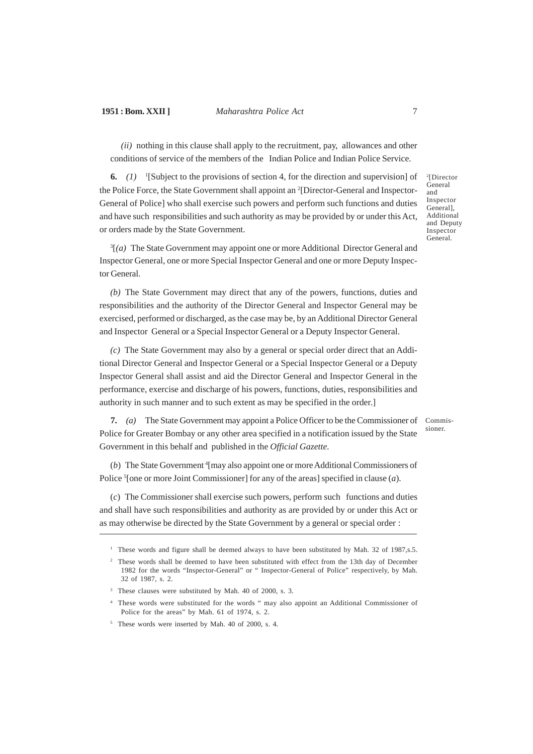**1951 : Bom. XXII ]** *Maharashtra Police Act* 7

*(ii)* nothing in this clause shall apply to the recruitment, pay, allowances and other conditions of service of the members of the Indian Police and Indian Police Service.

**6.**  $(I)$  <sup>1</sup>[Subject to the provisions of section 4, for the direction and supervision] of the Police Force, the State Government shall appoint an <sup>2</sup>[Director-General and Inspector-General of Police] who shall exercise such powers and perform such functions and duties and have such responsibilities and such authority as may be provided by or under this Act, or orders made by the State Government.

3 [*(a)* The State Government may appoint one or more Additional Director General and Inspector General, one or more Special Inspector General and one or more Deputy Inspector General.

*(b)* The State Government may direct that any of the powers, functions, duties and responsibilities and the authority of the Director General and Inspector General may be exercised, performed or discharged, as the case may be, by an Additional Director General and Inspector General or a Special Inspector General or a Deputy Inspector General.

*(c)* The State Government may also by a general or special order direct that an Additional Director General and Inspector General or a Special Inspector General or a Deputy Inspector General shall assist and aid the Director General and Inspector General in the performance, exercise and discharge of his powers, functions, duties, responsibilities and authority in such manner and to such extent as may be specified in the order.]

**7.** *(a)* The State Government may appoint a Police Officer to be the Commissioner of Police for Greater Bombay or any other area specified in a notification issued by the State Government in this behalf and published in the *Official Gazette.*

(b) The State Government <sup>4</sup>[may also appoint one or more Additional Commissioners of Police<sup>5</sup> [one or more Joint Commissioner] for any of the areas] specified in clause (*a*).

(*c*) The Commissioner shall exercise such powers, perform such functions and duties and shall have such responsibilities and authority as are provided by or under this Act or as may otherwise be directed by the State Government by a general or special order :

2 [Director General and Inspector General], Additional and Deputy Inspector General.

Commissioner.

<sup>&</sup>lt;sup>1</sup> These words and figure shall be deemed always to have been substituted by Mah. 32 of 1987, s.5.

<sup>&</sup>lt;sup>2</sup> These words shall be deemed to have been substituted with effect from the 13th day of December 1982 for the words "Inspector-General" or " Inspector-General of Police" respectively, by Mah. 32 of 1987, s. 2.

<sup>3</sup> These clauses were substituted by Mah. 40 of 2000, s. 3.

<sup>4</sup> These words were substituted for the words " may also appoint an Additional Commissioner of Police for the areas" by Mah. 61 of 1974, s. 2.

<sup>&</sup>lt;sup>5</sup> These words were inserted by Mah. 40 of 2000, s. 4.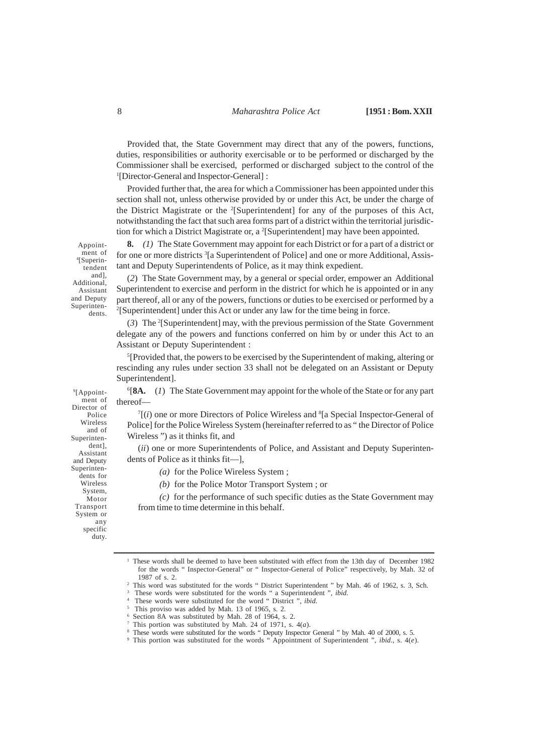Provided that, the State Government may direct that any of the powers, functions, duties, responsibilities or authority exercisable or to be performed or discharged by the Commissioner shall be exercised, performed or discharged subject to the control of the 1 [Director-General and Inspector-General] :

Provided further that, the area for which a Commissioner has been appointed under this section shall not, unless otherwise provided by or under this Act, be under the charge of the District Magistrate or the <sup>2</sup>[Superintendent] for any of the purposes of this Act, notwithstanding the fact that such area forms part of a district within the territorial jurisdiction for which a District Magistrate or, a <sup>2</sup>[Superintendent] may have been appointed.

**8.** *(1)* The State Government may appoint for each District or for a part of a district or for one or more districts <sup>3</sup>[a Superintendent of Police] and one or more Additional, Assistant and Deputy Superintendents of Police, as it may think expedient.

(*2*) The State Government may, by a general or special order, empower an Additional Superintendent to exercise and perform in the district for which he is appointed or in any part thereof, all or any of the powers, functions or duties to be exercised or performed by a 2 [Superintendent] under this Act or under any law for the time being in force.

(*3*) The <sup>2</sup> [Superintendent] may, with the previous permission of the State Government delegate any of the powers and functions conferred on him by or under this Act to an Assistant or Deputy Superintendent :

<sup>5</sup>[Provided that, the powers to be exercised by the Superintendent of making, altering or rescinding any rules under section 33 shall not be delegated on an Assistant or Deputy Superintendent].

6 [**8A.** (*1*) The State Government may appoint for the whole of the State or for any part thereof—

 $T(i)$  one or more Directors of Police Wireless and  ${}^{8}[a$  Special Inspector-General of Police] for the Police Wireless System (hereinafter referred to as " the Director of Police Wireless ") as it thinks fit, and

(*ii*) one or more Superintendents of Police, and Assistant and Deputy Superintendents of Police as it thinks fit—],

*(a)* for the Police Wireless System ;

*(b)* for the Police Motor Transport System ; or

*(c)* for the performance of such specific duties as the State Government may from time to time determine in this behalf.

Appointment of 4 [Superintendent and], Additional, Assistant and Deputy Superintendents.

9 [Appointment of Director of Police Wireless and of Superintendent], Assistant and Deputy Superintendents for Wireless System, Motor Transport System or any specific duty.

<sup>&</sup>lt;sup>1</sup> These words shall be deemed to have been substituted with effect from the 13th day of December 1982 for the words " Inspector-General" or " Inspector-General of Police" respectively, by Mah. 32 of 1987 of s. 2.

<sup>&</sup>lt;sup>2</sup> This word was substituted for the words " District Superintendent " by Mah. 46 of 1962, s. 3, Sch.

<sup>3</sup> These words were substituted for the words " a Superintendent ", *ibid.*

<sup>4</sup> These words were substituted for the word " District ", *ibid.* 5

This proviso was added by Mah. 13 of 1965, s. 2.

Section 8A was substituted by Mah. 28 of 1964, s. 2.

<sup>7</sup> This portion was substituted by Mah. 24 of 1971, s. 4(*a*).

These words were substituted for the words " Deputy Inspector General " by Mah. 40 of 2000, s. 5.

<sup>9</sup> This portion was substituted for the words " Appointment of Superintendent ", *ibid*., s. 4(*e*).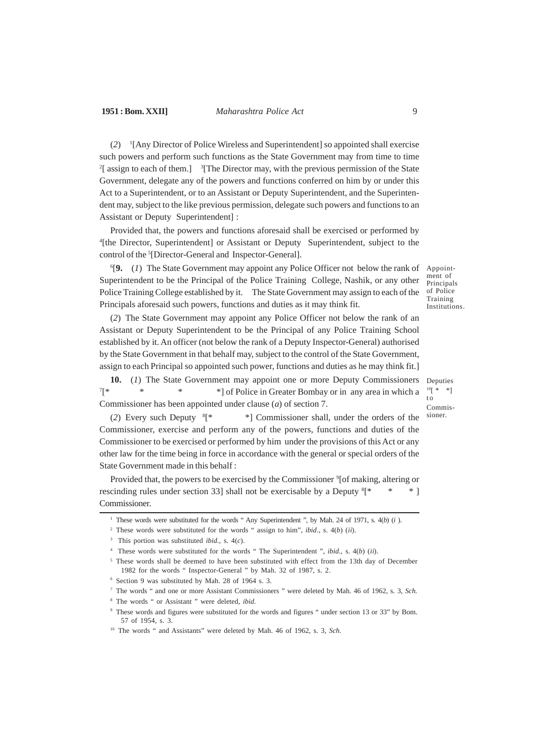## **1951 : Bom. XXII]** *Maharashtra Police Act* 9

(*2*) 1 [Any Director of Police Wireless and Superintendent] so appointed shall exercise such powers and perform such functions as the State Government may from time to time  $2$ [ assign to each of them.]  $3$ [The Director may, with the previous permission of the State Government, delegate any of the powers and functions conferred on him by or under this Act to a Superintendent, or to an Assistant or Deputy Superintendent, and the Superintendent may, subject to the like previous permission, delegate such powers and functions to an Assistant or Deputy Superintendent] :

Provided that, the powers and functions aforesaid shall be exercised or performed by 4 [the Director, Superintendent] or Assistant or Deputy Superintendent, subject to the control of the <sup>5</sup>[Director-General and Inspector-General].

6 [**9.** (*1*) The State Government may appoint any Police Officer not below the rank of Superintendent to be the Principal of the Police Training College, Nashik, or any other Police Training College established by it. The State Government may assign to each of the Principals aforesaid such powers, functions and duties as it may think fit.

(*2*) The State Government may appoint any Police Officer not below the rank of an Assistant or Deputy Superintendent to be the Principal of any Police Training School established by it. An officer (not below the rank of a Deputy Inspector-General) authorised by the State Government in that behalf may, subject to the control of the State Government, assign to each Principal so appointed such power, functions and duties as he may think fit.]

**10.** (*1*) The State Government may appoint one or more Deputy Commissioners  $7$ <sup>\*</sup> [\* \* \* \*] of Police in Greater Bombay or in any area in which a Commissioner has been appointed under clause (*a*) of section 7. Deputies

 $^{10}[\phantom{1}^{\ast} \phantom{1}^{\ast}]$  $\overline{t}$ Commissioner.

Appointment of **Principals** of Police Training Institutions.

(*2*) Every such Deputy <sup>8</sup> [\* \*] Commissioner shall, under the orders of the Commissioner, exercise and perform any of the powers, functions and duties of the Commissioner to be exercised or performed by him under the provisions of this Act or any other law for the time being in force in accordance with the general or special orders of the State Government made in this behalf :

Provided that, the powers to be exercised by the Commissioner  $\delta$ [of making, altering or rescinding rules under section 33] shall not be exercisable by a Deputy  ${}^8$ [\*  $*$  ] Commissioner.

<sup>1</sup> These words were substituted for the words " Any Superintendent ", by Mah. 24 of 1971, s. 4(*b*) (*i* ).

<sup>2</sup> These words were substituted for the words " assign to him", *ibid*., s. 4(*b*) (*ii*).

<sup>3</sup> This portion was substituted *ibid.,* s. 4(*c*).

<sup>4</sup> These words were substituted for the words " The Superintendent ", *ibid.,* s. 4(*b*) (*ii*).

<sup>5</sup> These words shall be deemed to have been substituted with effect from the 13th day of December 1982 for the words " Inspector-General " by Mah. 32 of 1987, s. 2.

<sup>6</sup> Section 9 was substituted by Mah. 28 of 1964 s. 3.

<sup>7</sup> The words " and one or more Assistant Commissioners " were deleted by Mah. 46 of 1962, s. 3, *Sch.*

<sup>8</sup> The words " or Assistant " were deleted, *ibid.*

<sup>9</sup> These words and figures were substituted for the words and figures " under section 13 or 33" by Bom. 57 of 1954, s. 3.

<sup>10</sup> The words " and Assistants" were deleted by Mah. 46 of 1962, s. 3, *Sch.*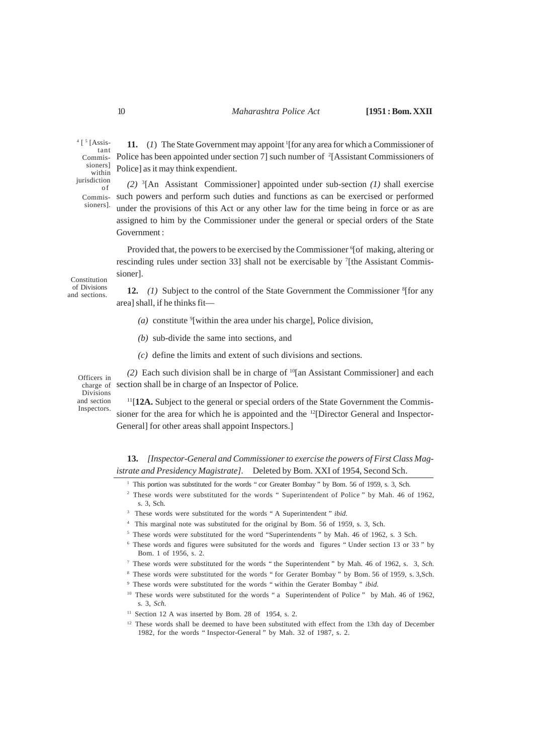## 10 *Maharashtra Police Act* **[1951 : Bom. XXII**

<sup>4</sup> [<sup>5</sup> [Assistant Commissioners] within jurisdiction o f Commis-

sioners].

11. (1) The State Government may appoint <sup>1</sup> [for any area for which a Commissioner of Police has been appointed under section 7] such number of <sup>2</sup>[Assistant Commissioners of Police] as it may think expendient.

*(2)* <sup>3</sup> [An Assistant Commissioner] appointed under sub-section *(1)* shall exercise such powers and perform such duties and functions as can be exercised or performed under the provisions of this Act or any other law for the time being in force or as are assigned to him by the Commissioner under the general or special orders of the State Government :

Provided that, the powers to be exercised by the Commissioner <sup>6</sup>[of making, altering or rescinding rules under section 33] shall not be exercisable by <sup>7</sup>[the Assistant Commissioner].

Constitution of Divisions and sections.

12. (1) Subject to the control of the State Government the Commissioner <sup>8</sup>[for any area] shall, if he thinks fit—

- (a) constitute <sup>9</sup>[within the area under his charge], Police division,
- *(b)* sub-divide the same into sections, and
- *(c)* define the limits and extent of such divisions and sections.

*(2)* Each such division shall be in charge of <sup>10</sup>[an Assistant Commissioner] and each section shall be in charge of an Inspector of Police.

Officers in charge of Divisions and section Inspectors.

<sup>11</sup>[12A. Subject to the general or special orders of the State Government the Commissioner for the area for which he is appointed and the  $^{12}$ [Director General and Inspector-General] for other areas shall appoint Inspectors.]

- <sup>1</sup> This portion was substituted for the words " cor Greater Bombay " by Bom. 56 of 1959, s. 3, Sch.
- <sup>2</sup> These words were substituted for the words " Superintendent of Police " by Mah. 46 of 1962, s. 3, Sch.
- 3 These words were substituted for the words " A Superintendent " *ibid.*
- 4 This marginal note was substituted for the original by Bom. 56 of 1959, s. 3, Sch.
- <sup>5</sup> These words were substituted for the word "Superintendents " by Mah. 46 of 1962, s. 3 Sch.
- <sup>6</sup> These words and figures were subsituted for the words and figures " Under section 13 or 33 " by Bom. 1 of 1956, s. 2.
- <sup>7</sup> These words were substituted for the words " the Superintendent " by Mah. 46 of 1962, s. 3, *Sch.*
- <sup>8</sup> These words were substituted for the words " for Gerater Bombay " by Bom. 56 of 1959, s. 3,Sch.
- <sup>9</sup> These words were substituted for the words " within the Gerater Bombay " *ibid.*
- <sup>10</sup> These words were substituted for the words "a Superintendent of Police " by Mah. 46 of 1962, s. 3, *Sch.*
- $11$  Section 12 A was inserted by Bom. 28 of 1954, s. 2.
- <sup>12</sup> These words shall be deemed to have been substituted with effect from the 13th day of December 1982, for the words " Inspector-General " by Mah. 32 of 1987, s. 2.

**<sup>13.</sup>** *[Inspector-General and Commissioner to exercise the powers of First Class Magistrate and Presidency Magistrate].* Deleted by Bom. XXI of 1954, Second Sch.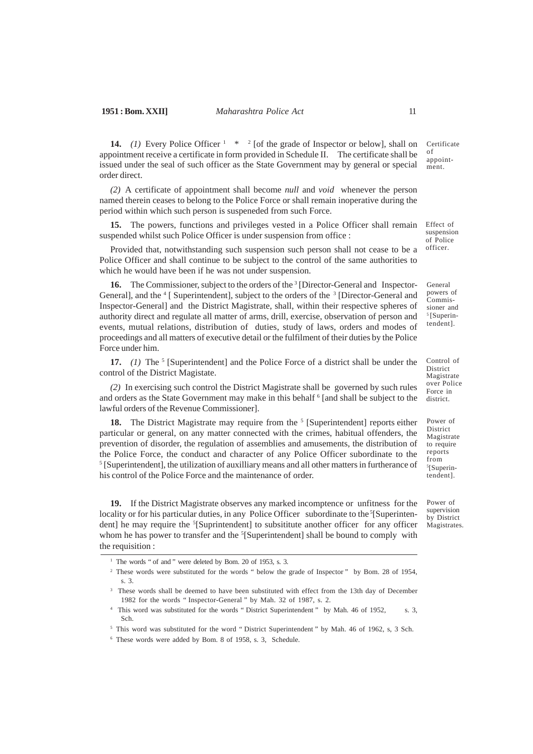### **1951 : Bom. XXII]** *Maharashtra Police Act* 11

**14.** (1) Every Police Officer  $1 \times 2$  [of the grade of Inspector or below], shall on appointment receive a certificate in form provided in Schedule II. The certificate shall be issued under the seal of such officer as the State Government may by general or special order direct.

*(2)* A certificate of appointment shall become *null* and *void* whenever the person named therein ceases to belong to the Police Force or shall remain inoperative during the period within which such person is suspeneded from such Force.

**15.** The powers, functions and privileges vested in a Police Officer shall remain suspended whilst such Police Officer is under suspension from office :

Provided that, notwithstanding such suspension such person shall not cease to be a Police Officer and shall continue to be subject to the control of the same authorities to which he would have been if he was not under suspension.

**16.** The Commissioner, subject to the orders of the <sup>3</sup> [Director-General and Inspector-General], and the <sup>4</sup> [ Superintendent], subject to the orders of the <sup>3</sup> [Director-General and Inspector-General] and the District Magistrate, shall, within their respective spheres of authority direct and regulate all matter of arms, drill, exercise, observation of person and events, mutual relations, distribution of duties, study of laws, orders and modes of proceedings and all matters of executive detail or the fulfilment of their duties by the Police Force under him.

**17.** (1) The <sup>5</sup> [Superintendent] and the Police Force of a district shall be under the control of the District Magistate.

*(2)* In exercising such control the District Magistrate shall be governed by such rules and orders as the State Government may make in this behalf  $6$  [and shall be subject to the lawful orders of the Revenue Commissioner].

**18.** The District Magistrate may require from the <sup>5</sup> [Superintendent] reports either particular or general, on any matter connected with the crimes, habitual offenders, the prevention of disorder, the regulation of assemblies and amusements, the distribution of the Police Force, the conduct and character of any Police Officer subordinate to the <sup>5</sup> [Superintendent], the utilization of auxilliary means and all other matters in furtherance of his control of the Police Force and the maintenance of order.

**19.** If the District Magistrate observes any marked incomptence or unfitness for the locality or for his particular duties, in any Police Officer subordinate to the  ${}^5$ [Superintendent] he may require the <sup>5</sup>[Suprintendent] to subsititute another officer for any officer whom he has power to transfer and the <sup>5</sup>[Superintendent] shall be bound to comply with the requisition :

Certificate of appointment.

Effect of suspension of Police officer.

General powers of Commissioner and 5 [Superintendent].

Control of District Magistrate over Police Force in district.

Power of District Magistrate to require reports from 5 [Superintendent].

Power of supervision by District Magistrates.

<sup>&</sup>lt;sup>1</sup> The words " of and " were deleted by Bom. 20 of 1953, s. 3.

<sup>&</sup>lt;sup>2</sup> These words were substituted for the words " below the grade of Inspector " by Bom. 28 of 1954, s. 3.

<sup>3</sup> These words shall be deemed to have been substituted with effect from the 13th day of December 1982 for the words " Inspector-General " by Mah. 32 of 1987, s. 2.

<sup>4</sup> This word was substituted for the words " District Superintendent " by Mah. 46 of 1952, s. 3, Sch.

<sup>5</sup> This word was substituted for the word " District Superintendent " by Mah. 46 of 1962, s, 3 Sch.

<sup>6</sup> These words were added by Bom. 8 of 1958, s. 3, Schedule.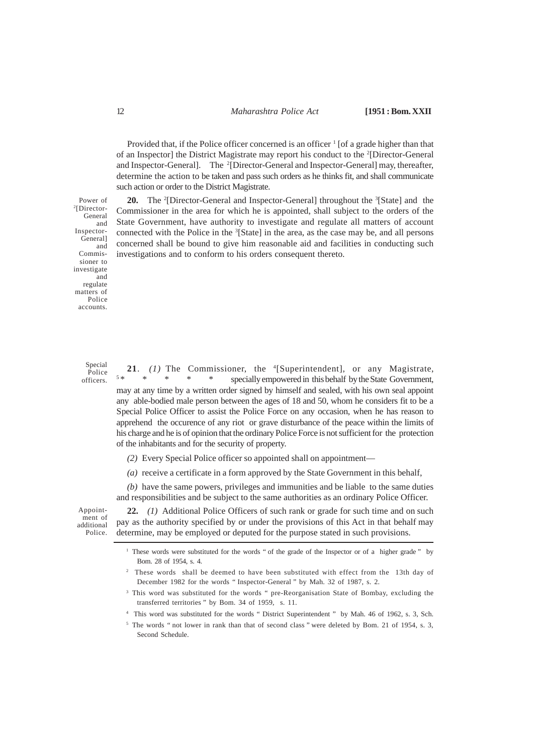Provided that, if the Police officer concerned is an officer  $<sup>1</sup>$  [of a grade higher than that</sup> of an Inspector] the District Magistrate may report his conduct to the <sup>2</sup>[Director-General and Inspector-General]. The <sup>2</sup>[Director-General and Inspector-General] may, thereafter, determine the action to be taken and pass such orders as he thinks fit, and shall communicate such action or order to the District Magistrate.

20. The <sup>2</sup>[Director-General and Inspector-General] throughout the <sup>3</sup>[State] and the Commissioner in the area for which he is appointed, shall subject to the orders of the State Government, have authority to investigate and regulate all matters of account connected with the Police in the <sup>3</sup>[State] in the area, as the case may be, and all persons concerned shall be bound to give him reasonable aid and facilities in conducting such investigations and to conform to his orders consequent thereto. Power of

2 [Director-**General** and Inspector-General] and Commissioner to investigate and regulate matters of Police accounts.

> Special Police officers.

21. (1) The Commissioner, the <sup>4</sup>[Superintendent], or any Magistrate, 5 \* \* \* \* \* specially empowered in this behalf by the State Government, may at any time by a written order signed by himself and sealed, with his own seal appoint any able-bodied male person between the ages of 18 and 50, whom he considers fit to be a Special Police Officer to assist the Police Force on any occasion, when he has reason to apprehend the occurence of any riot or grave disturbance of the peace within the limits of his charge and he is of opinion that the ordinary Police Force is not sufficient for the protection of the inhabitants and for the security of property.

*(2)* Every Special Police officer so appointed shall on appointment—

*(a)* receive a certificate in a form approved by the State Government in this behalf,

*(b)* have the same powers, privileges and immunities and be liable to the same duties and responsibilities and be subject to the same authorities as an ordinary Police Officer.

Appointment of additional Police.

**22.** *(1)* Additional Police Officers of such rank or grade for such time and on such pay as the authority specified by or under the provisions of this Act in that behalf may determine, may be employed or deputed for the purpose stated in such provisions.

<sup>3</sup> This word was substituted for the words " pre-Reorganisation State of Bombay, excluding the transferred territories " by Bom. 34 of 1959, s. 11.

4 This word was substituted for the words " District Superintendent " by Mah. 46 of 1962, s. 3, Sch.

<sup>5</sup> The words " not lower in rank than that of second class " were deleted by Bom. 21 of 1954, s. 3, Second Schedule.

<sup>&</sup>lt;sup>1</sup> These words were substituted for the words " of the grade of the Inspector or of a higher grade " by Bom. 28 of 1954, s. 4.

<sup>2</sup> These words shall be deemed to have been substituted with effect from the 13th day of December 1982 for the words " Inspector-General " by Mah. 32 of 1987, s. 2.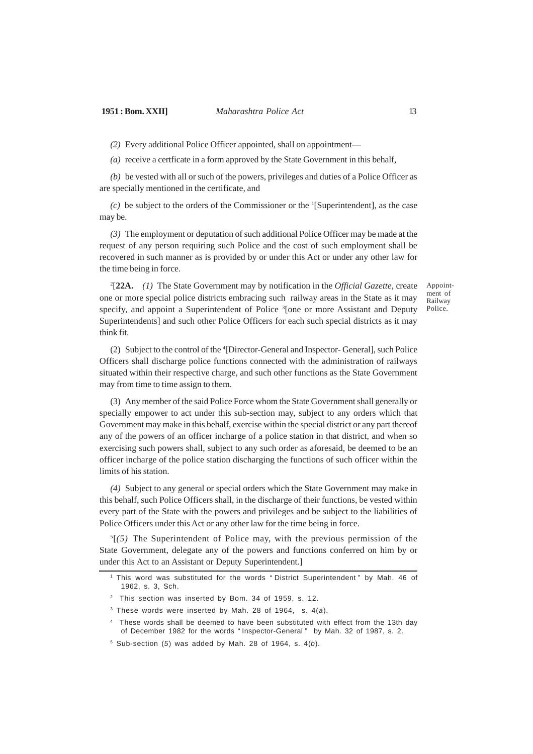*(2)* Every additional Police Officer appointed, shall on appointment—

*(a)* receive a certficate in a form approved by the State Government in this behalf,

*(b)* be vested with all or such of the powers, privileges and duties of a Police Officer as are specially mentioned in the certificate, and

 $(c)$  be subject to the orders of the Commissioner or the <sup>1</sup>[Superintendent], as the case may be.

*(3)* The employment or deputation of such additional Police Officer may be made at the request of any person requiring such Police and the cost of such employment shall be recovered in such manner as is provided by or under this Act or under any other law for the time being in force.

2 [**22A.** *(1)* The State Government may by notification in the *Official Gazette,* create one or more special police districts embracing such railway areas in the State as it may specify, and appoint a Superintendent of Police <sup>3</sup>[one or more Assistant and Deputy Superintendents] and such other Police Officers for each such special districts as it may think fit.

Appointment of Railway Police.

(2) Subject to the control of the <sup>4</sup> [Director-General and Inspector- General], such Police Officers shall discharge police functions connected with the administration of railways situated within their respective charge, and such other functions as the State Government may from time to time assign to them.

(3) Any member of the said Police Force whom the State Government shall generally or specially empower to act under this sub-section may, subject to any orders which that Government may make in this behalf, exercise within the special district or any part thereof any of the powers of an officer incharge of a police station in that district, and when so exercising such powers shall, subject to any such order as aforesaid, be deemed to be an officer incharge of the police station discharging the functions of such officer within the limits of his station.

*(4)* Subject to any general or special orders which the State Government may make in this behalf, such Police Officers shall, in the discharge of their functions, be vested within every part of the State with the powers and privileges and be subject to the liabilities of Police Officers under this Act or any other law for the time being in force.

 $5(5)$  The Superintendent of Police may, with the previous permission of the State Government, delegate any of the powers and functions conferred on him by or under this Act to an Assistant or Deputy Superintendent.]

<sup>1</sup> This word was substituted for the words " District Superintendent " by Mah. 46 of 1962, s. 3, Sch.

<sup>&</sup>lt;sup>2</sup> This section was inserted by Bom. 34 of 1959, s. 12.

 $3$  These words were inserted by Mah. 28 of 1964, s. 4(a).

<sup>4</sup> These words shall be deemed to have been substituted with effect from the 13th day of December 1982 for the words " Inspector-General " by Mah. 32 of 1987, s. 2.

 $5$  Sub-section (5) was added by Mah. 28 of 1964, s.  $4(b)$ .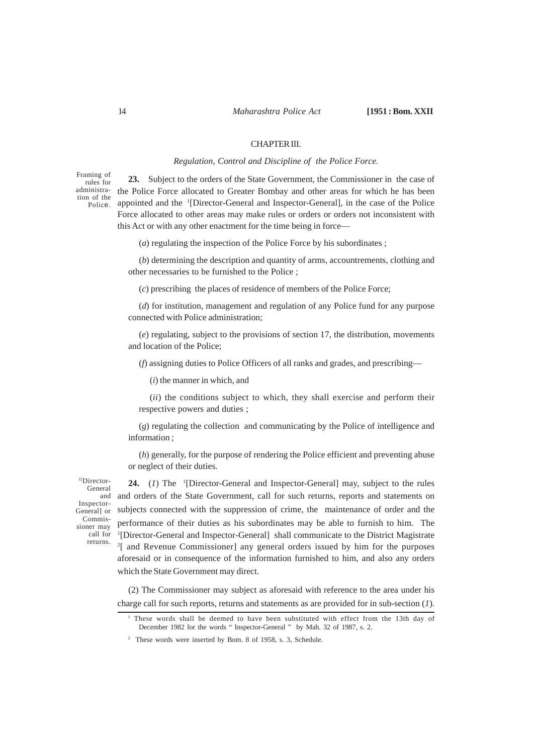## CHAPTER III.

## *Regulation, Control and Discipline of the Police Force.*

Framing of rules for administration of the Police.

**23.** Subject to the orders of the State Government, the Commissioner in the case of the Police Force allocated to Greater Bombay and other areas for which he has been appointed and the <sup>1</sup>[Director-General and Inspector-General], in the case of the Police Force allocated to other areas may make rules or orders or orders not inconsistent with this Act or with any other enactment for the time being in force—

(*a*) regulating the inspection of the Police Force by his subordinates ;

(*b*) determining the description and quantity of arms, accountrements, clothing and other necessaries to be furnished to the Police ;

(*c*) prescribing the places of residence of members of the Police Force;

(*d*) for institution, management and regulation of any Police fund for any purpose connected with Police administration;

(*e*) regulating, subject to the provisions of section 17, the distribution, movements and location of the Police;

(*f*) assigning duties to Police Officers of all ranks and grades, and prescribing—

(*i*) the manner in which, and

(*ii*) the conditions subject to which, they shall exercise and perform their respective powers and duties ;

(*g*) regulating the collection and communicating by the Police of intelligence and information ;

(*h*) generally, for the purpose of rendering the Police efficient and preventing abuse or neglect of their duties.

1[Director-General and Inspector-General] or Commissioner may call for returns.

**24.** (*1*) The <sup>1</sup> [Director-General and Inspector-General] may, subject to the rules and orders of the State Government, call for such returns, reports and statements on subjects connected with the suppression of crime, the maintenance of order and the performance of their duties as his subordinates may be able to furnish to him. The <sup>1</sup>[Director-General and Inspector-General] shall communicate to the District Magistrate 2 [ and Revenue Commissioner] any general orders issued by him for the purposes aforesaid or in consequence of the information furnished to him, and also any orders which the State Government may direct.

(2) The Commissioner may subject as aforesaid with reference to the area under his charge call for such reports, returns and statements as are provided for in sub-section (*1*).

<sup>1</sup> These words shall be deemed to have been substituted with effect from the 13th day of December 1982 for the words " Inspector-General " by Mah. 32 of 1987, s. 2.

<sup>2</sup> These words were inserted by Bom. 8 of 1958, s. 3, Schedule.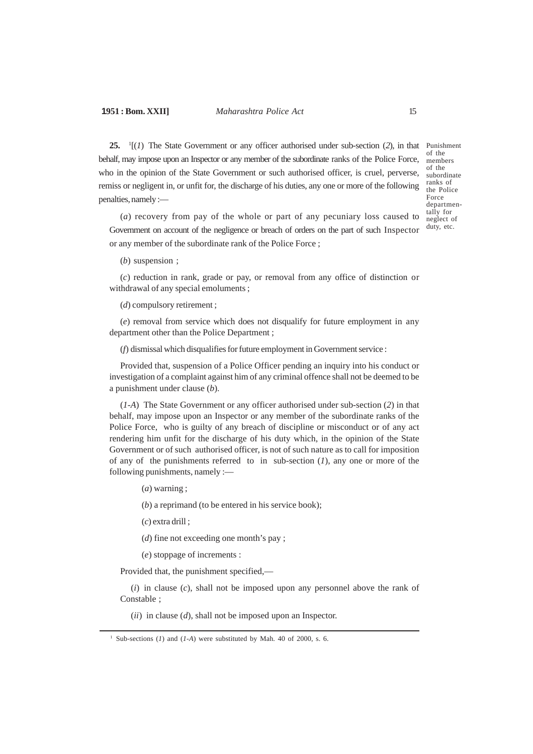## **1951 : Bom. XXII]** *Maharashtra Police Act* 15

**25.** <sup>1</sup> [(*1*) The State Government or any officer authorised under sub-section (*2*), in that Punishment behalf, may impose upon an Inspector or any member of the subordinate ranks of the Police Force, who in the opinion of the State Government or such authorised officer, is cruel, perverse, remiss or negligent in, or unfit for, the discharge of his duties, any one or more of the following penalties, namely :—

of the members of the subordinate ranks of the Police Force departmentally for neglect of duty, etc.

(*a*) recovery from pay of the whole or part of any pecuniary loss caused to Government on account of the negligence or breach of orders on the part of such Inspector or any member of the subordinate rank of the Police Force ;

(*b*) suspension ;

(*c*) reduction in rank, grade or pay, or removal from any office of distinction or withdrawal of any special emoluments ;

(*d*) compulsory retirement ;

(*e*) removal from service which does not disqualify for future employment in any department other than the Police Department ;

(*f*) dismissal which disqualifies for future employment in Government service :

Provided that, suspension of a Police Officer pending an inquiry into his conduct or investigation of a complaint against him of any criminal offence shall not be deemed to be a punishment under clause (*b*).

(*1-A*) The State Government or any officer authorised under sub-section (*2*) in that behalf, may impose upon an Inspector or any member of the subordinate ranks of the Police Force, who is guilty of any breach of discipline or misconduct or of any act rendering him unfit for the discharge of his duty which, in the opinion of the State Government or of such authorised officer, is not of such nature as to call for imposition of any of the punishments referred to in sub-section (*1*), any one or more of the following punishments, namely :—

(*a*) warning ;

(*b*) a reprimand (to be entered in his service book);

(*c*) extra drill ;

(*d*) fine not exceeding one month's pay ;

(*e*) stoppage of increments :

Provided that, the punishment specified,—

(*i*) in clause (*c*), shall not be imposed upon any personnel above the rank of Constable ;

(*ii*) in clause (*d*), shall not be imposed upon an Inspector.

<sup>1</sup> Sub-sections (*1*) and (*1-A*) were substituted by Mah. 40 of 2000, s. 6.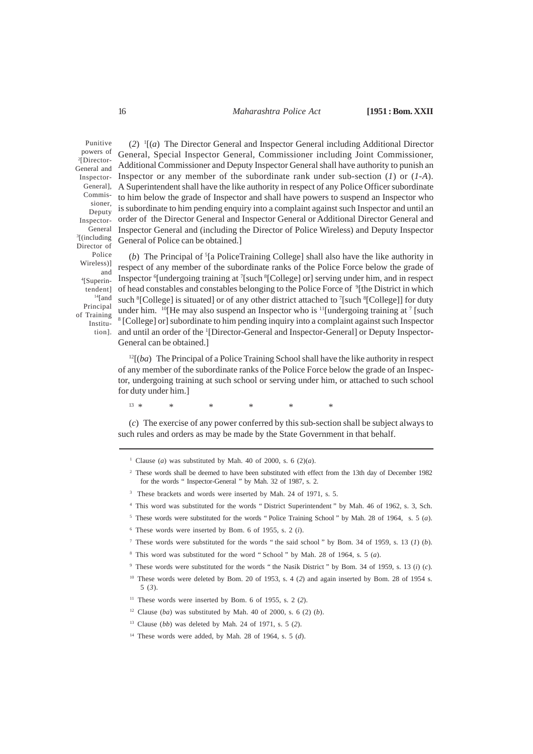#### 16 *Maharashtra Police Act* **[1951 : Bom. XXII**

Punitive powers of 2 [Director-General and Inspector-General], Commissioner, Deputy Inspector-General 3 [(including Director of Police Wireless)] and 4 [Superintendent]  $14$ [and Principal of Training Institution].

(*2*) 1 [(*a*) The Director General and Inspector General including Additional Director General, Special Inspector General, Commissioner including Joint Commissioner, Additional Commissioner and Deputy Inspector General shall have authority to punish an Inspector or any member of the subordinate rank under sub-section (*1*) or (*1-A*). A Superintendent shall have the like authority in respect of any Police Officer subordinate to him below the grade of Inspector and shall have powers to suspend an Inspector who is subordinate to him pending enquiry into a complaint against such Inspector and until an order of the Director General and Inspector General or Additional Director General and Inspector General and (including the Director of Police Wireless) and Deputy Inspector General of Police can be obtained.]

(b) The Principal of <sup>5</sup>[a PoliceTraining College] shall also have the like authority in respect of any member of the subordinate ranks of the Police Force below the grade of Inspector <sup>6</sup>[undergoing training at <sup>7</sup>[such <sup>8</sup>[College] or] serving under him, and in respect of head constables and constables belonging to the Police Force of <sup>9</sup>[the District in which such <sup>8</sup>[College] is situated] or of any other district attached to <sup>7</sup>[such <sup>8</sup>[College]] for duty under him.  $^{10}$ [He may also suspend an Inspector who is  $^{11}$ [undergoing training at  $^{7}$  [such <sup>8</sup> [College] or] subordinate to him pending inquiry into a complaint against such Inspector and until an order of the <sup>1</sup>[Director-General and Inspector-General] or Deputy Inspector-General can be obtained.]

 $12[(ba)$  The Principal of a Police Training School shall have the like authority in respect of any member of the subordinate ranks of the Police Force below the grade of an Inspector, undergoing training at such school or serving under him, or attached to such school for duty under him.]

13 \* \* \* \* \* \* \* \*

(*c*) The exercise of any power conferred by this sub-section shall be subject always to such rules and orders as may be made by the State Government in that behalf.

- <sup>5</sup> These words were substituted for the words " Police Training School " by Mah. 28 of 1964, s. 5 (*a*).
- <sup>6</sup> These words were inserted by Bom. 6 of 1955, s. 2 (*i*).
- <sup>7</sup> These words were substituted for the words " the said school " by Bom. 34 of 1959, s. 13 (*1*) (*b*).
- <sup>8</sup> This word was substituted for the word " School " by Mah. 28 of 1964, s. 5 (*a*).
- <sup>9</sup> These words were substituted for the words " the Nasik District " by Bom. 34 of 1959, s. 13 (*i*) (*c*).
- <sup>10</sup> These words were deleted by Bom. 20 of 1953, s. 4 (2) and again inserted by Bom. 28 of 1954 s. 5 (*3*).
- <sup>11</sup> These words were inserted by Bom. 6 of 1955, s. 2 (2).
- <sup>12</sup> Clause (*ba*) was substituted by Mah. 40 of 2000, s. 6 (2) (*b*).
- <sup>13</sup> Clause (*bb*) was deleted by Mah. 24 of 1971, s. 5 (*2*).
- <sup>14</sup> These words were added, by Mah. 28 of 1964, s. 5 (*d*).

<sup>&</sup>lt;sup>1</sup> Clause (*a*) was substituted by Mah. 40 of 2000, s. 6 (2)(*a*).

<sup>2</sup> These words shall be deemed to have been substituted with effect from the 13th day of December 1982 for the words " Inspector-General " by Mah. 32 of 1987, s. 2.

<sup>&</sup>lt;sup>3</sup> These brackets and words were inserted by Mah. 24 of 1971, s. 5.

<sup>4</sup> This word was substituted for the words " District Superintendent " by Mah. 46 of 1962, s. 3, Sch.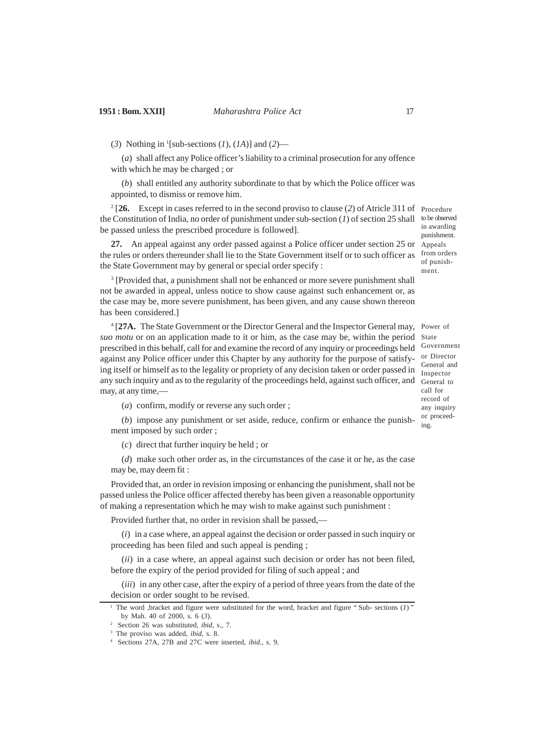(*3*) Nothing in <sup>1</sup> [sub-sections (*1*), (*1A*)] and (*2*)—

(*a*) shall affect any Police officer's liability to a criminal prosecution for any offence with which he may be charged ; or

(*b*) shall entitled any authority subordinate to that by which the Police officer was appointed, to dismiss or remove him.

2 [**26.** Except in cases referred to in the second proviso to clause (*2*) of Atricle 311 of Procedure the Constitution of India, no order of punishment under sub-section (*1*) of section 25 shall to be observed be passed unless the prescribed procedure is followed]. in awarding punishment.

**27.** An appeal against any order passed against a Police officer under section 25 or Appeals the rules or orders thereunder shall lie to the State Government itself or to such officer as from orders the State Government may by general or special order specify :

<sup>3</sup> [Provided that, a punishment shall not be enhanced or more severe punishment shall not be awarded in appeal, unless notice to show cause against such enhancement or, as the case may be, more severe punishment, has been given, and any cause shown thereon has been considered.]

<sup>4</sup> [27A. The State Government or the Director General and the Inspector General may, Power of suo motu or on an application made to it or him, as the case may be, within the period State prescribed in this behalf, call for and examine the record of any inquiry or proceedings held against any Police officer under this Chapter by any authority for the purpose of satisfying itself or himself as to the legality or propriety of any decision taken or order passed in any such inquiry and as to the regularity of the proceedings held, against such officer, and General to may, at any time,-

Government or Director General and Inspector call for record of any inquiry or proceeding.

of punishment.

(*a*) confirm, modify or reverse any such order ;

(*b*) impose any punishment or set aside, reduce, confirm or enhance the punishment imposed by such order ;

(*c*) direct that further inquiry be held ; or

(*d*) make such other order as, in the circumstances of the case it or he, as the case may be, may deem fit :

Provided that, an order in revision imposing or enhancing the punishment, shall not be passed unless the Police officer affected thereby has been given a reasonable opportunity of making a representation which he may wish to make against such punishment :

Provided further that, no order in revision shall be passed,—

(*i*) in a case where, an appeal against the decision or order passed in such inquiry or proceeding has been filed and such appeal is pending ;

(*ii*) in a case where, an appeal against such decision or order has not been filed, before the expiry of the period provided for filing of such appeal ; and

(*iii*) in any other case, after the expiry of a period of three years from the date of the decision or order sought to be revised.

The word ,bracket and figure were substituted for the word, bracket and figure " Sub- sections (*1*)" by Mah. 40 of 2000, s. 6 (*3*).

<sup>2</sup> Section 26 was substituted, *ibid,* s., 7.

<sup>3</sup> The proviso was added, *ibid,* s. 8.

<sup>4</sup> Sections 27A, 27B and 27C were inserted, *ibid.,* s. 9.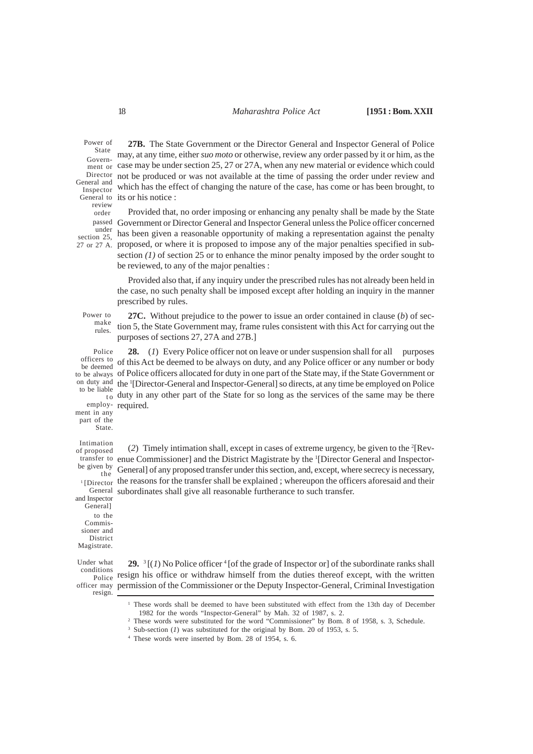Power of State Govern-Director General and Inspector review order under section 25,

**27B.** The State Government or the Director General and Inspector General of Police may, at any time, either *suo moto* or otherwise, review any order passed by it or him, as the  $\frac{\text{current}}{\text{m}}$  case may be under section 25, 27 or 27A, when any new material or evidence which could not be produced or was not available at the time of passing the order under review and which has the effect of changing the nature of the case, has come or has been brought, to General to its or his notice :

Provided that, no order imposing or enhancing any penalty shall be made by the State Government or Director General and Inspector General unless the Police officer concerned passed has been given a reasonable opportunity of making a representation against the penalty 27 or 27 A. proposed, or where it is proposed to impose any of the major penalties specified in subsection  $(1)$  of section 25 or to enhance the minor penalty imposed by the order sought to be reviewed, to any of the major penalties :

> Provided also that, if any inquiry under the prescribed rules has not already been held in the case, no such penalty shall be imposed except after holding an inquiry in the manner prescribed by rules.

Power to make rules.

**27C.** Without prejudice to the power to issue an order contained in clause (*b*) of section 5, the State Government may, frame rules consistent with this Act for carrying out the purposes of sections 27, 27A and 27B.]

**28.** (*1*) Every Police officer not on leave or under suspension shall for all purposes of this Act be deemed to be always on duty, and any Police officer or any number or body of Police officers allocated for duty in one part of the State may, if the State Government or on duty and the <sup>1</sup>[Director-General and Inspector-General] so directs, at any time be employed on Police  $\frac{dS}{dV}$  duty in any other part of the State for so long as the services of the same may be there employ-required. Police officers to be deemed to be always to be liable ment in any

(2) Timely intimation shall, except in cases of extreme urgency, be given to the  ${}^{2}$ [Revtransfer to enue Commissioner] and the District Magistrate by the <sup>1</sup>[Director General and Inspector-General] of any proposed transfer under this section, and, except, where secrecy is necessary, the reasons for the transfer shall be explained ; whereupon the officers aforesaid and their subordinates shall give all reasonable furtherance to such transfer. of proposed be given by 1 [Director

General and Inspector General] to the Commissioner and District Magistrate.

Intimation

part of the State.

the

Under what conditions

resign.

29. <sup>3</sup>[(*1*) No Police officer<sup>4</sup>[of the grade of Inspector or] of the subordinate ranks shall *Police* resign his office or withdraw himself from the duties thereof except, with the written officer may permission of the Commissioner or the Deputy Inspector-General, Criminal Investigation

<sup>&</sup>lt;sup>1</sup> These words shall be deemed to have been substituted with effect from the 13th day of December 1982 for the words "Inspector-General" by Mah. 32 of 1987, s. 2.

<sup>&</sup>lt;sup>2</sup> These words were substituted for the word "Commissioner" by Bom. 8 of 1958, s. 3, Schedule.

<sup>&</sup>lt;sup>3</sup> Sub-section (*1*) was substituted for the original by Bom. 20 of 1953, s. 5.

<sup>4</sup> These words were inserted by Bom. 28 of 1954, s. 6.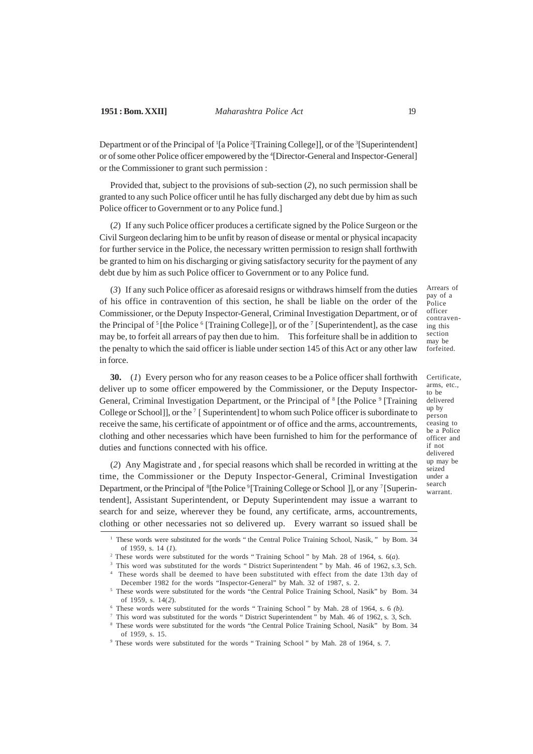## **1951 : Bom. XXII]** *Maharashtra Police Act* 19

Department or of the Principal of <sup>1</sup>[a Police<sup>2</sup>[Training College]], or of the <sup>3</sup>[Superintendent] or of some other Police officer empowered by the <sup>4</sup> [Director-General and Inspector-General] or the Commissioner to grant such permission :

Provided that, subject to the provisions of sub-section (*2*), no such permission shall be granted to any such Police officer until he has fully discharged any debt due by him as such Police officer to Government or to any Police fund.]

(*2*) If any such Police officer produces a certificate signed by the Police Surgeon or the Civil Surgeon declaring him to be unfit by reason of disease or mental or physical incapacity for further service in the Police, the necessary written permission to resign shall forthwith be granted to him on his discharging or giving satisfactory security for the payment of any debt due by him as such Police officer to Government or to any Police fund.

(*3*) If any such Police officer as aforesaid resigns or withdraws himself from the duties of his office in contravention of this section, he shall be liable on the order of the Commissioner, or the Deputy Inspector-General, Criminal Investigation Department, or of the Principal of  $\frac{5}{5}$  [the Police  $\frac{6}{5}$  [Training College]], or of the  $\frac{7}{5}$  [Superintendent], as the case may be, to forfeit all arrears of pay then due to him. This forfeiture shall be in addition to the penalty to which the said officer is liable under section 145 of this Act or any other law in force.

**30.** (*1*) Every person who for any reason ceases to be a Police officer shall forthwith deliver up to some officer empowered by the Commissioner, or the Deputy Inspector-General, Criminal Investigation Department, or the Principal of <sup>8</sup> [the Police <sup>9</sup> [Training College or School]], or the <sup>7</sup> [ Superintendent] to whom such Police officer is subordinate to receive the same, his certificate of appointment or of office and the arms, accountrements, clothing and other necessaries which have been furnished to him for the performance of duties and functions connected with his office.

(*2*) Any Magistrate and , for special reasons which shall be recorded in writting at the time, the Commissioner or the Deputy Inspector-General, Criminal Investigation Department, or the Principal of <sup>8</sup>[the Police <sup>9</sup>[Training College or School ]], or any <sup>7</sup>[Superintendent], Assistant Superintendent, or Deputy Superintendent may issue a warrant to search for and seize, wherever they be found, any certificate, arms, accountrements, clothing or other necessaries not so delivered up. Every warrant so issued shall be

Arrears of pay of a Police officer contravening this section may be forfeited.

Certificate, arms, etc., to be delivered up by person ceasing to be a Police officer and if not delivered up may be seized under a search warrant.

<sup>&</sup>lt;sup>1</sup> These words were substituted for the words " the Central Police Training School, Nasik, " by Bom. 34 of 1959, s. 14 (*1*).

<sup>2</sup> These words were substituted for the words " Training School " by Mah. 28 of 1964, s. 6(*a*).

<sup>&</sup>lt;sup>3</sup> This word was substituted for the words " District Superintendent " by Mah. 46 of 1962, s.3, Sch. 4 These words shall be deemed to have been substituted with effect from the date 13th day of

December 1982 for the words "Inspector-General" by Mah. 32 of 1987, s. 2.

<sup>&</sup>lt;sup>5</sup> These words were substituted for the words "the Central Police Training School, Nasik" by Bom. 34 of 1959, s. 14(*2*).

<sup>6</sup> These words were substituted for the words " Training School " by Mah. 28 of 1964, s. 6 *(b).*

<sup>7</sup> This word was substituted for the words " District Superintendent " by Mah. 46 of 1962, s. 3, Sch. <sup>8</sup> These words were substituted for the words "the Central Police Training School, Nasik" by Bom. 34

of 1959, s. 15.

<sup>9</sup> These words were substituted for the words " Training School " by Mah. 28 of 1964, s. 7.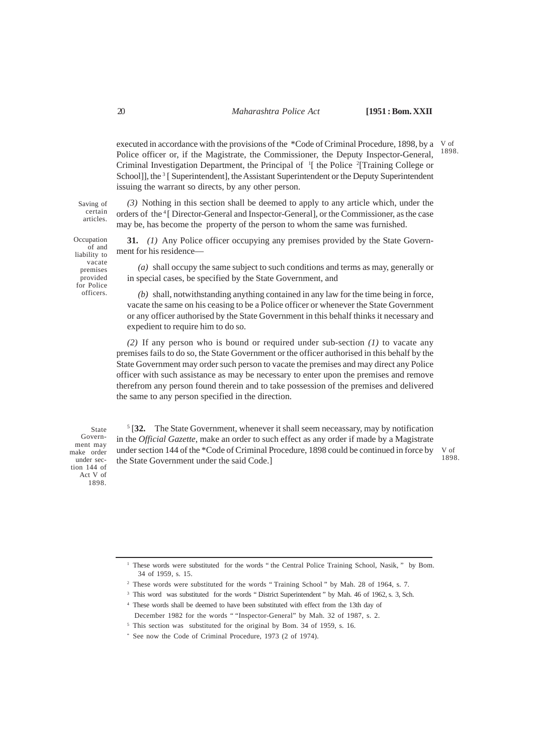executed in accordance with the provisions of the \*Code of Criminal Procedure, 1898, by a V of Police officer or, if the Magistrate, the Commissioner, the Deputy Inspector-General, Criminal Investigation Department, the Principal of <sup>1</sup>[ the Police <sup>2</sup>[Training College or School]], the <sup>3</sup> [ Superintendent], the Assistant Superintendent or the Deputy Superintendent issuing the warrant so directs, by any other person. 1898.

Saving of certain articles.

Occupation of and liability to vacate premises provided for Police officers.

*(3)* Nothing in this section shall be deemed to apply to any article which, under the orders of the <sup>4</sup>[ Director-General and Inspector-General], or the Commissioner, as the case may be, has become the property of the person to whom the same was furnished.

**31.** *(1)* Any Police officer occupying any premises provided by the State Government for his residence—

*(a)* shall occupy the same subject to such conditions and terms as may, generally or in special cases, be specified by the State Government, and

*(b)* shall, notwithstanding anything contained in any law for the time being in force, vacate the same on his ceasing to be a Police officer or whenever the State Government or any officer authorised by the State Government in this behalf thinks it necessary and expedient to require him to do so.

*(2)* If any person who is bound or required under sub-section *(1)* to vacate any premises fails to do so, the State Government or the officer authorised in this behalf by the State Government may order such person to vacate the premises and may direct any Police officer with such assistance as may be necessary to enter upon the premises and remove therefrom any person found therein and to take possession of the premises and delivered the same to any person specified in the direction.

State Government may make order under section 144 of Act V of 1898.

<sup>5</sup> [32. The State Government, whenever it shall seem neceassary, may by notification in the *Official Gazette*, make an order to such effect as any order if made by a Magistrate under section 144 of the \*Code of Criminal Procedure, 1898 could be continued in force by the State Government under the said Code.]

V of 1898.

<sup>1</sup> These words were substituted for the words " the Central Police Training School, Nasik, " by Bom. 34 of 1959, s. 15.

<sup>2</sup> These words were substituted for the words " Training School " by Mah. 28 of 1964, s. 7.

<sup>&</sup>lt;sup>3</sup> This word was substituted for the words " District Superintendent " by Mah. 46 of 1962, s. 3, Sch.

<sup>4</sup> These words shall be deemed to have been substituted with effect from the 13th day of December 1982 for the words " "Inspector-General" by Mah. 32 of 1987, s. 2.

<sup>&</sup>lt;sup>5</sup> This section was substituted for the original by Bom. 34 of 1959, s. 16.

<sup>\*</sup> See now the Code of Criminal Procedure, 1973 (2 of 1974).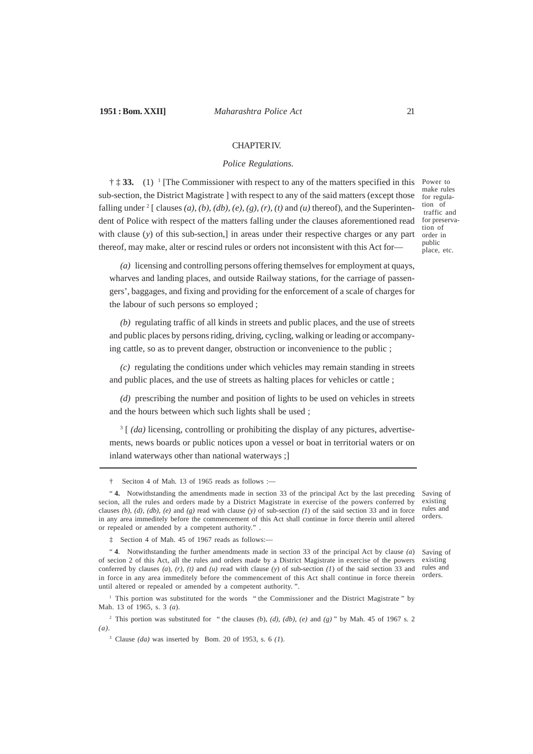#### CHAPTER IV.

#### *Police Regulations.*

<sup>†</sup>  $\ddagger$  **33.** (1) <sup>1</sup> [The Commissioner with respect to any of the matters specified in this sub-section, the District Magistrate ] with respect to any of the said matters (except those falling under  $2$  [ clauses (a), (b), (db), (e), (g), (r), (t) and (u) thereof), and the Superintendent of Police with respect of the matters falling under the clauses aforementioned read with clause (*y*) of this sub-section,] in areas under their respective charges or any part thereof, may make, alter or rescind rules or orders not inconsistent with this Act for—

Power to make rules for regulation of traffic and for preservation of order in public place, etc.

*(a)* licensing and controlling persons offering themselves for employment at quays, wharves and landing places, and outside Railway stations, for the carriage of passengers', baggages, and fixing and providing for the enforcement of a scale of charges for the labour of such persons so employed ;

*(b)* regulating traffic of all kinds in streets and public places, and the use of streets and public places by persons riding, driving, cycling, walking or leading or accompanying cattle, so as to prevent danger, obstruction or inconvenience to the public ;

*(c)* regulating the conditions under which vehicles may remain standing in streets and public places, and the use of streets as halting places for vehicles or cattle ;

*(d)* prescribing the number and position of lights to be used on vehicles in streets and the hours between which such lights shall be used ;

<sup>3</sup> [ *(da)* licensing, controlling or prohibiting the display of any pictures, advertisements, news boards or public notices upon a vessel or boat in territorial waters or on inland waterways other than national waterways ;]

‡ Section 4 of Mah. 45 of 1967 reads as follows:—

<sup>1</sup> This portion was substituted for the words " the Commissioner and the District Magistrate " by Mah. 13 of 1965, s. 3 *(a*).

<sup>2</sup> This portion was substituted for " the clauses *(b*), *(d), (db), (e)* and *(g)* " by Mah. 45 of 1967 s. 2 *(a).*

<sup>3</sup> Clause *(da)* was inserted by Bom. 20 of 1953, s. 6 *(1*).

Saving of existing rules and orders.

<sup>†</sup> Seciton 4 of Mah. 13 of 1965 reads as follows :—

<sup>&</sup>quot; **4.** Notwithstanding the amendments made in section 33 of the principal Act by the last preceding secion, all the rules and orders made by a District Magistrate in exercise of the powers conferred by clauses  $(b)$ ,  $(d)$ ,  $(db)$ ,  $(e)$  and  $(g)$  read with clause  $(y)$  of sub-section  $(I)$  of the said section 33 and in force in any area immeditely before the commencement of this Act shall continue in force therein until altered or repealed or amended by a competent authority." Saving of existing rules and orders.

<sup>&</sup>quot; **4**. Notwithstanding the further amendments made in section 33 of the principal Act by clause *(a*) of secion 2 of this Act, all the rules and orders made by a District Magistrate in exercise of the powers conferred by clauses  $(a)$ ,  $(r)$ ,  $(t)$  and  $(u)$  read with clause  $(y)$  of sub-section  $(I)$  of the said section 33 and in force in any area immeditely before the commencement of this Act shall continue in force therein until altered or repealed or amended by a competent authority. ".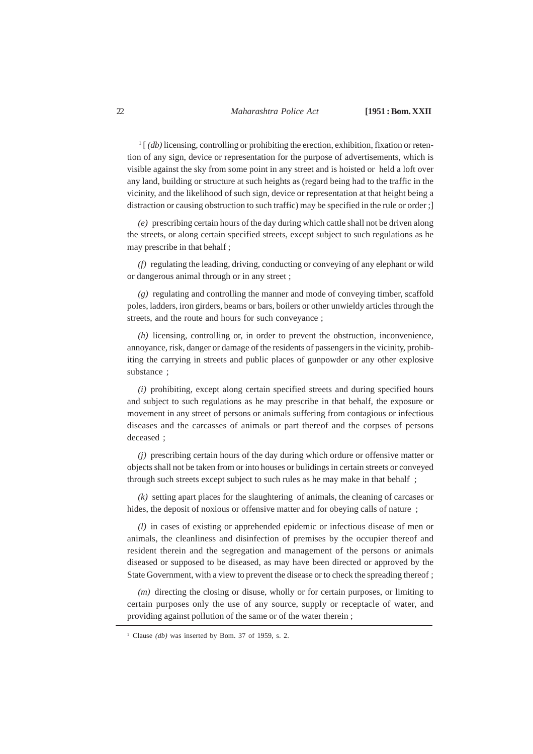<sup>1</sup> [ *(db)* licensing, controlling or prohibiting the erection, exhibition, fixation or retention of any sign, device or representation for the purpose of advertisements, which is visible against the sky from some point in any street and is hoisted or held a loft over any land, building or structure at such heights as (regard being had to the traffic in the vicinity, and the likelihood of such sign, device or representation at that height being a distraction or causing obstruction to such traffic) may be specified in the rule or order;

*(e)* prescribing certain hours of the day during which cattle shall not be driven along the streets, or along certain specified streets, except subject to such regulations as he may prescribe in that behalf ;

*(f)* regulating the leading, driving, conducting or conveying of any elephant or wild or dangerous animal through or in any street ;

*(g)* regulating and controlling the manner and mode of conveying timber, scaffold poles, ladders, iron girders, beams or bars, boilers or other unwieldy articles through the streets, and the route and hours for such conveyance ;

*(h)* licensing, controlling or, in order to prevent the obstruction, inconvenience, annoyance, risk, danger or damage of the residents of passengers in the vicinity, prohibiting the carrying in streets and public places of gunpowder or any other explosive substance ;

*(i)* prohibiting, except along certain specified streets and during specified hours and subject to such regulations as he may prescribe in that behalf, the exposure or movement in any street of persons or animals suffering from contagious or infectious diseases and the carcasses of animals or part thereof and the corpses of persons deceased ;

*(j)* prescribing certain hours of the day during which ordure or offensive matter or objects shall not be taken from or into houses or bulidings in certain streets or conveyed through such streets except subject to such rules as he may make in that behalf ;

*(k)* setting apart places for the slaughtering of animals, the cleaning of carcases or hides, the deposit of noxious or offensive matter and for obeying calls of nature ;

*(l)* in cases of existing or apprehended epidemic or infectious disease of men or animals, the cleanliness and disinfection of premises by the occupier thereof and resident therein and the segregation and management of the persons or animals diseased or supposed to be diseased, as may have been directed or approved by the State Government, with a view to prevent the disease or to check the spreading thereof ;

*(m)* directing the closing or disuse, wholly or for certain purposes, or limiting to certain purposes only the use of any source, supply or receptacle of water, and providing against pollution of the same or of the water therein ;

<sup>&</sup>lt;sup>1</sup> Clause *(db)* was inserted by Bom. 37 of 1959, s. 2.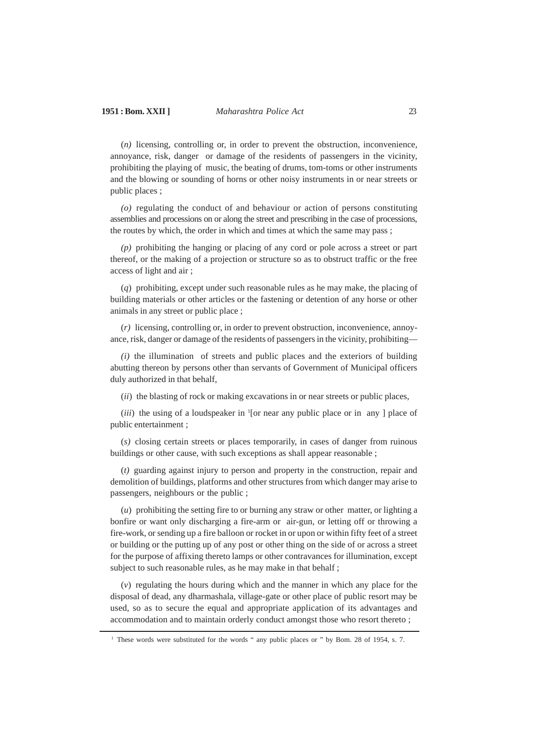(*n)* licensing, controlling or, in order to prevent the obstruction, inconvenience, annoyance, risk, danger or damage of the residents of passengers in the vicinity, prohibiting the playing of music, the beating of drums, tom-toms or other instruments and the blowing or sounding of horns or other noisy instruments in or near streets or public places ;

*(o)* regulating the conduct of and behaviour or action of persons constituting assemblies and processions on or along the street and prescribing in the case of processions, the routes by which, the order in which and times at which the same may pass ;

*(p)* prohibiting the hanging or placing of any cord or pole across a street or part thereof, or the making of a projection or structure so as to obstruct traffic or the free access of light and air ;

(*q*) prohibiting, except under such reasonable rules as he may make, the placing of building materials or other articles or the fastening or detention of any horse or other animals in any street or public place ;

(*r)* licensing, controlling or, in order to prevent obstruction, inconvenience, annoyance, risk, danger or damage of the residents of passengers in the vicinity, prohibiting—

*(i)* the illumination of streets and public places and the exteriors of building abutting thereon by persons other than servants of Government of Municipal officers duly authorized in that behalf,

(*ii*) the blasting of rock or making excavations in or near streets or public places,

(*iii*) the using of a loudspeaker in <sup>1</sup>[or near any public place or in any ] place of public entertainment ;

(*s)* closing certain streets or places temporarily, in cases of danger from ruinous buildings or other cause, with such exceptions as shall appear reasonable ;

(*t)* guarding against injury to person and property in the construction, repair and demolition of buildings, platforms and other structures from which danger may arise to passengers, neighbours or the public ;

(*u*) prohibiting the setting fire to or burning any straw or other matter, or lighting a bonfire or want only discharging a fire-arm or air-gun, or letting off or throwing a fire-work, or sending up a fire balloon or rocket in or upon or within fifty feet of a street or building or the putting up of any post or other thing on the side of or across a street for the purpose of affixing thereto lamps or other contravances for illumination, except subject to such reasonable rules, as he may make in that behalf ;

(*v*) regulating the hours during which and the manner in which any place for the disposal of dead, any dharmashala, village-gate or other place of public resort may be used, so as to secure the equal and appropriate application of its advantages and accommodation and to maintain orderly conduct amongst those who resort thereto ;

<sup>&</sup>lt;sup>1</sup> These words were substituted for the words " any public places or " by Bom. 28 of 1954, s. 7.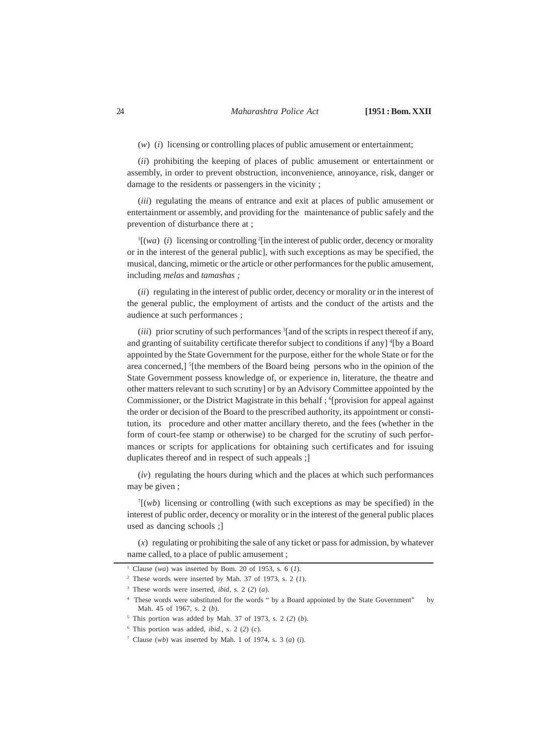(*w*) (*i*) licensing or controlling places of public amusement or entertainment;

(*ii*) prohibiting the keeping of places of public amusement or entertainment or assembly, in order to prevent obstruction, inconvenience, annoyance, risk, danger or damage to the residents or passengers in the vicinity ;

(*iii*) regulating the means of entrance and exit at places of public amusement or entertainment or assembly, and providing for the maintenance of public safely and the prevention of disturbance there at ;

 $\Gamma$ [(*wa*) (*i*) licensing or controlling  $\Gamma$ [in the interest of public order, decency or morality or in the interest of the general public], with such exceptions as may be specified, the musical, dancing, mimetic or the article or other performances for the public amusement, including *melas* and *tamashas ;*

(*ii*) regulating in the interest of public order, decency or morality or in the interest of the general public, the employment of artists and the conduct of the artists and the audience at such performances ;

(*iii*) prior scrutiny of such performances <sup>3</sup>[and of the scripts in respect thereof if any, and granting of suitability certificate therefor subject to conditions if any] <sup>4</sup>[by a Board appointed by the State Government for the purpose, either for the whole State or for the area concerned,] <sup>5</sup>[the members of the Board being persons who in the opinion of the State Government possess knowledge of, or experience in, literature, the theatre and other matters relevant to such scrutiny] or by an Advisory Committee appointed by the Commissioner, or the District Magistrate in this behalf ; <sup>6</sup>[provision for appeal against the order or decision of the Board to the prescribed authority, its appointment or constitution, its procedure and other matter ancillary thereto, and the fees (whether in the form of court-fee stamp or otherwise) to be charged for the scrutiny of such performances or scripts for applications for obtaining such certificates and for issuing duplicates thereof and in respect of such appeals ;]

(*iv*) regulating the hours during which and the places at which such performances may be given ;

 $T(wb)$  licensing or controlling (with such exceptions as may be specified) in the interest of public order, decency or morality or in the interest of the general public places used as dancing schools ;]

(*x*) regulating or prohibiting the sale of any ticket or pass for admission, by whatever name called, to a place of public amusement ;

<sup>1</sup> Clause (*wa*) was inserted by Bom. 20 of 1953, s. 6 (*1*).

 $2$  These words were inserted by Mah. 37 of 1973, s. 2 (1).

<sup>3</sup> These words were inserted, *ibid*, s. 2 (*2*) (*a*).

<sup>4</sup> These words were substituted for the words " by a Board appointed by the State Government" by Mah. 45 of 1967, s. 2 (*b*).

<sup>5</sup> This portion was added by Mah. 37 of 1973, s. 2 (*2*) (*b*).

 $6$  This portion was added, *ibid.*, s. 2 (2) (*c*).

<sup>7</sup> Clause (*wb*) was inserted by Mah. 1 of 1974, s. 3 (*a*) (*i*).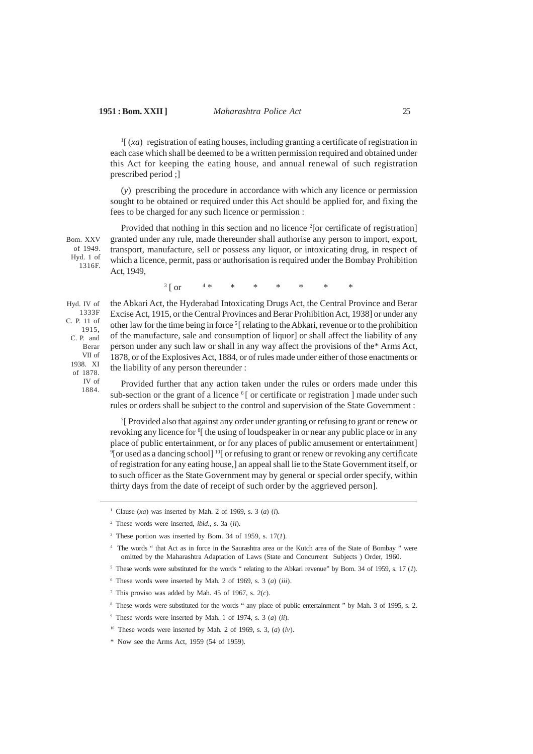<sup>1</sup>[(*xa*) registration of eating houses, including granting a certificate of registration in each case which shall be deemed to be a written permission required and obtained under this Act for keeping the eating house, and annual renewal of such registration prescribed period ;]

(*y*) prescribing the procedure in accordance with which any licence or permission sought to be obtained or required under this Act should be applied for, and fixing the fees to be charged for any such licence or permission :

Provided that nothing in this section and no licence <sup>2</sup>[or certificate of registration] granted under any rule, made thereunder shall authorise any person to import, export, transport, manufacture, sell or possess any liquor, or intoxicating drug, in respect of which a licence, permit, pass or authorisation is required under the Bombay Prohibition Act, 1949, Bom. XXV of 1949. Hyd. 1 of 1316F.

> $3 \mid$  or  $\begin{bmatrix} \text{or} & 4 & * & * & * & * & * & * \end{bmatrix}$

Hyd. IV of 1333F C. P. 11 of 1915, C. P. and Berar VII of 1938. XI of 1878. IV of 1884.

the Abkari Act, the Hyderabad Intoxicating Drugs Act, the Central Province and Berar Excise Act, 1915, or the Central Provinces and Berar Prohibition Act, 1938] or under any other law for the time being in force <sup>5</sup>[ relating to the Abkari, revenue or to the prohibition of the manufacture, sale and consumption of liquor] or shall affect the liability of any person under any such law or shall in any way affect the provisions of the\* Arms Act, 1878, or of the Explosives Act, 1884, or of rules made under either of those enactments or the liability of any person thereunder :

Provided further that any action taken under the rules or orders made under this sub-section or the grant of a licence  $\delta$ [ or certificate or registration ] made under such rules or orders shall be subject to the control and supervision of the State Government :

7 [ Provided also that against any order under granting or refusing to grant or renew or revoking any licence for <sup>8</sup>[ the using of loudspeaker in or near any public place or in any place of public entertainment, or for any places of public amusement or entertainment] <sup>9</sup>[or used as a dancing school]<sup>10</sup>[ or refusing to grant or renew or revoking any certificate of registration for any eating house,] an appeal shall lie to the State Government itself, or to such officer as the State Government may by general or special order specify, within thirty days from the date of receipt of such order by the aggrieved person].

<sup>1</sup> Clause (*xa*) was inserted by Mah. 2 of 1969, s. 3 (*a*) (*i*).

<sup>2</sup> These words were inserted, *ibid*., s. 3a (*ii*).

<sup>&</sup>lt;sup>3</sup> These portion was inserted by Bom. 34 of 1959, s.  $17(1)$ .

<sup>4</sup> The words " that Act as in force in the Saurashtra area or the Kutch area of the State of Bombay " were omitted by the Maharashtra Adaptation of Laws (State and Concurrent Subjects ) Order, 1960.

<sup>5</sup> These words were substituted for the words " relating to the Abkari revenue" by Bom. 34 of 1959, s. 17 (*1*).

<sup>6</sup> These words were inserted by Mah. 2 of 1969, s. 3 (*a*) (*iii*).

<sup>&</sup>lt;sup>7</sup> This proviso was added by Mah. 45 of 1967, s.  $2(c)$ .

<sup>8</sup> These words were substituted for the words " any place of public entertainment " by Mah. 3 of 1995, s. 2.

<sup>9</sup> These words were inserted by Mah. 1 of 1974, s. 3 (*a*) (*ii*).

<sup>10</sup> These words were inserted by Mah. 2 of 1969, s. 3, (*a*) (*iv*).

<sup>\*</sup> Now see the Arms Act, 1959 (54 of 1959).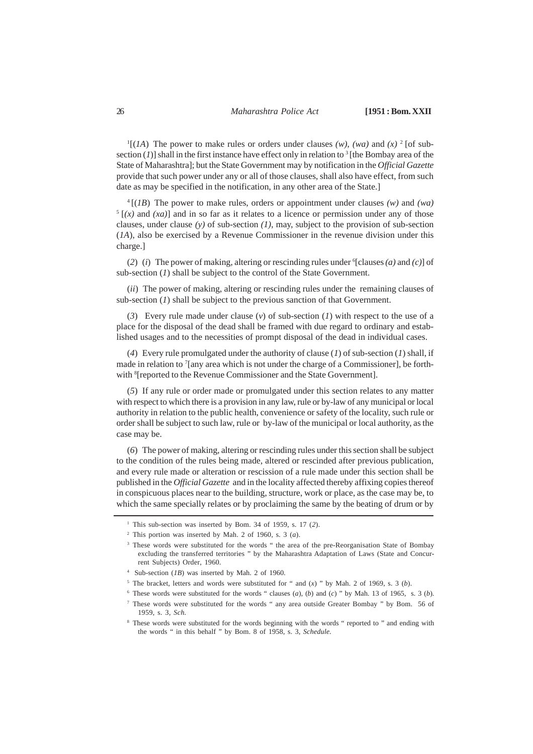$\mathbb{P}[(1A)$  The power to make rules or orders under clauses *(w)*, *(wa)* and *(x)* <sup>2</sup> [of subsection  $(I)$ ] shall in the first instance have effect only in relation to <sup>3</sup> [the Bombay area of the State of Maharashtra]; but the State Government may by notification in the *Official Gazette* provide that such power under any or all of those clauses, shall also have effect, from such date as may be specified in the notification, in any other area of the State.]

4 [(*1B*) The power to make rules, orders or appointment under clauses *(w)* and *(wa)*  $<sup>5</sup>$  [(x) and (xa)] and in so far as it relates to a licence or permission under any of those</sup> clauses, under clause *(y)* of sub-section *(1)*, may, subject to the provision of sub-section (*1A*), also be exercised by a Revenue Commissioner in the revenue division under this charge.]

(2) (*i*) The power of making, altering or rescinding rules under  $\{clauses (a) \text{ and } (c)\}$  of sub-section (*1*) shall be subject to the control of the State Government.

(*ii*) The power of making, altering or rescinding rules under the remaining clauses of sub-section (*1*) shall be subject to the previous sanction of that Government.

(*3*) Every rule made under clause (*v*) of sub-section (*1*) with respect to the use of a place for the disposal of the dead shall be framed with due regard to ordinary and established usages and to the necessities of prompt disposal of the dead in individual cases.

(*4*) Every rule promulgated under the authority of clause (*1*) of sub-section (*1*) shall, if made in relation to <sup>7</sup>[any area which is not under the charge of a Commissioner], be forthwith <sup>8</sup>[reported to the Revenue Commissioner and the State Government].

(*5*) If any rule or order made or promulgated under this section relates to any matter with respect to which there is a provision in any law, rule or by-law of any municipal or local authority in relation to the public health, convenience or safety of the locality, such rule or order shall be subject to such law, rule or by-law of the municipal or local authority, as the case may be.

(*6*) The power of making, altering or rescinding rules under this section shall be subject to the condition of the rules being made, altered or rescinded after previous publication, and every rule made or alteration or rescission of a rule made under this section shall be published in the *Official Gazette* and in the locality affected thereby affixing copies thereof in conspicuous places near to the building, structure, work or place, as the case may be, to which the same specially relates or by proclaiming the same by the beating of drum or by

<sup>&</sup>lt;sup>1</sup> This sub-section was inserted by Bom. 34 of 1959, s. 17 (2).

 $2$  This portion was inserted by Mah. 2 of 1960, s. 3 (*a*).

<sup>&</sup>lt;sup>3</sup> These words were substituted for the words " the area of the pre-Reorganisation State of Bombay excluding the transferred territories " by the Maharashtra Adaptation of Laws (State and Concurrent Subjects) Order, 1960.

<sup>4</sup> Sub-section (*1B*) was inserted by Mah. 2 of 1960.

<sup>&</sup>lt;sup>5</sup> The bracket, letters and words were substituted for " and  $(x)$  " by Mah. 2 of 1969, s. 3 (*b*).

<sup>&</sup>lt;sup>6</sup> These words were substituted for the words " clauses  $(a)$ ,  $(b)$  and  $(c)$  " by Mah. 13 of 1965, s. 3  $(b)$ .

<sup>7</sup> These words were substituted for the words " any area outside Greater Bombay " by Bom. 56 of 1959, s. 3, *Sch*.

<sup>&</sup>lt;sup>8</sup> These words were substituted for the words beginning with the words " reported to " and ending with the words " in this behalf " by Bom. 8 of 1958, s. 3, *Schedule.*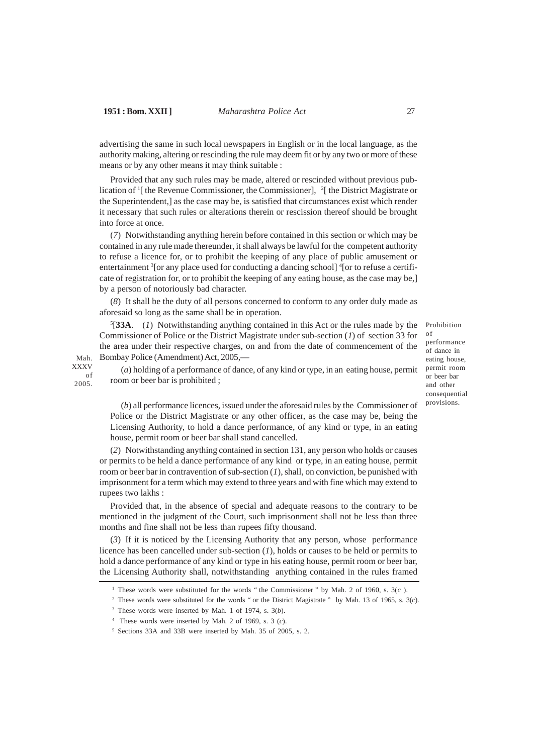Mah. XXXV of 2005.

advertising the same in such local newspapers in English or in the local language, as the authority making, altering or rescinding the rule may deem fit or by any two or more of these means or by any other means it may think suitable :

Provided that any such rules may be made, altered or rescinded without previous publication of <sup>1</sup>[ the Revenue Commissioner, the Commissioner], <sup>2</sup>[ the District Magistrate or the Superintendent,] as the case may be, is satisfied that circumstances exist which render it necessary that such rules or alterations therein or rescission thereof should be brought into force at once.

(*7*) Notwithstanding anything herein before contained in this section or which may be contained in any rule made thereunder, it shall always be lawful for the competent authority to refuse a licence for, or to prohibit the keeping of any place of public amusement or entertainment <sup>3</sup>[or any place used for conducting a dancing school] <sup>4</sup>[or to refuse a certificate of registration for, or to prohibit the keeping of any eating house, as the case may be,] by a person of notoriously bad character.

(*8*) It shall be the duty of all persons concerned to conform to any order duly made as aforesaid so long as the same shall be in operation.

5 [**33A**. (*1*) Notwithstanding anything contained in this Act or the rules made by the Commissioner of Police or the District Magistrate under sub-section (*1*) of section 33 for the area under their respective charges, on and from the date of commencement of the Bombay Police (Amendment) Act, 2005,—

Prohibition of performance of dance in eating house, permit room or beer bar and other consequential provisions.

(*a*) holding of a performance of dance, of any kind or type, in an eating house, permit room or beer bar is prohibited ;

(*b*) all performance licences, issued under the aforesaid rules by the Commissioner of Police or the District Magistrate or any other officer, as the case may be, being the Licensing Authority, to hold a dance performance, of any kind or type, in an eating house, permit room or beer bar shall stand cancelled.

(*2*) Notwithstanding anything contained in section 131, any person who holds or causes or permits to be held a dance performance of any kind or type, in an eating house, permit room or beer bar in contravention of sub-section (*1*), shall, on conviction, be punished with imprisonment for a term which may extend to three years and with fine which may extend to rupees two lakhs :

Provided that, in the absence of special and adequate reasons to the contrary to be mentioned in the judgment of the Court, such imprisonment shall not be less than three months and fine shall not be less than rupees fifty thousand.

(*3*) If it is noticed by the Licensing Authority that any person, whose performance licence has been cancelled under sub-section (*1*), holds or causes to be held or permits to hold a dance performance of any kind or type in his eating house, permit room or beer bar, the Licensing Authority shall, notwithstanding anything contained in the rules framed

<sup>1</sup> These words were substituted for the words " the Commissioner " by Mah. 2 of 1960, s. 3(*c* ).

<sup>&</sup>lt;sup>2</sup> These words were substituted for the words " or the District Magistrate " by Mah. 13 of 1965, s. 3(*c*).

<sup>3</sup> These words were inserted by Mah. 1 of 1974, s. 3(*b*).

<sup>4</sup> These words were inserted by Mah. 2 of 1969, s. 3 (*c*).

<sup>5</sup> Sections 33A and 33B were inserted by Mah. 35 of 2005, s. 2.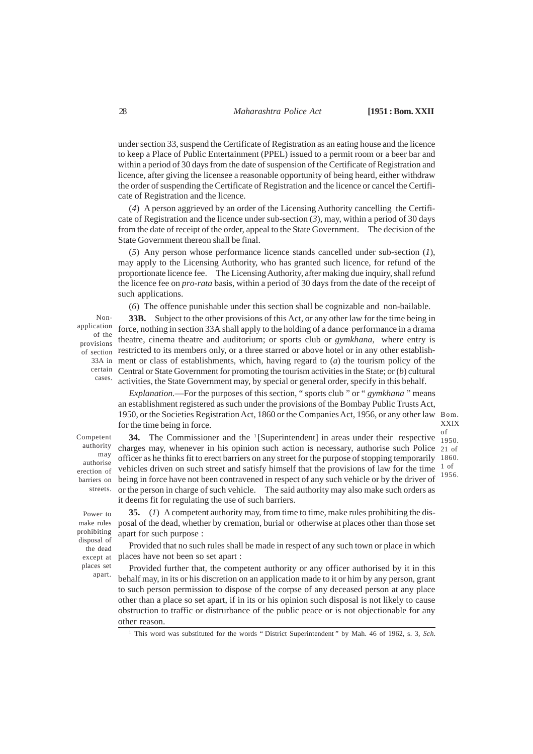under section 33, suspend the Certificate of Registration as an eating house and the licence to keep a Place of Public Entertainment (PPEL) issued to a permit room or a beer bar and within a period of 30 days from the date of suspension of the Certificate of Registration and licence, after giving the licensee a reasonable opportunity of being heard, either withdraw the order of suspending the Certificate of Registration and the licence or cancel the Certificate of Registration and the licence.

(*4*) A person aggrieved by an order of the Licensing Authority cancelling the Certificate of Registration and the licence under sub-section (*3*), may, within a period of 30 days from the date of receipt of the order, appeal to the State Government. The decision of the State Government thereon shall be final.

(*5*) Any person whose performance licence stands cancelled under sub-section (*1*), may apply to the Licensing Authority, who has granted such licence, for refund of the proportionate licence fee. The Licensing Authority, after making due inquiry, shall refund the licence fee on *pro-rata* basis, within a period of 30 days from the date of the receipt of such applications.

(*6*) The offence punishable under this section shall be cognizable and non-bailable.

Nonapplication of the provisions of section 33A in certain cases.

**33B.** Subject to the other provisions of this Act, or any other law for the time being in force, nothing in section 33A shall apply to the holding of a dance performance in a drama theatre, cinema theatre and auditorium; or sports club or *gymkhana,* where entry is restricted to its members only, or a three starred or above hotel or in any other establishment or class of establishments, which, having regard to (*a*) the tourism policy of the Central or State Government for promoting the tourism activities in the State; or (*b*) cultural activities, the State Government may, by special or general order, specify in this behalf.

*Explanation.*—For the purposes of this section, " sports club " or " *gymkhana* " means an establishment registered as such under the provisions of the Bombay Public Trusts Act, 1950, or the Societies Registration Act, 1860 or the Companies Act, 1956, or any other law Bom. for the time being in force.

XXIX of

Competent authority may authorise erection of barriers on streets.

Power to make rules prohibiting disposal of the dead except at places set apart.

**34.** The Commissioner and the  $\frac{1}{2}$ [Superintendent] in areas under their respective  $\frac{0.1}{1950}$ charges may, whenever in his opinion such action is necessary, authorise such Police 21 of officer as he thinks fit to erect barriers on any street for the purpose of stopping temporarily 1860. vehicles driven on such street and satisfy himself that the provisions of law for the time being in force have not been contravened in respect of any such vehicle or by the driver of or the person in charge of such vehicle. The said authority may also make such orders as it deems fit for regulating the use of such barriers. 1 of 1956.

**35.** (*1*) A competent authority may, from time to time, make rules prohibiting the disposal of the dead, whether by cremation, burial or otherwise at places other than those set apart for such purpose :

Provided that no such rules shall be made in respect of any such town or place in which places have not been so set apart :

Provided further that, the competent authority or any officer authorised by it in this behalf may, in its or his discretion on an application made to it or him by any person, grant to such person permission to dispose of the corpse of any deceased person at any place other than a place so set apart, if in its or his opinion such disposal is not likely to cause obstruction to traffic or distrurbance of the public peace or is not objectionable for any other reason.

<sup>1</sup> This word was substituted for the words " District Superintendent " by Mah. 46 of 1962, s. 3, *Sch*.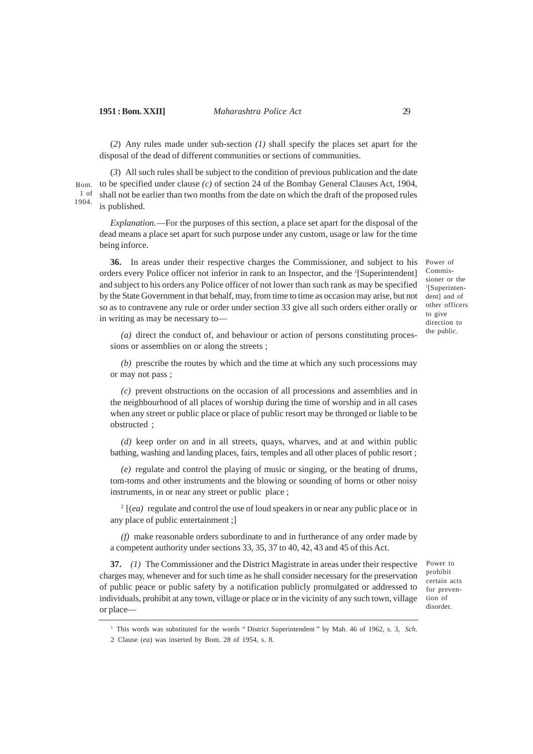(*2*) Any rules made under sub-section *(1)* shall specify the places set apart for the disposal of the dead of different communities or sections of communities.

(*3*) All such rules shall be subject to the condition of previous publication and the date to be specified under clause *(c)* of section 24 of the Bombay General Clauses Act, 1904, shall not be earlier than two months from the date on which the draft of the proposed rules is published. Bom. 1 of 1904.

*Explanation.*—For the purposes of this section, a place set apart for the disposal of the dead means a place set apart for such purpose under any custom, usage or law for the time being inforce.

**36.** In areas under their respective charges the Commissioner, and subject to his orders every Police officer not inferior in rank to an Inspector, and the <sup>1</sup>[Superintendent] and subject to his orders any Police officer of not lower than such rank as may be specified by the State Government in that behalf, may, from time to time as occasion may arise, but not so as to contravene any rule or order under section 33 give all such orders either orally or in writing as may be necessary to—

Power of Commissioner or the 1 [Superintendent] and of other officers to give direction to the public.

*(a)* direct the conduct of, and behaviour or action of persons constituting processions or assemblies on or along the streets ;

*(b)* prescribe the routes by which and the time at which any such processions may or may not pass ;

*(c)* prevent obstructions on the occasion of all processions and assemblies and in the neighbourhood of all places of worship during the time of worship and in all cases when any street or public place or place of public resort may be thronged or liable to be obstructed ;

*(d)* keep order on and in all streets, quays, wharves, and at and within public bathing, washing and landing places, fairs, temples and all other places of public resort ;

*(e)* regulate and control the playing of music or singing, or the beating of drums, tom-toms and other instruments and the blowing or sounding of horns or other noisy instruments, in or near any street or public place ;

2 [(*ea)* regulate and control the use of loud speakers in or near any public place or in any place of public entertainment ;]

*(f)* make reasonable orders subordinate to and in furtherance of any order made by a competent authority under sections 33, 35, 37 to 40, 42, 43 and 45 of this Act.

**37.** *(1)* The Commissioner and the District Magistrate in areas under their respective charges may, whenever and for such time as he shall consider necessary for the preservation of public peace or public safety by a notification publicly promulgated or addressed to individuals, prohibit at any town, village or place or in the vicinity of any such town, village or place—

Power to prohibit certain acts for prevention of disorder.

<sup>1</sup> This words was substituted for the words " District Superintendent " by Mah. 46 of 1962, s. 3, *Sch*.

<sup>2</sup> Clause (*ea*) was inserted by Bom. 28 of 1954, s. 8.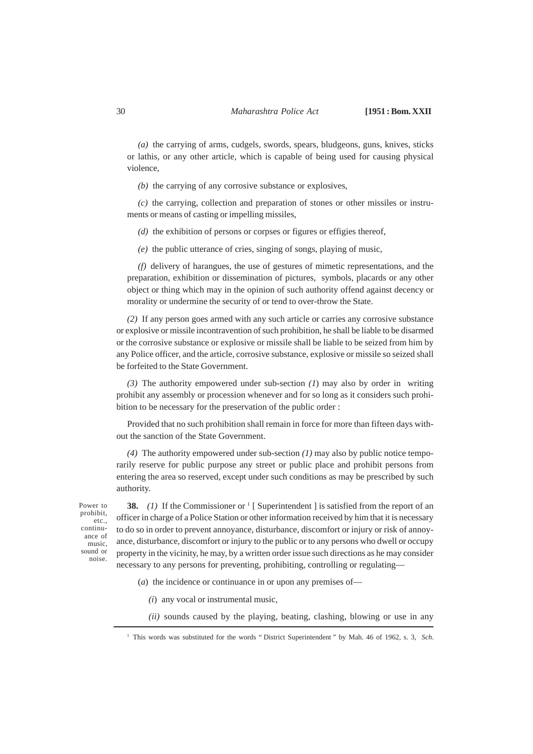*(a)* the carrying of arms, cudgels, swords, spears, bludgeons, guns, knives, sticks or lathis, or any other article, which is capable of being used for causing physical violence,

*(b)* the carrying of any corrosive substance or explosives,

*(c)* the carrying, collection and preparation of stones or other missiles or instruments or means of casting or impelling missiles,

*(d)* the exhibition of persons or corpses or figures or effigies thereof,

*(e)* the public utterance of cries, singing of songs, playing of music,

*(f)* delivery of harangues, the use of gestures of mimetic representations, and the preparation, exhibition or dissemination of pictures, symbols, placards or any other object or thing which may in the opinion of such authority offend against decency or morality or undermine the security of or tend to over-throw the State.

*(2)* If any person goes armed with any such article or carries any corrosive substance or explosive or missile incontravention of such prohibition, he shall be liable to be disarmed or the corrosive substance or explosive or missile shall be liable to be seized from him by any Police officer, and the article, corrosive substance, explosive or missile so seized shall be forfeited to the State Government.

*(3)* The authority empowered under sub-section *(1*) may also by order in writing prohibit any assembly or procession whenever and for so long as it considers such prohibition to be necessary for the preservation of the public order :

Provided that no such prohibition shall remain in force for more than fifteen days without the sanction of the State Government.

*(4)* The authority empowered under sub-section *(1)* may also by public notice temporarily reserve for public purpose any street or public place and prohibit persons from entering the area so reserved, except under such conditions as may be prescribed by such authority.

Power to prohibit, etc., continuance of music, sound or noise.

**38.** (1) If the Commissioner or <sup>1</sup> [ Superintendent ] is satisfied from the report of an officer in charge of a Police Station or other information received by him that it is necessary to do so in order to prevent annoyance, disturbance, discomfort or injury or risk of annoyance, disturbance, discomfort or injury to the public or to any persons who dwell or occupy property in the vicinity, he may, by a written order issue such directions as he may consider necessary to any persons for preventing, prohibiting, controlling or regulating—

(*a*) the incidence or continuance in or upon any premises of—

*(i*) any vocal or instrumental music,

*(ii)* sounds caused by the playing, beating, clashing, blowing or use in any

<sup>1</sup> This words was substituted for the words " District Superintendent " by Mah. 46 of 1962, s. 3, *Sch*.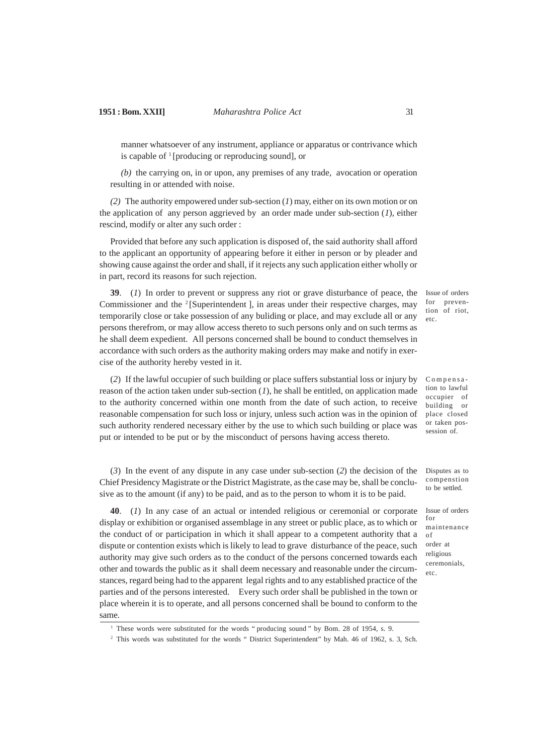manner whatsoever of any instrument, appliance or apparatus or contrivance which is capable of  $\frac{1}{2}$  [producing or reproducing sound], or

*(b)* the carrying on, in or upon, any premises of any trade, avocation or operation resulting in or attended with noise.

*(2)* The authority empowered under sub-section (*1*) may, either on its own motion or on the application of any person aggrieved by an order made under sub-section (*1*), either rescind, modify or alter any such order :

Provided that before any such application is disposed of, the said authority shall afford to the applicant an opportunity of appearing before it either in person or by pleader and showing cause against the order and shall, if it rejects any such application either wholly or in part, record its reasons for such rejection.

**39**. (*1*) In order to prevent or suppress any riot or grave disturbance of peace, the Commissioner and the <sup>2</sup> [Superintendent ], in areas under their respective charges, may temporarily close or take possession of any buliding or place, and may exclude all or any persons therefrom, or may allow access thereto to such persons only and on such terms as he shall deem expedient. All persons concerned shall be bound to conduct themselves in accordance with such orders as the authority making orders may make and notify in exercise of the authority hereby vested in it.

Issue of orders for prevention of riot, etc.

Compensation to lawful occupier of building or place closed or taken possession of.

Issue of orders for

maintenance

of order at religious ceremonials, etc.

(*2*) If the lawful occupier of such building or place suffers substantial loss or injury by reason of the action taken under sub-section (*1*), he shall be entitled, on application made to the authority concerned within one month from the date of such action, to receive reasonable compensation for such loss or injury, unless such action was in the opinion of such authority rendered necessary either by the use to which such building or place was put or intended to be put or by the misconduct of persons having access thereto.

(*3*) In the event of any dispute in any case under sub-section (*2*) the decision of the Chief Presidency Magistrate or the District Magistrate, as the case may be, shall be conclusive as to the amount (if any) to be paid, and as to the person to whom it is to be paid. Disputes as to compenstion to be settled.

**40**. (*1*) In any case of an actual or intended religious or ceremonial or corporate display or exhibition or organised assemblage in any street or public place, as to which or the conduct of or participation in which it shall appear to a competent authority that a dispute or contention exists which is likely to lead to grave disturbance of the peace, such authority may give such orders as to the conduct of the persons concerned towards each other and towards the public as it shall deem necessary and reasonable under the circumstances, regard being had to the apparent legal rights and to any established practice of the parties and of the persons interested. Every such order shall be published in the town or place wherein it is to operate, and all persons concerned shall be bound to conform to the same.

<sup>&</sup>lt;sup>1</sup> These words were substituted for the words " producing sound " by Bom. 28 of 1954, s. 9.

<sup>&</sup>lt;sup>2</sup> This words was substituted for the words " District Superintendent" by Mah. 46 of 1962, s. 3, Sch.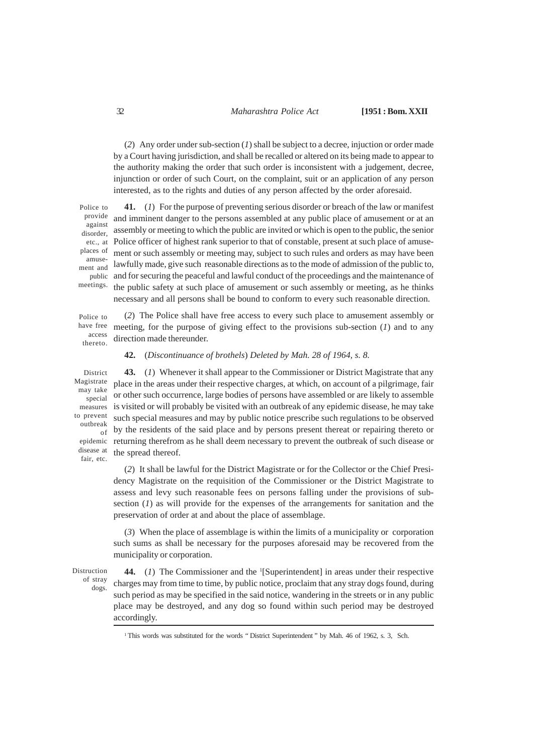(*2*) Any order under sub-section (*1*) shall be subject to a decree, injuction or order made by a Court having jurisdiction, and shall be recalled or altered on its being made to appear to the authority making the order that such order is inconsistent with a judgement, decree, injunction or order of such Court, on the complaint, suit or an application of any person interested, as to the rights and duties of any person affected by the order aforesaid.

**41.** (*1*) For the purpose of preventing serious disorder or breach of the law or manifest

and imminent danger to the persons assembled at any public place of amusement or at an assembly or meeting to which the public are invited or which is open to the public, the senior Police officer of highest rank superior to that of constable, present at such place of amusement or such assembly or meeting may, subject to such rules and orders as may have been lawfully made, give such reasonable directions as to the mode of admission of the public to, and for securing the peaceful and lawful conduct of the proceedings and the maintenance of the public safety at such place of amusement or such assembly or meeting, as he thinks Police to provide against disorder, etc., at places of amusement and public meetings.

Police to have free access thereto.

(*2*) The Police shall have free access to every such place to amusement assembly or meeting, for the purpose of giving effect to the provisions sub-section (*1*) and to any direction made thereunder.

necessary and all persons shall be bound to conform to every such reasonable direction.

#### **42.** (*Discontinuance of brothels*) *Deleted by Mah. 28 of 1964, s. 8.*

District Magistrate may take special measures to prevent outbreak of epidemic disease at fair, etc.

**43.** (*1*) Whenever it shall appear to the Commissioner or District Magistrate that any place in the areas under their respective charges, at which, on account of a pilgrimage, fair or other such occurrence, large bodies of persons have assembled or are likely to assemble is visited or will probably be visited with an outbreak of any epidemic disease, he may take such special measures and may by public notice prescribe such regulations to be observed by the residents of the said place and by persons present thereat or repairing thereto or returning therefrom as he shall deem necessary to prevent the outbreak of such disease or the spread thereof.

(*2*) It shall be lawful for the District Magistrate or for the Collector or the Chief Presidency Magistrate on the requisition of the Commissioner or the District Magistrate to assess and levy such reasonable fees on persons falling under the provisions of subsection (*1*) as will provide for the expenses of the arrangements for sanitation and the preservation of order at and about the place of assemblage.

(*3*) When the place of assemblage is within the limits of a municipality or corporation such sums as shall be necessary for the purposes aforesaid may be recovered from the municipality or corporation.

Distruction of stray

dogs.

44. (1) The Commissioner and the <sup>1</sup>[Superintendent] in areas under their respective charges may from time to time, by public notice, proclaim that any stray dogs found, during such period as may be specified in the said notice, wandering in the streets or in any public place may be destroyed, and any dog so found within such period may be destroyed accordingly.

<sup>&</sup>lt;sup>1</sup>This words was substituted for the words " District Superintendent " by Mah. 46 of 1962, s. 3, Sch.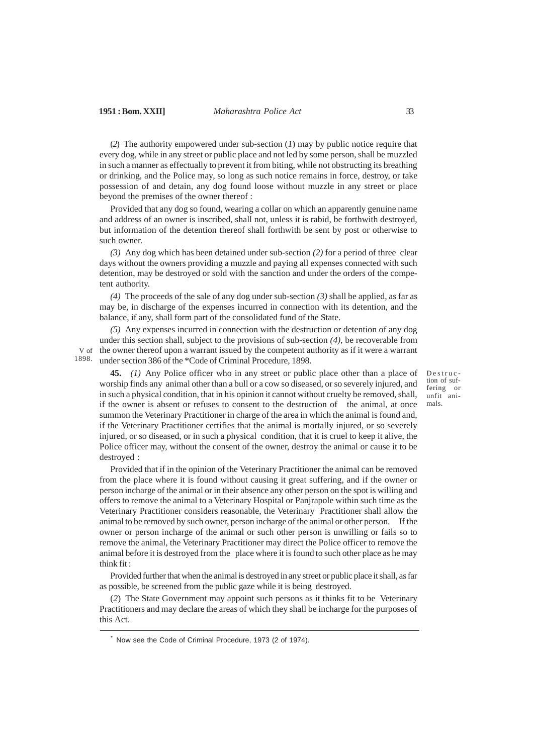(*2*) The authority empowered under sub-section (*1*) may by public notice require that every dog, while in any street or public place and not led by some person, shall be muzzled in such a manner as effectually to prevent it from biting, while not obstructing its breathing or drinking, and the Police may, so long as such notice remains in force, destroy, or take possession of and detain, any dog found loose without muzzle in any street or place beyond the premises of the owner thereof :

Provided that any dog so found, wearing a collar on which an apparently genuine name and address of an owner is inscribed, shall not, unless it is rabid, be forthwith destroyed, but information of the detention thereof shall forthwith be sent by post or otherwise to such owner.

*(3)* Any dog which has been detained under sub-section *(2)* for a period of three clear days without the owners providing a muzzle and paying all expenses connected with such detention, may be destroyed or sold with the sanction and under the orders of the competent authority.

*(4)* The proceeds of the sale of any dog under sub-section *(3)* shall be applied, as far as may be, in discharge of the expenses incurred in connection with its detention, and the balance, if any, shall form part of the consolidated fund of the State.

*(5)* Any expenses incurred in connection with the destruction or detention of any dog under this section shall, subject to the provisions of sub-section *(4)*, be recoverable from V of the owner thereof upon a warrant issued by the competent authority as if it were a warrant under section 386 of the \*Code of Criminal Procedure, 1898. 1898.

**45.** *(1)* Any Police officer who in any street or public place other than a place of worship finds any animal other than a bull or a cow so diseased, or so severely injured, and in such a physical condition, that in his opinion it cannot without cruelty be removed, shall, if the owner is absent or refuses to consent to the destruction of the animal, at once summon the Veterinary Practitioner in charge of the area in which the animal is found and, if the Veterinary Practitioner certifies that the animal is mortally injured, or so severely injured, or so diseased, or in such a physical condition, that it is cruel to keep it alive, the Police officer may, without the consent of the owner, destroy the animal or cause it to be destroyed :

Provided that if in the opinion of the Veterinary Practitioner the animal can be removed from the place where it is found without causing it great suffering, and if the owner or person incharge of the animal or in their absence any other person on the spot is willing and offers to remove the animal to a Veterinary Hospital or Panjrapole within such time as the Veterinary Practitioner considers reasonable, the Veterinary Practitioner shall allow the animal to be removed by such owner, person incharge of the animal or other person. If the owner or person incharge of the animal or such other person is unwilling or fails so to remove the animal, the Veterinary Practitioner may direct the Police officer to remove the animal before it is destroyed from the place where it is found to such other place as he may think fit :

Provided further that when the animal is destroyed in any street or public place it shall, as far as possible, be screened from the public gaze while it is being destroyed.

(*2*) The State Government may appoint such persons as it thinks fit to be Veterinary Practitioners and may declare the areas of which they shall be incharge for the purposes of this Act.

Now see the Code of Criminal Procedure, 1973 (2 of 1974).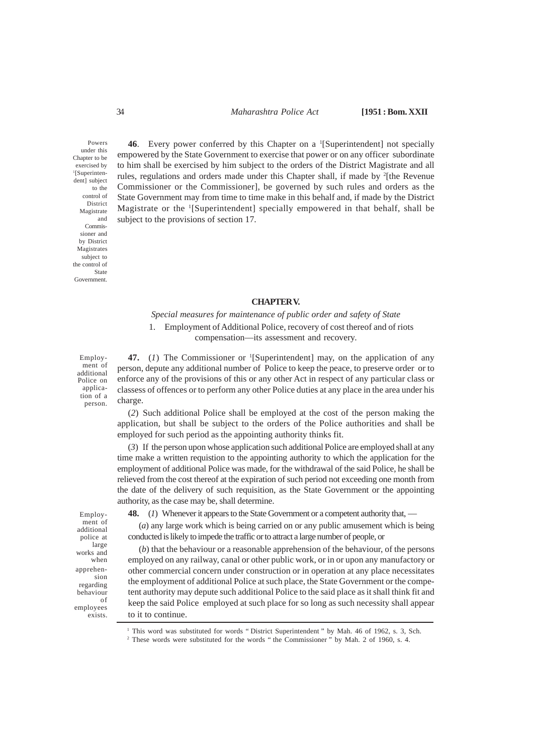### 34 *Maharashtra Police Act* **[1951 : Bom. XXII**

Powers under this Chapter to be exercised by 1 [Superintendent] subject to the control of District Magistrate and Commissioner and by District Magistrates subject to the control of State Government.

**46**. Every power conferred by this Chapter on a <sup>1</sup>[Superintendent] not specially empowered by the State Government to exercise that power or on any officer subordinate to him shall be exercised by him subject to the orders of the District Magistrate and all rules, regulations and orders made under this Chapter shall, if made by <sup>2</sup>[the Revenue Commissioner or the Commissioner], be governed by such rules and orders as the State Government may from time to time make in this behalf and, if made by the District Magistrate or the '[Superintendent] specially empowered in that behalf, shall be subject to the provisions of section 17.

### **CHAPTER V.**

# *Special measures for maintenance of public order and safety of State* 1. Employment of Additional Police, recovery of cost thereof and of riots compensation—its assessment and recovery.

Employment of additional Police on application of a person.

47. (1) The Commissioner or <sup>1</sup>[Superintendent] may, on the application of any person, depute any additional number of Police to keep the peace, to preserve order or to enforce any of the provisions of this or any other Act in respect of any particular class or classess of offences or to perform any other Police duties at any place in the area under his charge.

(*2*) Such additional Police shall be employed at the cost of the person making the application, but shall be subject to the orders of the Police authorities and shall be employed for such period as the appointing authority thinks fit.

(*3*) If the person upon whose application such additional Police are employed shall at any time make a written requistion to the appointing authority to which the application for the employment of additional Police was made, for the withdrawal of the said Police, he shall be relieved from the cost thereof at the expiration of such period not exceeding one month from the date of the delivery of such requisition, as the State Government or the appointing authority, as the case may be, shall determine.

Employment of additional police at large works and when apprehension regarding behaviour of employees exists.

**48.** (*1*) Whenever it appears to the State Government or a competent authority that, —

(*a*) any large work which is being carried on or any public amusement which is being conducted is likely to impede the traffic or to attract a large number of people, or

(*b*) that the behaviour or a reasonable apprehension of the behaviour, of the persons employed on any railway, canal or other public work, or in or upon any manufactory or other commercial concern under construction or in operation at any place necessitates the employment of additional Police at such place, the State Government or the competent authority may depute such additional Police to the said place as it shall think fit and keep the said Police employed at such place for so long as such necessity shall appear to it to continue.

<sup>2</sup> These words were substituted for the words " the Commissioner " by Mah. 2 of 1960, s. 4.

<sup>&</sup>lt;sup>1</sup> This word was substituted for words "District Superintendent " by Mah. 46 of 1962, s. 3, Sch.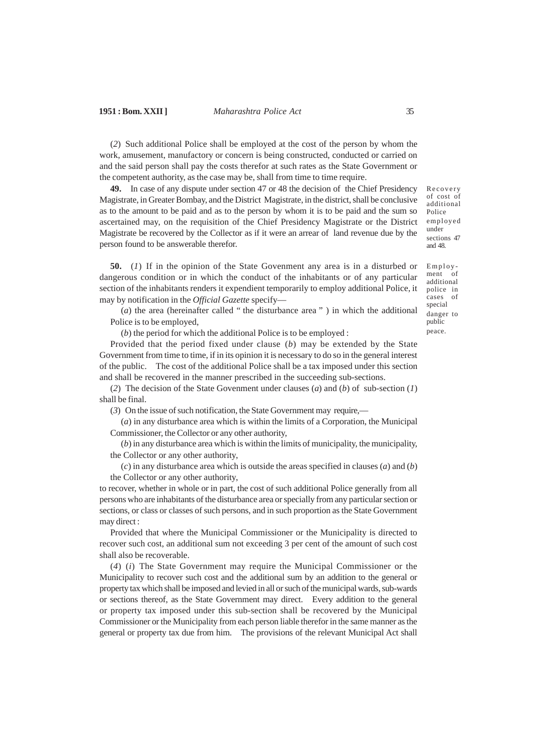(*2*) Such additional Police shall be employed at the cost of the person by whom the work, amusement, manufactory or concern is being constructed, conducted or carried on and the said person shall pay the costs therefor at such rates as the State Government or the competent authority, as the case may be, shall from time to time require.

**49.** In case of any dispute under section 47 or 48 the decision of the Chief Presidency Magistrate, in Greater Bombay, and the District Magistrate, in the district, shall be conclusive as to the amount to be paid and as to the person by whom it is to be paid and the sum so ascertained may, on the requisition of the Chief Presidency Magistrate or the District Magistrate be recovered by the Collector as if it were an arrear of land revenue due by the person found to be answerable therefor.

**50.** (*1*) If in the opinion of the State Govenment any area is in a disturbed or dangerous condition or in which the conduct of the inhabitants or of any particular section of the inhabitants renders it expendient temporarily to employ additional Police, it may by notification in the *Official Gazette* specify—

(*a*) the area (hereinafter called " the disturbance area " ) in which the additional Police is to be employed,

(*b*) the period for which the additional Police is to be employed :

Provided that the period fixed under clause (*b*) may be extended by the State Government from time to time, if in its opinion it is necessary to do so in the general interest of the public. The cost of the additional Police shall be a tax imposed under this section and shall be recovered in the manner prescribed in the succeeding sub-sections.

(*2*) The decision of the State Govenment under clauses (*a*) and (*b*) of sub-section (*1*) shall be final.

(*3*) On the issue of such notification, the State Government may require,—

(*a*) in any disturbance area which is within the limits of a Corporation, the Municipal Commissioner, the Collector or any other authority,

(*b*) in any disturbance area which is within the limits of municipality, the municipality, the Collector or any other authority,

(*c*) in any disturbance area which is outside the areas specified in clauses (*a*) and (*b*) the Collector or any other authority,

to recover, whether in whole or in part, the cost of such additional Police generally from all persons who are inhabitants of the disturbance area or specially from any particular section or sections, or class or classes of such persons, and in such proportion as the State Government may direct :

Provided that where the Municipal Commissioner or the Municipality is directed to recover such cost, an additional sum not exceeding 3 per cent of the amount of such cost shall also be recoverable.

(*4*) (*i*) The State Government may require the Municipal Commissioner or the Municipality to recover such cost and the additional sum by an addition to the general or property tax which shall be imposed and levied in all or such of the municipal wards, sub-wards or sections thereof, as the State Government may direct. Every addition to the general or property tax imposed under this sub-section shall be recovered by the Municipal Commissioner or the Municipality from each person liable therefor in the same manner as the general or property tax due from him. The provisions of the relevant Municipal Act shall

Recovery of cost of additional Police employed under sections 47 and 48.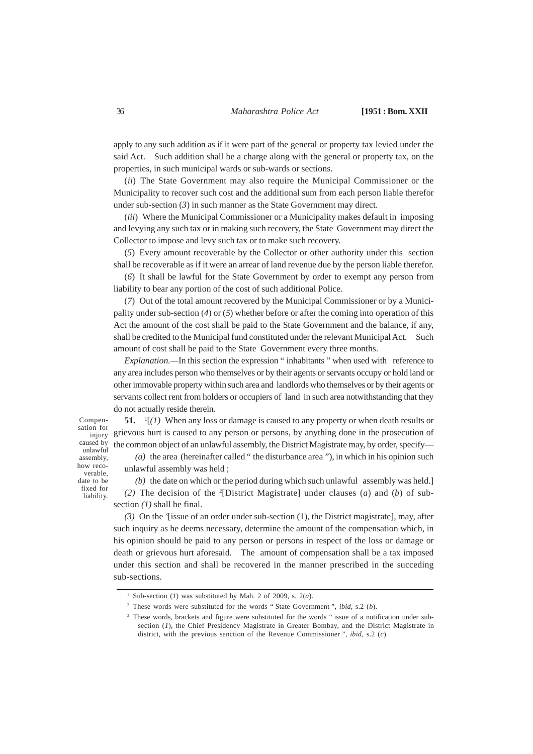apply to any such addition as if it were part of the general or property tax levied under the said Act. Such addition shall be a charge along with the general or property tax, on the properties, in such municipal wards or sub-wards or sections.

(*ii*) The State Government may also require the Municipal Commissioner or the Municipality to recover such cost and the additional sum from each person liable therefor under sub-section (*3*) in such manner as the State Government may direct.

(*iii*) Where the Municipal Commissioner or a Municipality makes default in imposing and levying any such tax or in making such recovery, the State Government may direct the Collector to impose and levy such tax or to make such recovery.

(*5*) Every amount recoverable by the Collector or other authority under this section shall be recoverable as if it were an arrear of land revenue due by the person liable therefor.

(*6*) It shall be lawful for the State Government by order to exempt any person from liability to bear any portion of the cost of such additional Police.

(*7*) Out of the total amount recovered by the Municipal Commissioner or by a Municipality under sub-section (*4*) or (*5*) whether before or after the coming into operation of this Act the amount of the cost shall be paid to the State Government and the balance, if any, shall be credited to the Municipal fund constituted under the relevant Municipal Act. Such amount of cost shall be paid to the State Government every three months.

*Explanation.—*In this section the expression " inhabitants " when used with reference to any area includes person who themselves or by their agents or servants occupy or hold land or other immovable property within such area and landlords who themselves or by their agents or servants collect rent from holders or occupiers of land in such area notwithstanding that they do not actually reside therein.

Compensation for injury caused by unlawful assembly, how recoverable, date to be

> fixed for liability.

**51.** <sup>1</sup>  $\binom{1}{l}$  When any loss or damage is caused to any property or when death results or grievous hurt is caused to any person or persons, by anything done in the prosecution of the common object of an unlawful assembly, the District Magistrate may, by order, specify— *(a)* the area (hereinafter called " the disturbance area "), in which in his opinion such unlawful assembly was held ;

*(b)* the date on which or the period during which such unlawful assembly was held.] *(2)* The decision of the <sup>2</sup> [District Magistrate] under clauses (*a*) and (*b*) of subsection *(1)* shall be final.

*(3)* On the <sup>3</sup> [issue of an order under sub-section (1), the District magistrate], may, after such inquiry as he deems necessary, determine the amount of the compensation which, in his opinion should be paid to any person or persons in respect of the loss or damage or death or grievous hurt aforesaid. The amount of compensation shall be a tax imposed under this section and shall be recovered in the manner prescribed in the succeding sub-sections.

<sup>&</sup>lt;sup>1</sup> Sub-section (*1*) was substituted by Mah. 2 of 2009, s.  $2(a)$ .

<sup>2</sup> These words were substituted for the words " State Government ", *ibid,* s.2 (*b*).

<sup>&</sup>lt;sup>3</sup> These words, brackets and figure were substituted for the words "issue of a notification under subsection (*1*), the Chief Presidency Magistrate in Greater Bombay, and the District Magistrate in district, with the previous sanction of the Revenue Commissioner ", *ibid,* s.2 (*c*).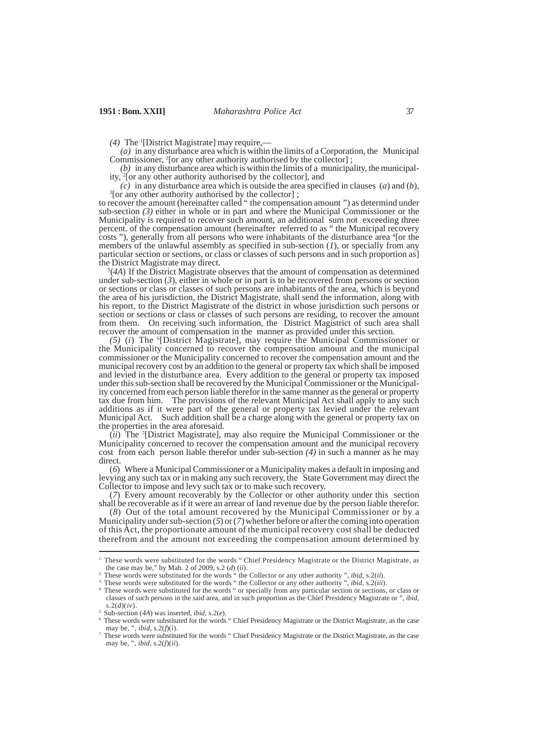(4) The <sup>1</sup>[District Magistrate] may require,—

*(a)* in any disturbance area which is within the limits of a Corporation, the Municipal Commissioner, 2 [or any other authority authorised by the collector] ;

*(b)* in any disturbance area which is within the limits of a municipality, the municipality, 2 [or any other authority authorised by the collector], and

*(c)* in any disturbance area which is outside the area specified in clauses (*a*) and (*b*), <sup>3</sup>[or any other authority authorised by the collector];

to recover the amount (hereinafter called " the compensation amount ") as determind under sub-section *(3)* either in whole or in part and where the Municipal Commissioner or the Municipality is required to recover such amount, an additional sum not exceeding three percent. of the compensation amount (hereinafter referred to as " the Municipal recovery costs "), generally from all persons who were inhabitants of the disturbance area <sup>4</sup> [or the members of the unlawful assembly as specified in sub-section (*1*), or specially from any particular section or sections, or class or classes of such persons and in such proportion as] the District Magistrate may direct.

5 (*4A*) If the District Magistrate observes that the amount of compensation as determined under sub-section  $(3)$ , either in whole or in part is to be recovered from persons or section or sections or class or classes of such persons are inhabitants of the area, which is beyond the area of his jurisdiction, the District Magistrate, shall send the information, along with his report, to the District Magistrate of the district in whose jurisdiction such persons or section or sections or class or classes of such persons are residing, to recover the amount from them. On receiving such information, the District Magistrict of such area shall recover the amount of compensation in the manner as provided under this section.

*(5)* (*i*) The <sup>6</sup> [District Magistrate], may require the Municipal Commissioner or the Municipality concerned to recover the compensation amount and the municipal commissioner or the Municipality concerned to recover the compensation amount and the municipal recovery cost by an addition to the general or property tax which shall be imposed and levied in the disturbance area. Every addition to the general or property tax imposed under this sub-section shall be recovered by the Municipal Commissioner or the Municipality concerned from each person liable therefor in the same manner as the general or property tax due from him. The provisions of the relevant Municipal Act shall apply to any such additions as if it were part of the general or property tax levied under the relevant Municipal Act. Such addition shall be a charge along with the general or property tax on the properties in the area aforesaid.

(*ii*) The <sup>7</sup> [District Magistrate], may also require the Municipal Commissioner or the Municipality concerned to recover the compensation amount and the municipal recovery cost from each person liable therefor under sub-section *(4)* in such a manner as he may direct.

(*6*) Where a Municipal Commissioner or a Municipality makes a default in imposing and levying any such tax or in making any such recovery, the State Government may direct the Collector to impose and levy such tax or to make such recovery.

(*7*) Every amount recoverably by the Collector or other authority under this section shall be recoverable as if it were an arrear of land revenue due by the person liable therefor.

(*8*) Out of the total amount recovered by the Municipal Commissioner or by a Municipality under sub-section  $(5)$  or  $(7)$  whether before or after the coming into operation of this Act, the proportionate amount of the municipal recovery cost shall be deducted therefrom and the amount not exceeding the compensation amount determined by

<sup>1.</sup> These words were substituted for the words " Chief Presidency Magistrate or the District Magistrate, as the case may be," by Mah. 2 of 2009, s.2 (*d*) (*ii*).

<sup>2.</sup> These words were substituted for the words " the Collector or any other authority ", *ibid,* s.2(*ii*).

<sup>3.</sup> These words were substituted for the words " the Collector or any other authority ", *ibid,* s.2(*iii*).

<sup>&</sup>lt;sup>4.</sup> These words were substituted for the words " or specially from any particular section or sections, or class or classes of such persons in the said area, and in such proportion as the Chief Presidency Magistrate or ", *ibid,* s.2(*d*)(*iv*).

<sup>5.</sup> Sub-section (*4A*) was inserted, *ibid,* s.2(*e*).

<sup>&</sup>lt;sup>6.</sup> These words were substituted for the words " Chief Presidency Magistrate or the District Magistrate, as the case may be, ", *ibid,* s.2(*f*)(*i*).

<sup>&</sup>lt;sup>7.</sup> These words were substituted for the words " Chief Presidency Magistrate or the District Magistrate, as the case may be, ", *ibid,* s.2(*f*)(*ii*).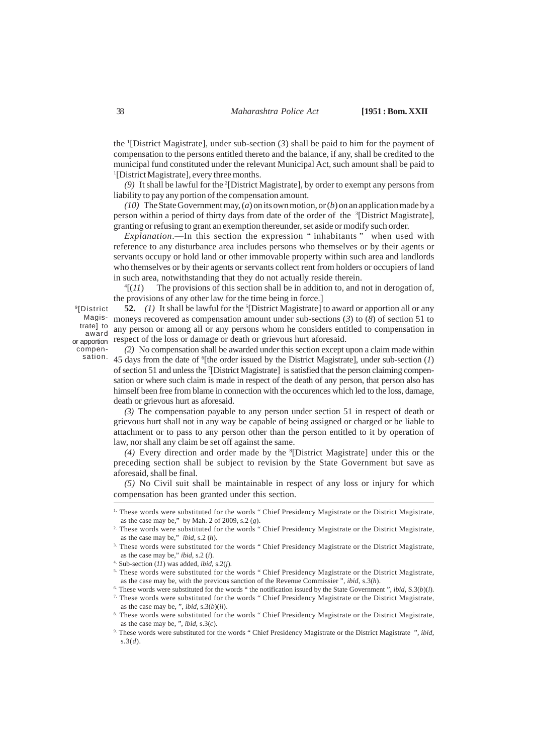the <sup>1</sup> [District Magistrate], under sub-section (*3*) shall be paid to him for the payment of compensation to the persons entitled thereto and the balance, if any, shall be credited to the municipal fund constituted under the relevant Municipal Act, such amount shall be paid to 1 [District Magistrate], every three months.

*(9)* It shall be lawful for the <sup>2</sup> [District Magistrate], by order to exempt any persons from liability to pay any portion of the compensation amount.

*(10)* The State Government may, (*a*) on its own motion, or (*b*) on an application made by a person within a period of thirty days from date of the order of the <sup>3</sup>[District Magistrate], granting or refusing to grant an exemption thereunder, set aside or modify such order.

*Explanation*.—In this section the expression " inhabitants " when used with reference to any disturbance area includes persons who themselves or by their agents or servants occupy or hold land or other immovable property within such area and landlords who themselves or by their agents or servants collect rent from holders or occupiers of land in such area, notwithstanding that they do not actually reside therein.

 $4[(11)$ The provisions of this section shall be in addition to, and not in derogation of, the provisions of any other law for the time being in force.]

52. (1) It shall be lawful for the <sup>5</sup>[District Magistrate] to award or apportion all or any moneys recovered as compensation amount under sub-sections (*3*) to (*8*) of section 51 to any person or among all or any persons whom he considers entitled to compensation in respect of the loss or damage or death or grievous hurt aforesaid.

or apportion compensation.

9 [District Magistrate] to award

*(2)* No compensation shall be awarded under this section except upon a claim made within 45 days from the date of <sup>6</sup>[the order issued by the District Magistrate], under sub-section (1)

of section 51 and unless the <sup>7</sup> [District Magistrate] is satisfied that the person claiming compensation or where such claim is made in respect of the death of any person, that person also has himself been free from blame in connection with the occurences which led to the loss, damage, death or grievous hurt as aforesaid.

*(3)* The compensation payable to any person under section 51 in respect of death or grievous hurt shall not in any way be capable of being assigned or charged or be liable to attachment or to pass to any person other than the person entitled to it by operation of law, nor shall any claim be set off against the same.

*(4)* Every direction and order made by the <sup>8</sup> [District Magistrate] under this or the preceding section shall be subject to revision by the State Government but save as aforesaid, shall be final.

*(5)* No Civil suit shall be maintainable in respect of any loss or injury for which compensation has been granted under this section.

<sup>&</sup>lt;sup>1.</sup> These words were substituted for the words " Chief Presidency Magistrate or the District Magistrate, as the case may be," by Mah. 2 of 2009, s.2 (*g*).

<sup>&</sup>lt;sup>2.</sup> These words were substituted for the words " Chief Presidency Magistrate or the District Magistrate, as the case may be," *ibid,* s.2 (*h*).

<sup>3.</sup> These words were substituted for the words " Chief Presidency Magistrate or the District Magistrate, as the case may be," *ibid,* s.2 (*i*).

<sup>4.</sup> Sub-section (*11*) was added, *ibid,* s.2(*j*).

<sup>5.</sup> These words were substituted for the words " Chief Presidency Magistrate or the District Magistrate, as the case may be, with the previous sanction of the Revenue Commissier ", *ibid,* s.3(*h*).

<sup>6.</sup> These words were substituted for the words " the notification issued by the State Government ", *ibid,* S.3(*b*)(*i*). 7. These words were substituted for the words " Chief Presidency Magistrate or the District Magistrate, as the case may be, ", *ibid,* s.3(*b*)(*ii*).

<sup>8.</sup> These words were substituted for the words " Chief Presidency Magistrate or the District Magistrate, as the case may be, ", *ibid,* s.3(*c*).

<sup>9.</sup> These words were substituted for the words " Chief Presidency Magistrate or the District Magistrate ", *ibid,* s.3(*d*).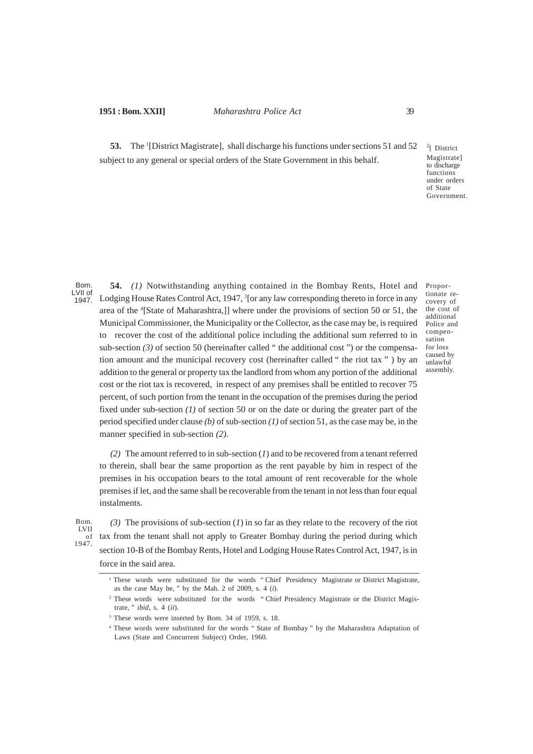53. The <sup>1</sup>[District Magistrate], shall discharge his functions under sections 51 and 52 subject to any general or special orders of the State Government in this behalf.

<sup>2</sup>[ District Magistrate] to discharge functions under orders of State Government.

Proportionate recovery of the cost of additional Police and compensation for loss caused by unlawful assembly.

Bom. LVII of 1947.

**54.** *(1)* Notwithstanding anything contained in the Bombay Rents, Hotel and Lodging House Rates Control Act, 1947, <sup>3</sup>[or any law corresponding thereto in force in any area of the <sup>4</sup> [State of Maharashtra,]] where under the provisions of section 50 or 51, the Municipal Commissioner, the Municipality or the Collector, as the case may be, is required to recover the cost of the additional police including the additional sum referred to in sub-section  $(3)$  of section 50 (hereinafter called " the additional cost ") or the compensation amount and the municipal recovery cost (hereinafter called " the riot tax " ) by an addition to the general or property tax the landlord from whom any portion of the additional cost or the riot tax is recovered, in respect of any premises shall be entitled to recover 75 percent, of such portion from the tenant in the occupation of the premises during the period fixed under sub-section (1) of section 50 or on the date or during the greater part of the period specified under clause *(b)* of sub-section *(1)* of section 51, as the case may be, in the manner specified in sub-section *(2)*.

*(2)* The amount referred to in sub-section (*1*) and to be recovered from a tenant referred to therein, shall bear the same proportion as the rent payable by him in respect of the premises in his occupation bears to the total amount of rent recoverable for the whole premises if let, and the same shall be recoverable from the tenant in not less than four equal instalments.

*(3)* The provisions of sub-section (*1*) in so far as they relate to the recovery of the riot tax from the tenant shall not apply to Greater Bombay during the period during which section 10-B of the Bombay Rents, Hotel and Lodging House Rates Control Act, 1947, is in force in the said area.

<sup>&</sup>lt;sup>1</sup> These words were substituted for the words "Chief Presidency Magistrate or District Magistrate, as the case May be, " by the Mah. 2 of 2009, s. 4 (*i*).

<sup>&</sup>lt;sup>2</sup> These words were substituted for the words "Chief Presidency Magistrate or the District Magistrate, " *ibid*, s. 4 (*ii*).

<sup>3</sup> These words were inserted by Bom. 34 of 1959, s. 18.

<sup>4</sup> These words were substituted for the words " State of Bombay " by the Maharashtra Adaptation of Laws (State and Concurrent Subject) Order, 1960.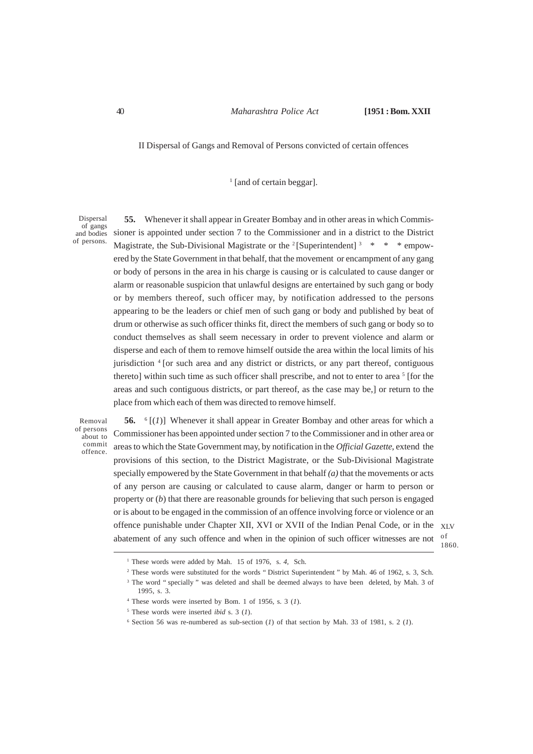II Dispersal of Gangs and Removal of Persons convicted of certain offences

<sup>1</sup> [and of certain beggar].

Dispersal of gangs and bodies of persons.

**55.** Whenever it shall appear in Greater Bombay and in other areas in which Commissioner is appointed under section 7 to the Commissioner and in a district to the District Magistrate, the Sub-Divisional Magistrate or the  $2$  [Superintendent]  $3 \times \times \times \times$  empowered by the State Government in that behalf, that the movement or encampment of any gang or body of persons in the area in his charge is causing or is calculated to cause danger or alarm or reasonable suspicion that unlawful designs are entertained by such gang or body or by members thereof, such officer may, by notification addressed to the persons appearing to be the leaders or chief men of such gang or body and published by beat of drum or otherwise as such officer thinks fit, direct the members of such gang or body so to conduct themselves as shall seem necessary in order to prevent violence and alarm or disperse and each of them to remove himself outside the area within the local limits of his jurisdiction <sup>4</sup> [or such area and any district or districts, or any part thereof, contiguous thereto] within such time as such officer shall prescribe, and not to enter to area <sup>5</sup> [for the areas and such contiguous districts, or part thereof, as the case may be,] or return to the place from which each of them was directed to remove himself.

Removal of persons about to commit offence.

**56.** <sup>6</sup> [(*1*)] Whenever it shall appear in Greater Bombay and other areas for which a Commissioner has been appointed under section 7 to the Commissioner and in other area or areas to which the State Government may, by notification in the *Official Gazette*, extend the provisions of this section, to the District Magistrate, or the Sub-Divisional Magistrate specially empowered by the State Government in that behalf *(a)* that the movements or acts of any person are causing or calculated to cause alarm, danger or harm to person or property or  $(b)$  that there are reasonable grounds for believing that such person is engaged or is about to be engaged in the commission of an offence involving force or violence or an offence punishable under Chapter XII, XVI or XVII of the Indian Penal Code, or in the XLV abatement of any such offence and when in the opinion of such officer witnesses are not

of 1860.

<sup>&</sup>lt;sup>1</sup> These words were added by Mah. 15 of 1976, s. 4, Sch.

<sup>2</sup> These words were substituted for the words " District Superintendent " by Mah. 46 of 1962, s. 3, Sch.

<sup>&</sup>lt;sup>3</sup> The word "specially" was deleted and shall be deemed always to have been deleted, by Mah. 3 of 1995, s. 3.

<sup>4</sup> These words were inserted by Bom. 1 of 1956, s. 3 (*1*).

<sup>5</sup> These words were inserted *ibid* s. 3 (*1*).

 $6$  Section 56 was re-numbered as sub-section (*1*) of that section by Mah. 33 of 1981, s. 2 (*1*).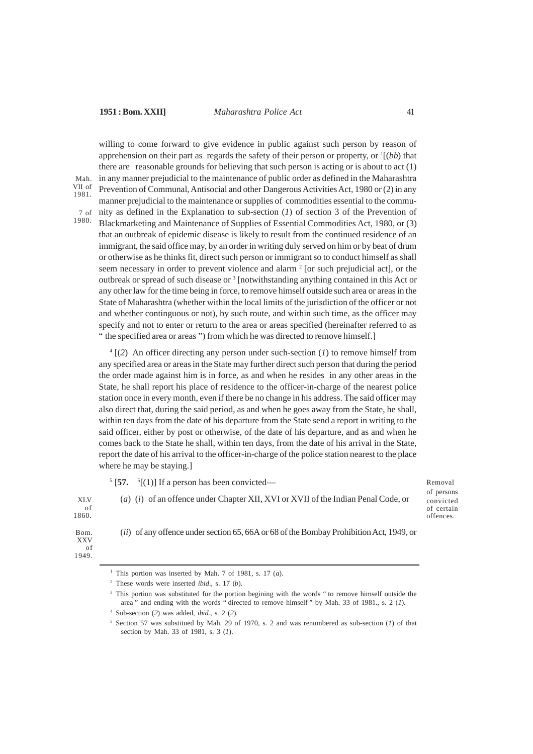Mah. VII of 1981.

1980.

## **1951 : Bom. XXII]** *Maharashtra Police Act* 41

willing to come forward to give evidence in public against such person by reason of apprehension on their part as regards the safety of their person or property, or <sup>1</sup>[(bb) that there are reasonable grounds for believing that such person is acting or is about to act (1) in any manner prejudicial to the maintenance of public order as defined in the Maharashtra Prevention of Communal, Antisocial and other Dangerous Activities Act, 1980 or (2) in any manner prejudicial to the maintenance or supplies of commodities essential to the community as defined in the Explanation to sub-section (*1*) of section 3 of the Prevention of Blackmarketing and Maintenance of Supplies of Essential Commodities Act, 1980, or (3) that an outbreak of epidemic disease is likely to result from the continued residence of an immigrant, the said office may, by an order in writing duly served on him or by beat of drum or otherwise as he thinks fit, direct such person or immigrant so to conduct himself as shall seem necessary in order to prevent violence and alarm <sup>2</sup> [or such prejudicial act], or the outbreak or spread of such disease or <sup>3</sup> [notwithstanding anything contained in this Act or any other law for the time being in force, to remove himself outside such area or areas in the State of Maharashtra (whether within the local limits of the jurisdiction of the officer or not and whether continguous or not), by such route, and within such time, as the officer may specify and not to enter or return to the area or areas specified (hereinafter referred to as " the specified area or areas ") from which he was directed to remove himself.] 7 of

4 [(*2*) An officer directing any person under such-section (*1*) to remove himself from any specified area or areas in the State may further direct such person that during the period the order made against him is in force, as and when he resides in any other areas in the State, he shall report his place of residence to the officer-in-charge of the nearest police station once in every month, even if there be no change in his address. The said officer may also direct that, during the said period, as and when he goes away from the State, he shall, within ten days from the date of his departure from the State send a report in writing to the said officer, either by post or otherwise, of the date of his departure, and as and when he comes back to the State he shall, within ten days, from the date of his arrival in the State, report the date of his arrival to the officer-in-charge of the police station nearest to the place where he may be staying.]

 $5$  [57.  $5$ [(1)] If a person has been convicted—

XLV of 1860. (*a*) (*i*) of an offence under Chapter XII, XVI or XVII of the Indian Penal Code, or

Removal of persons convicted of certain offences.

(*ii*) of any offence under section 65, 66A or 68 of the Bombay Prohibition Act, 1949, or Bom. XXV of 1949.

<sup>&</sup>lt;sup>1</sup> This portion was inserted by Mah. 7 of 1981, s. 17  $(a)$ .

<sup>2</sup> These words were inserted *ibid*., s. 17 (*b*).

<sup>&</sup>lt;sup>3</sup> This portion was substituted for the portion begining with the words " to remove himself outside the area " and ending with the words " directed to remove himself " by Mah. 33 of 1981., s. 2 (*1*).

<sup>4</sup> Sub-section (*2*) was added, *ibid.,* s. 2 (*2*).

<sup>5</sup> Section 57 was substitued by Mah. 29 of 1970, s. 2 and was renumbered as sub-section (*1*) of that section by Mah. 33 of 1981, s. 3 (*1*).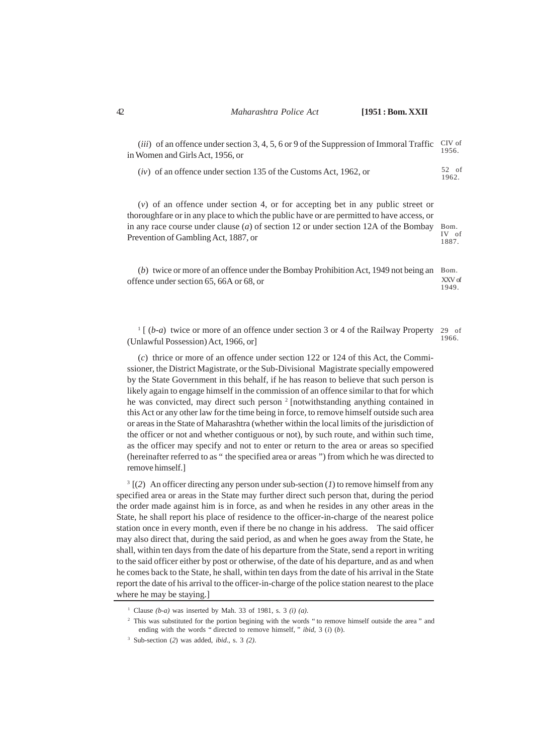| ( <i>iii</i> ) of an offence under section 3, 4, 5, 6 or 9 of the Suppression of Immoral Traffic CIV of<br>in Women and Girls Act. 1956. or | 1956.            |
|---------------------------------------------------------------------------------------------------------------------------------------------|------------------|
| $(iv)$ of an offence under section 135 of the Customs Act, 1962, or                                                                         | $52$ of<br>1962. |

(*v*) of an offence under section 4, or for accepting bet in any public street or thoroughfare or in any place to which the public have or are permitted to have access, or in any race course under clause (*a*) of section 12 or under section 12A of the Bombay Prevention of Gambling Act, 1887, or Bom. IV of 1887.

(b) twice or more of an offence under the Bombay Prohibition Act, 1949 not being an Bom. offence under section 65, 66A or 68, or XXV of 1949.

<sup>1</sup> [ (*b-a*) twice or more of an offence under section 3 or 4 of the Railway Property (Unlawful Possession) Act, 1966, or] 29 of 1966.

(*c*) thrice or more of an offence under section 122 or 124 of this Act, the Commissioner, the District Magistrate, or the Sub-Divisional Magistrate specially empowered by the State Government in this behalf, if he has reason to believe that such person is likely again to engage himself in the commission of an offence similar to that for which he was convicted, may direct such person<sup>2</sup> [notwithstanding anything contained in this Act or any other law for the time being in force, to remove himself outside such area or areas in the State of Maharashtra (whether within the local limits of the jurisdiction of the officer or not and whether contiguous or not), by such route, and within such time, as the officer may specify and not to enter or return to the area or areas so specified (hereinafter referred to as " the specified area or areas ") from which he was directed to remove himself.]

 $3 \left[ (2) \right]$  An officer directing any person under sub-section (*1*) to remove himself from any specified area or areas in the State may further direct such person that, during the period the order made against him is in force, as and when he resides in any other areas in the State, he shall report his place of residence to the officer-in-charge of the nearest police station once in every month, even if there be no change in his address. The said officer may also direct that, during the said period, as and when he goes away from the State, he shall, within ten days from the date of his departure from the State, send a report in writing to the said officer either by post or otherwise, of the date of his departure, and as and when he comes back to the State, he shall, within ten days from the date of his arrival in the State report the date of his arrival to the officer-in-charge of the police station nearest to the place where he may be staying.]

<sup>1</sup> Clause *(b-a)* was inserted by Mah. 33 of 1981, s. 3 *(i) (a)*.

<sup>&</sup>lt;sup>2</sup> This was substituted for the portion begining with the words " to remove himself outside the area " and ending with the words " directed to remove himself, " *ibid*, 3 (*i*) (*b*).

<sup>3</sup> Sub-section (*2*) was added, *ibid*., s. 3 *(2)*.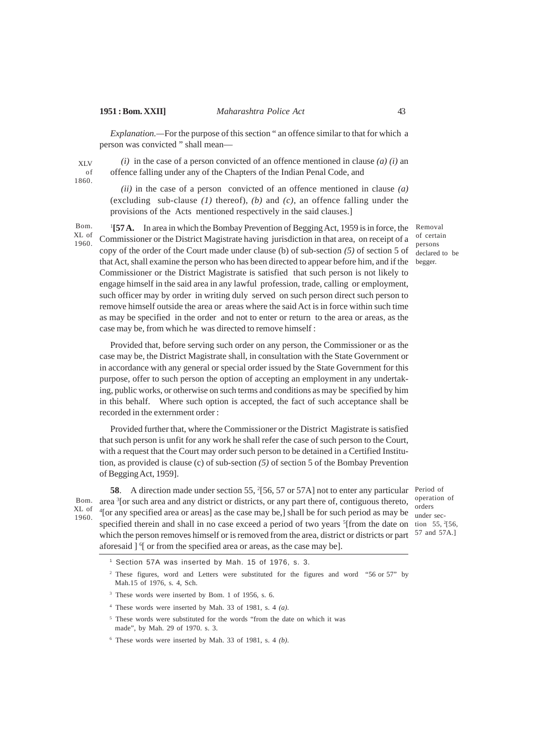XLV of 1860.

## **1951 : Bom. XXII]** *Maharashtra Police Act* 43

*Explanation.—*For the purpose of this section " an offence similar to that for which a person was convicted " shall mean—

*(i)* in the case of a person convicted of an offence mentioned in clause *(a) (i)* an offence falling under any of the Chapters of the Indian Penal Code, and

*(ii)* in the case of a person convicted of an offence mentioned in clause *(a)* (excluding sub-clause *(1)* thereof), *(b)* and *(c)*, an offence falling under the provisions of the Acts mentioned respectively in the said clauses.]

<sup>1</sup>[57 A. In area in which the Bombay Prevention of Begging Act, 1959 is in force, the Commissioner or the District Magistrate having jurisdiction in that area, on receipt of a copy of the order of the Court made under clause (b) of sub-section *(5)* of section 5 of that Act, shall examine the person who has been directed to appear before him, and if the begger. Commissioner or the District Magistrate is satisfied that such person is not likely to engage himself in the said area in any lawful profession, trade, calling or employment, such officer may by order in writing duly served on such person direct such person to remove himself outside the area or areas where the said Act is in force within such time as may be specified in the order and not to enter or return to the area or areas, as the case may be, from which he was directed to remove himself : Bom.  $X<sub>L</sub>$  of 1960.

Provided that, before serving such order on any person, the Commissioner or as the case may be, the District Magistrate shall, in consultation with the State Government or in accordance with any general or special order issued by the State Government for this purpose, offer to such person the option of accepting an employment in any undertaking, public works, or otherwise on such terms and conditions as may be specified by him in this behalf. Where such option is accepted, the fact of such acceptance shall be recorded in the externment order :

Provided further that, where the Commissioner or the District Magistrate is satisfied that such person is unfit for any work he shall refer the case of such person to the Court, with a request that the Court may order such person to be detained in a Certified Institution, as provided is clause (c) of sub-section *(5)* of section 5 of the Bombay Prevention of Begging Act, 1959].

Bom. XL of 1960.

**58**. A direction made under section 55, <sup>2</sup>[56, 57 or 57A] not to enter any particular Period of area  ${}^{3}$ [or such area and any district or districts, or any part there of, contiguous thereto, operation of <sup>4</sup>[or any specified area or areas] as the case may be,] shall be for such period as may be under secspecified therein and shall in no case exceed a period of two years  $\frac{5}{1}$  from the date on tion 55,  $\frac{2}{5}$  56, which the person removes himself or is removed from the area, district or districts or part <sup>57</sup> and 57A.] aforesaid ] <sup>6</sup>[ or from the specified area or areas, as the case may be].

orders

<sup>1</sup> Section 57A was inserted by Mah. 15 of 1976, s. 3.

<sup>2</sup> These figures, word and Letters were substituted for the figures and word "56 or 57" by Mah.15 of 1976, s. 4, Sch.

<sup>4</sup> These words were inserted by Mah. 33 of 1981, s. 4 *(a)*.

<sup>5</sup> These words were substituted for the words "from the date on which it was made", by Mah. 29 of 1970. s. 3.

<sup>6</sup> These words were inserted by Mah. 33 of 1981, s. 4 *(b)*.

Removal of certain persons declared to be

<sup>3</sup> These words were inserted by Bom. 1 of 1956, s. 6.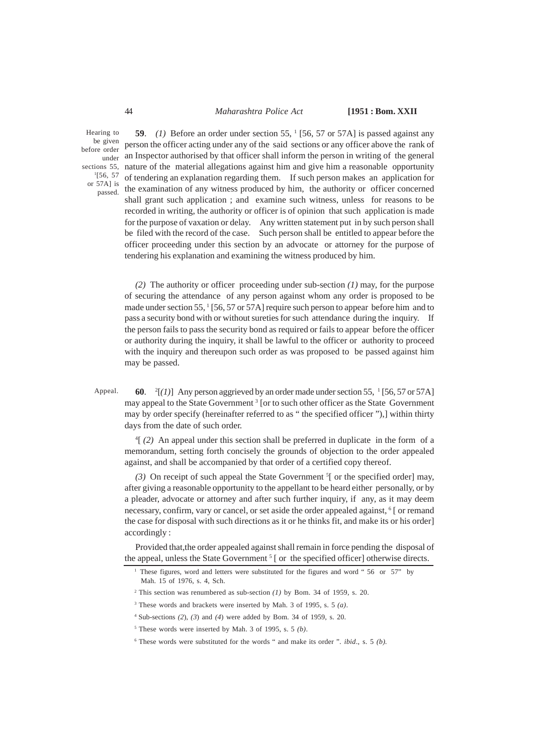### 44 *Maharashtra Police Act* **[1951 : Bom. XXII**

Hearing to be given before order 1 [56, 57 or 57A] is passed.

**59.** (1) Before an order under section 55,  $\frac{1}{56}$ , 57 or 57A] is passed against any person the officer acting under any of the said sections or any officer above the rank of an Inspector authorised by that officer shall inform the person in writing of the general under sections 55, nature of the material allegations against him and give him a reasonable opportunity of tendering an explanation regarding them. If such person makes an application for the examination of any witness produced by him, the authority or officer concerned shall grant such application ; and examine such witness, unless for reasons to be recorded in writing, the authority or officer is of opinion that such application is made for the purpose of vaxation or delay. Any written statement put in by such person shall be filed with the record of the case. Such person shall be entitled to appear before the officer proceeding under this section by an advocate or attorney for the purpose of tendering his explanation and examining the witness produced by him.

> *(2)* The authority or officer proceeding under sub-section *(1)* may, for the purpose of securing the attendance of any person against whom any order is proposed to be made under section 55, <sup>1</sup> [56, 57 or 57A] require such person to appear before him and to pass a security bond with or without sureties for such attendance during the inquiry. If the person fails to pass the security bond as required or fails to appear before the officer or authority during the inquiry, it shall be lawful to the officer or authority to proceed with the inquiry and thereupon such order as was proposed to be passed against him may be passed.

**60**.  $^{2}$ [(1)] Any person aggrieved by an order made under section 55,  $^{1}$  [56, 57 or 57A] may appeal to the State Government<sup>3</sup> [or to such other officer as the State Government may by order specify (hereinafter referred to as " the specified officer "),] within thirty days from the date of such order. Appeal.

4 [ *(2)* An appeal under this section shall be preferred in duplicate in the form of a memorandum, setting forth concisely the grounds of objection to the order appealed against, and shall be accompanied by that order of a certified copy thereof.

(3) On receipt of such appeal the State Government <sup>5</sup>[ or the specified order] may, after giving a reasonable opportunity to the appellant to be heard either personally, or by a pleader, advocate or attorney and after such further inquiry, if any, as it may deem necessary, confirm, vary or cancel, or set aside the order appealed against, <sup>6</sup> [ or remand the case for disposal with such directions as it or he thinks fit, and make its or his order] accordingly :

Provided that,the order appealed against shall remain in force pending the disposal of the appeal, unless the State Government<sup>5</sup> [ or the specified officer] otherwise directs.

<sup>1</sup> These figures, word and letters were substituted for the figures and word " 56 or 57" by Mah. 15 of 1976, s. 4, Sch.

<sup>&</sup>lt;sup>2</sup> This section was renumbered as sub-section  $(1)$  by Bom. 34 of 1959, s. 20.

<sup>3</sup> These words and brackets were inserted by Mah. 3 of 1995, s. 5 *(a)*.

<sup>4</sup> Sub-sections *(2*), *(3*) and *(4*) were added by Bom. 34 of 1959, s. 20.

<sup>5</sup> These words were inserted by Mah. 3 of 1995, s. 5 *(b)*.

<sup>6</sup> These words were substituted for the words " and make its order ". *ibid*., s. 5 *(b)*.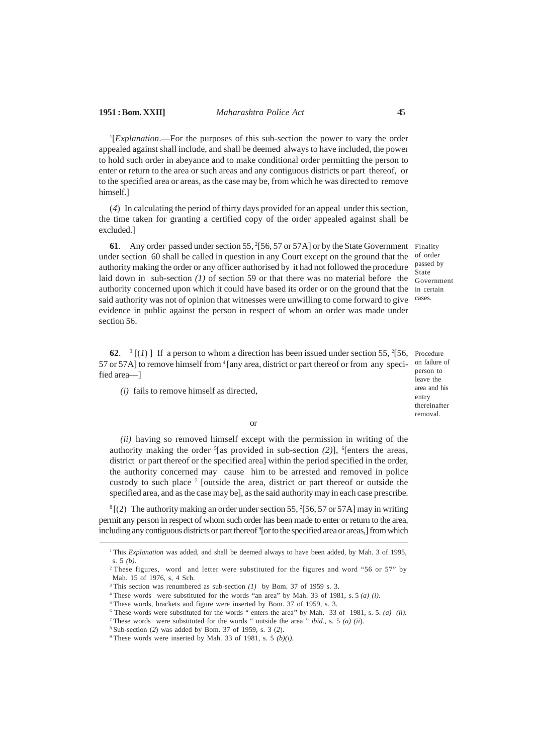<sup>1</sup>[*Explanation*.—For the purposes of this sub-section the power to vary the order appealed against shall include, and shall be deemed always to have included, the power to hold such order in abeyance and to make conditional order permitting the person to enter or return to the area or such areas and any contiguous districts or part thereof, or to the specified area or areas, as the case may be, from which he was directed to remove himself.]

(*4*) In calculating the period of thirty days provided for an appeal under this section, the time taken for granting a certified copy of the order appealed against shall be excluded.]

**61**. Any order passed under section 55, <sup>2</sup>[56, 57 or 57A] or by the State Government Finality under section 60 shall be called in question in any Court except on the ground that the authority making the order or any officer authorised by it had not followed the procedure laid down in sub-section  $(1)$  of section 59 or that there was no material before the  $\frac{1}{\text{Government}}$ authority concerned upon which it could have based its order or on the ground that the in certain said authority was not of opinion that witnesses were unwilling to come forward to give cases. evidence in public against the person in respect of whom an order was made under section 56.

**62.** <sup>3</sup> [(1)] If a person to whom a direction has been issued under section 55,  $^{2}[56,$  Procedure 57 or 57A] to remove himself from <sup>4</sup> [any area, district or part thereof or from any speci- on failure of fied area––]

*(i)* fails to remove himself as directed,

of order passed by State

person to leave the area and his entry thereinafter removal.

#### or

*(ii)* having so removed himself except with the permission in writing of the authority making the order <sup>5</sup>[as provided in sub-section *(2)*], <sup>6</sup>[enters the areas, district or part thereof or the specified area] within the period specified in the order, the authority concerned may cause him to be arrested and removed in police custody to such place <sup>7</sup> [outside the area, district or part thereof or outside the specified area, and as the case may be], as the said authority may in each case prescribe.

 ${}^{8}$ [(2) The authority making an order under section 55, <sup>2</sup>[56, 57 or 57A] may in writing permit any person in respect of whom such order has been made to enter or return to the area, including any contiguous districts or part thereof <sup>9</sup>[or to the specified area or areas,] from which

<sup>&</sup>lt;sup>1</sup> This *Explanation* was added, and shall be deemed always to have been added, by Mah. 3 of 1995, s. 5 *(b)*.

<sup>&</sup>lt;sup>2</sup> These figures, word and letter were substituted for the figures and word "56 or 57" by Mah. 15 of 1976, s, 4 Sch.

<sup>3</sup>This section was renumbered as sub-section *(1)* by Bom. 37 of 1959 s. 3.

<sup>4</sup>These words were substituted for the words "an area" by Mah. 33 of 1981, s. 5 *(a) (i).*

<sup>&</sup>lt;sup>5</sup> These words, brackets and figure were inserted by Bom. 37 of 1959, s. 3.

 $6$  These words were substituted for the words " enters the area" by Mah. 33 of 1981, s. 5.  $(a)$  (ii).

<sup>7</sup>These words were substituted for the words " outside the area " *ibid.*, s. 5 *(a) (ii*).

<sup>8</sup>Sub-section (*2*) was added by Bom. 37 of 1959, s. 3 (*2*).

<sup>&</sup>lt;sup>9</sup> These words were inserted by Mah. 33 of 1981, s. 5  $(b)(i)$ .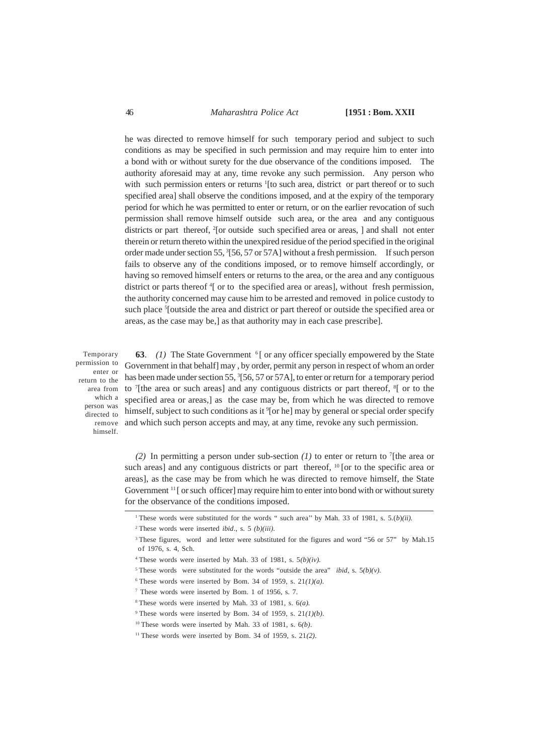### 46 *Maharashtra Police Act* **[1951 : Bom. XXII**

he was directed to remove himself for such temporary period and subject to such conditions as may be specified in such permission and may require him to enter into a bond with or without surety for the due observance of the conditions imposed. The authority aforesaid may at any, time revoke any such permission. Any person who with such permission enters or returns <sup>1</sup>[to such area, district or part thereof or to such specified area] shall observe the conditions imposed, and at the expiry of the temporary period for which he was permitted to enter or return, or on the earlier revocation of such permission shall remove himself outside such area, or the area and any contiguous districts or part thereof, <sup>2</sup>[or outside such specified area or areas, ] and shall not enter therein or return thereto within the unexpired residue of the period specified in the original order made under section 55, <sup>3</sup>[56, 57 or 57A] without a fresh permission. If such person fails to observe any of the conditions imposed, or to remove himself accordingly, or having so removed himself enters or returns to the area, or the area and any contiguous district or parts thereof <sup>4</sup>[ or to the specified area or areas], without fresh permission, the authority concerned may cause him to be arrested and removed in police custody to such place <sup>5</sup>[outside the area and district or part thereof or outside the specified area or areas, as the case may be,] as that authority may in each case prescribe].

Temporary permission to enter or return to the which a person was directed to himself.

**63**. *(1)* The State Government <sup>6</sup>[ or any officer specially empowered by the State Government in that behalf] may , by order, permit any person in respect of whom an order has been made under section 55, <sup>3</sup>[56, 57 or 57A], to enter or return for a temporary period area from to <sup>7</sup>[the area or such areas] and any contiguous districts or part thereof, <sup>8</sup>[ or to the specified area or areas,] as the case may be, from which he was directed to remove himself, subject to such conditions as it <sup>9</sup>[or he] may by general or special order specify remove and which such person accepts and may, at any time, revoke any such permission.

> *(2)* In permitting a person under sub-section *(1)* to enter or return to <sup>7</sup> [the area or such areas] and any contiguous districts or part thereof,  $^{10}$  [or to the specific area or areas], as the case may be from which he was directed to remove himself, the State Government <sup>11</sup>[ or such officer] may require him to enter into bond with or without surety for the observance of the conditions imposed.

 $6$  These words were inserted by Bom. 34 of 1959, s. 21 $(1)(a)$ .

<sup>&</sup>lt;sup>1</sup> These words were substituted for the words " such area" by Mah. 33 of 1981, s.  $5.(b)(ii)$ .

<sup>2</sup>These words were inserted *ibid*., s. 5 *(b)(iii).*

<sup>&</sup>lt;sup>3</sup>These figures, word and letter were substituted for the figures and word "56 or 57" by Mah.15 of 1976, s. 4, Sch.

<sup>&</sup>lt;sup>4</sup> These words were inserted by Mah. 33 of 1981, s.  $5(b)(iv)$ .

<sup>&</sup>lt;sup>5</sup> These words were substituted for the words "outside the area" *ibid*, s.  $5(b)(v)$ .

<sup>7</sup> These words were inserted by Bom. 1 of 1956, s. 7.

 $8$  These words were inserted by Mah. 33 of 1981, s.  $6(a)$ .

<sup>&</sup>lt;sup>9</sup> These words were inserted by Bom. 34 of 1959, s.  $21(1)(b)$ .

<sup>10</sup>These words were inserted by Mah. 33 of 1981, s. 6*(b)*.

<sup>11</sup>These words were inserted by Bom. 34 of 1959, s. 21*(2)*.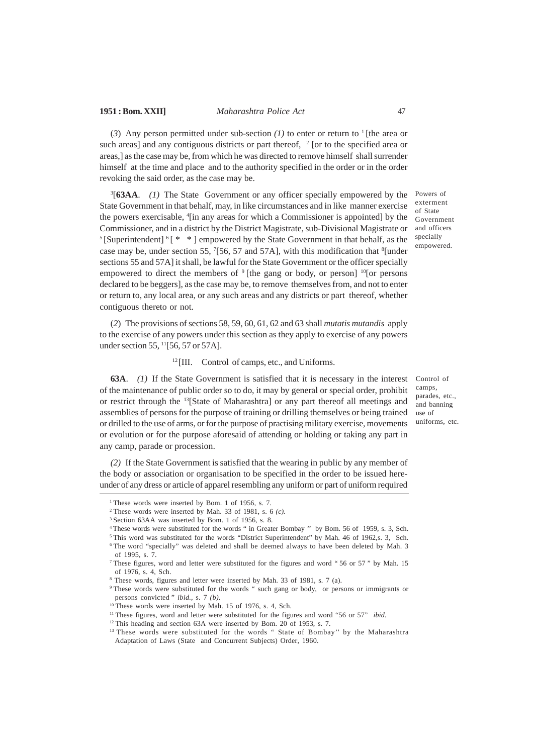(3) Any person permitted under sub-section  $(I)$  to enter or return to <sup>1</sup>[the area or such areas] and any contiguous districts or part thereof,  $2$  [or to the specified area or areas,] as the case may be, from which he was directed to remove himself shall surrender himself at the time and place and to the authority specified in the order or in the order revoking the said order, as the case may be.

3 [**63AA**. *(1)* The State Government or any officer specially empowered by the State Government in that behalf, may, in like circumstances and in like manner exercise the powers exercisable, <sup>4</sup> [in any areas for which a Commissioner is appointed] by the Commissioner, and in a district by the District Magistrate, sub-Divisional Magistrate or <sup>5</sup>[Superintendent]  $\frac{6}{5}$   $*$   $*$  ] empowered by the State Government in that behalf, as the case may be, under section 55,  $7$ [56, 57 and 57A], with this modification that  $8$ [under sections 55 and 57A] it shall, be lawful for the State Government or the officer specially empowered to direct the members of  $9$ [the gang or body, or person]  $^{10}$ [or persons declared to be beggers], as the case may be, to remove themselves from, and not to enter or return to, any local area, or any such areas and any districts or part thereof, whether contiguous thereto or not.

(*2*) The provisions of sections 58, 59, 60, 61, 62 and 63 shall *mutatis mutandis* apply to the exercise of any powers under this section as they apply to exercise of any powers under section 55, <sup>11</sup>[56, 57 or 57A].

## $12$ [III. Control of camps, etc., and Uniforms.

**63A**. *(1)* If the State Government is satisfied that it is necessary in the interest of the maintenance of public order so to do, it may by general or special order, prohibit or restrict through the <sup>13</sup>[State of Maharashtra] or any part thereof all meetings and assemblies of persons for the purpose of training or drilling themselves or being trained or drilled to the use of arms, or for the purpose of practising military exercise, movements or evolution or for the purpose aforesaid of attending or holding or taking any part in any camp, parade or procession.

*(2)* If the State Government is satisfied that the wearing in public by any member of the body or association or organisation to be specified in the order to be issued hereunder of any dress or article of apparel resembling any uniform or part of uniform required

Control of camps, parades, etc., and banning use of

uniforms, etc.

Powers of exterment of State Government and officers specially empowered.

<sup>&</sup>lt;sup>1</sup> These words were inserted by Bom. 1 of 1956, s. 7.

<sup>2</sup>These words were inserted by Mah. 33 of 1981, s. 6 *(c).*

<sup>&</sup>lt;sup>3</sup> Section 63AA was inserted by Bom. 1 of 1956, s. 8.

<sup>4</sup>These words were substituted for the words " in Greater Bombay '' by Bom. 56 of 1959, s. 3, Sch.

<sup>&</sup>lt;sup>5</sup>This word was substituted for the words "District Superintendent" by Mah. 46 of 1962,s. 3, Sch. <sup>6</sup> The word "specially" was deleted and shall be deemed always to have been deleted by Mah. 3 of 1995, s. 7.

<sup>&</sup>lt;sup>7</sup> These figures, word and letter were substituted for the figures and word "56 or 57" by Mah. 15 of 1976, s. 4, Sch.

<sup>8</sup> These words, figures and letter were inserted by Mah. 33 of 1981, s. 7 (a).

<sup>9</sup>These words were substituted for the words " such gang or body, or persons or immigrants or persons convicted " *ibid*., s. 7 *(b).*

 $10$ <sup>10</sup>These words were inserted by Mah. 15 of 1976, s. 4, Sch.

<sup>&</sup>lt;sup>11</sup> These figures, word and letter were substituted for the figures and word "56 or 57" *ibid.* 

 $12$  This heading and section 63A were inserted by Bom. 20 of 1953, s. 7.

<sup>&</sup>lt;sup>13</sup> These words were substituted for the words " State of Bombay" by the Maharashtra Adaptation of Laws (State and Concurrent Subjects) Order, 1960.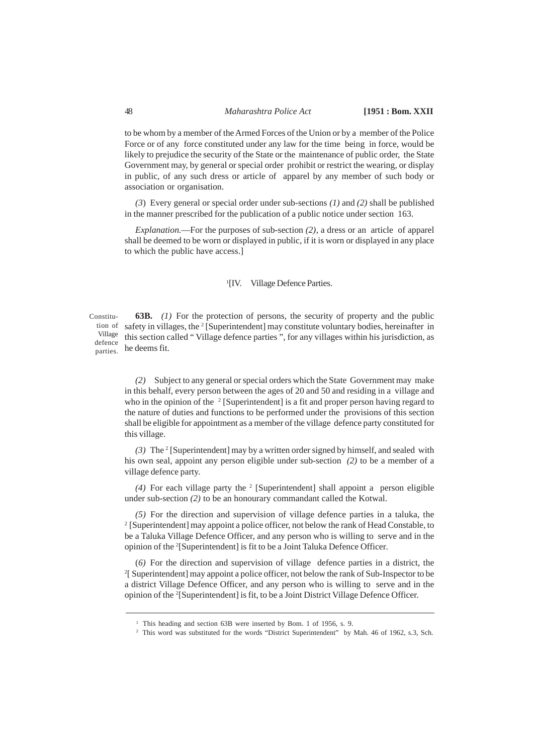to be whom by a member of the Armed Forces of the Union or by a member of the Police Force or of any force constituted under any law for the time being in force, would be likely to prejudice the security of the State or the maintenance of public order, the State Government may, by general or special order prohibit or restrict the wearing, or display in public, of any such dress or article of apparel by any member of such body or association or organisation.

*(3*) Every general or special order under sub-sections *(1)* and *(2)* shall be published in the manner prescribed for the publication of a public notice under section 163.

*Explanation.*—For the purposes of sub-section *(2)*, a dress or an article of apparel shall be deemed to be worn or displayed in public, if it is worn or displayed in any place to which the public have access.]

#### <sup>1</sup>[IV. Village Defence Parties.

**63B.** *(1)* For the protection of persons, the security of property and the public tion of safety in villages, the <sup>2</sup> [Superintendent] may constitute voluntary bodies, hereinafter in Village this section called "Village defence parties", for any villages within his jurisdiction, as  $\frac{d}{n_{\text{entries}}}$  he deems fit. Constituparties.

> *(2)* Subject to any general or special orders which the State Government may make in this behalf, every person between the ages of 20 and 50 and residing in a village and who in the opinion of the  $2$  [Superintendent] is a fit and proper person having regard to the nature of duties and functions to be performed under the provisions of this section shall be eligible for appointment as a member of the village defence party constituted for this village.

> (3) The <sup>2</sup> [Superintendent] may by a written order signed by himself, and sealed with his own seal, appoint any person eligible under sub-section *(2)* to be a member of a village defence party.

> (4) For each village party the <sup>2</sup> [Superintendent] shall appoint a person eligible under sub-section *(2)* to be an honourary commandant called the Kotwal.

> *(5)* For the direction and supervision of village defence parties in a taluka, the <sup>2</sup> [Superintendent] may appoint a police officer, not below the rank of Head Constable, to be a Taluka Village Defence Officer, and any person who is willing to serve and in the opinion of the <sup>2</sup>[Superintendent] is fit to be a Joint Taluka Defence Officer.

> (*6)* For the direction and supervision of village defence parties in a district, the 2 [ Superintendent] may appoint a police officer, not below the rank of Sub-Inspector to be a district Village Defence Officer, and any person who is willing to serve and in the opinion of the <sup>2</sup>[Superintendent] is fit, to be a Joint District Village Defence Officer.

<sup>&</sup>lt;sup>1</sup> This heading and section 63B were inserted by Bom. 1 of 1956, s. 9.

<sup>&</sup>lt;sup>2</sup> This word was substituted for the words "District Superintendent" by Mah. 46 of 1962, s.3, Sch.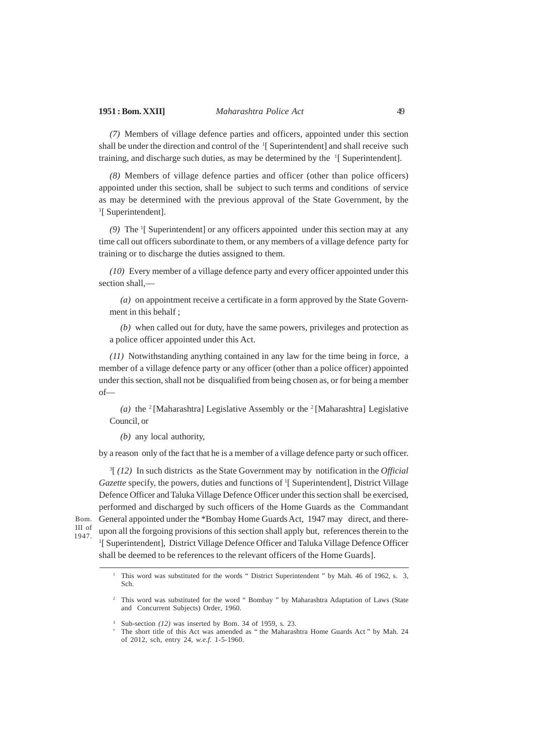*(7)* Members of village defence parties and officers, appointed under this section shall be under the direction and control of the <sup>1</sup>[ Superintendent] and shall receive such training, and discharge such duties, as may be determined by the <sup>1</sup>[ Superintendent].

*(8)* Members of village defence parties and officer (other than police officers) appointed under this section, shall be subject to such terms and conditions of service as may be determined with the previous approval of the State Government, by the <sup>1</sup>[ Superintendent].

*(9)* The <sup>1</sup> [ Superintendent] or any officers appointed under this section may at any time call out officers subordinate to them, or any members of a village defence party for training or to discharge the duties assigned to them.

*(10)* Every member of a village defence party and every officer appointed under this section shall,—

*(a)* on appointment receive a certificate in a form approved by the State Government in this behalf ;

*(b)* when called out for duty, have the same powers, privileges and protection as a police officer appointed under this Act.

*(11)* Notwithstanding anything contained in any law for the time being in force, a member of a village defence party or any officer (other than a police officer) appointed under this section, shall not be disqualified from being chosen as, or for being a member of—

*(a)* the <sup>2</sup>[Maharashtra] Legislative Assembly or the <sup>2</sup>[Maharashtra] Legislative Council, or

*(b)* any local authority,

by a reason only of the fact that he is a member of a village defence party or such officer.

3 [ *(12)* In such districts as the State Government may by notification in the *Official* Gazette specify, the powers, duties and functions of <sup>1</sup>[ Superintendent], District Village Defence Officer and Taluka Village Defence Officer under this section shall be exercised, performed and discharged by such officers of the Home Guards as the Commandant General appointed under the \*Bombay Home Guards Act, 1947 may direct, and thereupon all the forgoing provisions of this section shall apply but, references therein to the <sup>1</sup>[ Superintendent], District Village Defence Officer and Taluka Village Defence Officer shall be deemed to be references to the relevant officers of the Home Guards].

Bom. III of 1947.

<sup>&</sup>lt;sup>1</sup> This word was substituted for the words " District Superintendent " by Mah. 46 of 1962, s. 3, Sch.

<sup>2</sup> This word was substituted for the word " Bombay " by Maharashtra Adaptation of Laws (State and Concurrent Subjects) Order, 1960.

<sup>3</sup> Sub-section *(12)* was inserted by Bom. 34 of 1959, s. 23.

The short title of this Act was amended as " the Maharashtra Home Guards Act " by Mah. 24 of 2012, sch, entry 24, *w.e.f.* 1-5-1960.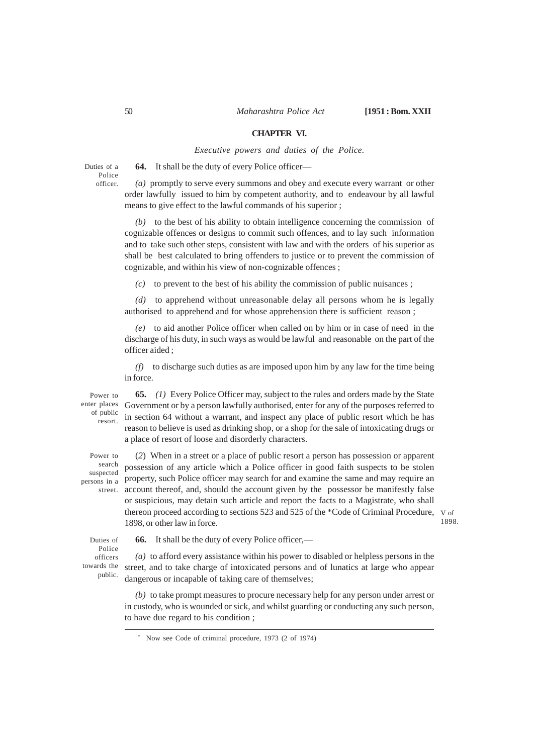#### **CHAPTER VI.**

*Executive powers and duties of the Police.*

Duties of a Police officer.

**64.** It shall be the duty of every Police officer—

*(a)* promptly to serve every summons and obey and execute every warrant or other order lawfully issued to him by competent authority, and to endeavour by all lawful means to give effect to the lawful commands of his superior ;

*(b)* to the best of his ability to obtain intelligence concerning the commission of cognizable offences or designs to commit such offences, and to lay such information and to take such other steps, consistent with law and with the orders of his superior as shall be best calculated to bring offenders to justice or to prevent the commission of cognizable, and within his view of non-cognizable offences ;

*(c)* to prevent to the best of his ability the commission of public nuisances ;

*(d)* to apprehend without unreasonable delay all persons whom he is legally authorised to apprehend and for whose apprehension there is sufficient reason ;

*(e)* to aid another Police officer when called on by him or in case of need in the discharge of his duty, in such ways as would be lawful and reasonable on the part of the officer aided ;

*(f)* to discharge such duties as are imposed upon him by any law for the time being in force.

Power to enter places of public resort.

**65.** *(1)* Every Police Officer may, subject to the rules and orders made by the State Government or by a person lawfully authorised, enter for any of the purposes referred to in section 64 without a warrant, and inspect any place of public resort which he has reason to believe is used as drinking shop, or a shop for the sale of intoxicating drugs or a place of resort of loose and disorderly characters.

Power to search suspected

thereon proceed according to sections 523 and 525 of the  $*$ Code of Criminal Procedure,  $v_{\text{of}}$ 1898. (*2*) When in a street or a place of public resort a person has possession or apparent possession of any article which a Police officer in good faith suspects to be stolen persons in a property, such Police officer may search for and examine the same and may require an street. account thereof, and, should the account given by the possessor be manifestly false or suspicious, may detain such article and report the facts to a Magistrate, who shall 1898, or other law in force.

Duties of Police officers towards the public.

**66.** It shall be the duty of every Police officer,—

*(a)* to afford every assistance within his power to disabled or helpless persons in the street, and to take charge of intoxicated persons and of lunatics at large who appear dangerous or incapable of taking care of themselves;

*(b)* to take prompt measures to procure necessary help for any person under arrest or in custody, who is wounded or sick, and whilst guarding or conducting any such person, to have due regard to his condition ;

<sup>\*</sup> Now see Code of criminal procedure, 1973 (2 of 1974)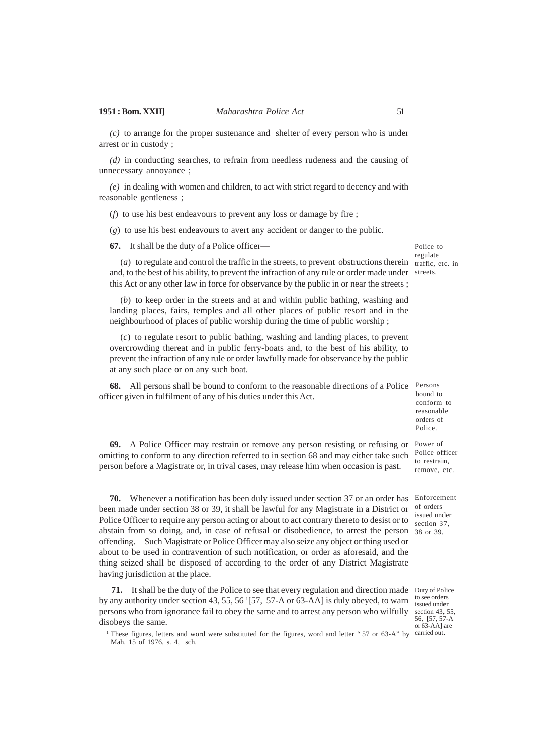*(c)* to arrange for the proper sustenance and shelter of every person who is under arrest or in custody ;

*(d)* in conducting searches, to refrain from needless rudeness and the causing of unnecessary annoyance ;

*(e)* in dealing with women and children, to act with strict regard to decency and with reasonable gentleness ;

(*f*) to use his best endeavours to prevent any loss or damage by fire ;

(*g*) to use his best endeavours to avert any accident or danger to the public.

**67.** It shall be the duty of a Police officer—

( $a$ ) to regulate and control the traffic in the streets, to prevent obstructions therein traffic, etc. in and, to the best of his ability, to prevent the infraction of any rule or order made under streets. this Act or any other law in force for observance by the public in or near the streets ;

(*b*) to keep order in the streets and at and within public bathing, washing and landing places, fairs, temples and all other places of public resort and in the neighbourhood of places of public worship during the time of public worship ;

(*c*) to regulate resort to public bathing, washing and landing places, to prevent overcrowding thereat and in public ferry-boats and, to the best of his ability, to prevent the infraction of any rule or order lawfully made for observance by the public at any such place or on any such boat.

**68.** All persons shall be bound to conform to the reasonable directions of a Police Persons officer given in fulfilment of any of his duties under this Act.

**69.** A Police Officer may restrain or remove any person resisting or refusing or Power of omitting to conform to any direction referred to in section 68 and may either take such Police officer person before a Magistrate or, in trival cases, may release him when occasion is past. Police.

**70.** Whenever a notification has been duly issued under section 37 or an order has Enforcement been made under section 38 or 39, it shall be lawful for any Magistrate in a District or Police Officer to require any person acting or about to act contrary thereto to desist or to abstain from so doing, and, in case of refusal or disobedience, to arrest the person 38 or 39. offending. Such Magistrate or Police Officer may also seize any object or thing used or about to be used in contravention of such notification, or order as aforesaid, and the thing seized shall be disposed of according to the order of any District Magistrate having jurisdiction at the place.

**71.** It shall be the duty of the Police to see that every regulation and direction made Duty of Police by any authority under section 43, 55, 56<sup>1</sup>[57, 57-A or 63-AA] is duly obeyed, to warn persons who from ignorance fail to obey the same and to arrest any person who wilfully section 43, 55, disobeys the same.

to see orders issued under 56, <sup>1</sup> [57, 57-A  $\overline{0.63}$ -AA] are

<sup>1</sup> These figures, letters and word were substituted for the figures, word and letter "57 or 63-A" by carried out. Mah. 15 of 1976, s. 4, sch.

Police to regulate

bound to conform to reasonable orders of

to restrain, remove, etc.

of orders issued under section 37,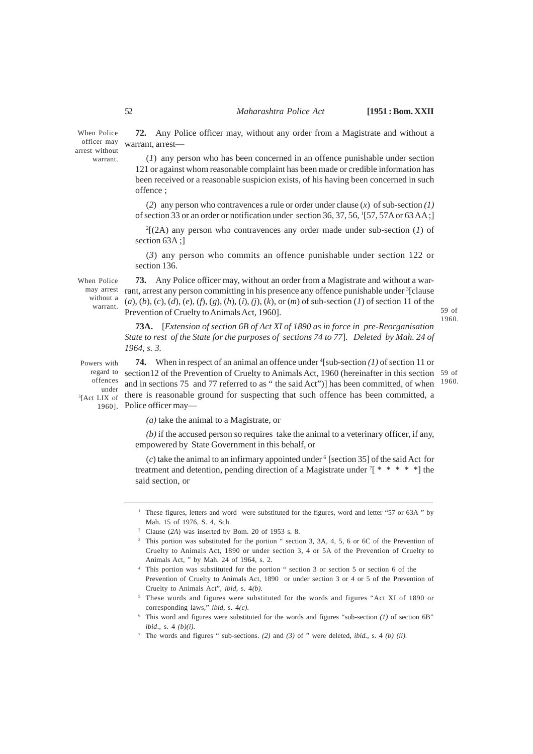When Police officer may arrest without warrant.

**72.** Any Police officer may, without any order from a Magistrate and without a warrant, arrest—

(*1*) any person who has been concerned in an offence punishable under section 121 or against whom reasonable complaint has been made or credible information has been received or a reasonable suspicion exists, of his having been concerned in such offence ;

(*2*) any person who contravences a rule or order under clause (*x*) of sub-section *(1)* of section 33 or an order or notification under section 36, 37, 56, <sup>1</sup>[57, 57A or 63 AA;]

2 [(2A) any person who contravences any order made under sub-section (*1*) of section 63A ;]

(*3*) any person who commits an offence punishable under section 122 or section 136.

When Police without a

**73.** Any Police officer may, without an order from a Magistrate and without a warmay arrest rant, arrest any person committing in his presence any offence punishable under <sup>3</sup>[clause (*a*), (*b*), (*c*), (*d*), (*e*), (*f*), (*g*), (*h*), (*i*), *(j*), (*k*), or (*m*) of sub-section (*1*) of section 11 of the warrant. Prevention of Cruelty to Animals Act, 1960].

1960.

1960.

**73A.** [*Extension of section 6B of Act XI of 1890 as in force in pre-Reorganisation State to rest of the State for the purposes of sections 74 to 77*]. *Deleted by Mah. 24 of 1964, s. 3.*

**74.** When in respect of an animal an offence under <sup>4</sup>[sub-section (1) of section 11 or regard to section 12 of the Prevention of Cruelty to Animals Act, 1960 (hereinafter in this section 59 of and in sections 75 and 77 referred to as " the said Act")] has been committed, of when  $s_{[Act\ LIX\ of}$  there is reasonable ground for suspecting that such offence has been committed, a 1960]. Police officer may-Powers with offences under

*(a)* take the animal to a Magistrate, or

*(b)* if the accused person so requires take the animal to a veterinary officer, if any, empowered by State Government in this behalf, or

 $(c)$  take the animal to an infirmary appointed under  $6$  [section 35] of the said Act for treatment and detention, pending direction of a Magistrate under  $[$  \* \* \* \* \* ] the said section, or

<sup>1</sup> These figures, letters and word were substituted for the figures, word and letter "57 or 63A " by Mah. 15 of 1976, S. 4, Sch.

<sup>2</sup> Clause (*2A*) was inserted by Bom. 20 of 1953 s. 8.

<sup>&</sup>lt;sup>3</sup> This portion was substituted for the portion " section 3, 3A, 4, 5, 6 or 6C of the Prevention of Cruelty to Animals Act, 1890 or under section 3, 4 or 5A of the Prevention of Cruelty to Animals Act, " by Mah. 24 of 1964, s. 2.

<sup>4</sup> This portion was substituted for the portion " section 3 or section 5 or section 6 of the Prevention of Cruelty to Animals Act, 1890 or under section 3 or 4 or 5 of the Prevention of Cruelty to Animals Act", *ibid,* s. 4*(b).*

<sup>5</sup> These words and figures were substituted for the words and figures "Act XI of 1890 or corresponding laws," *ibid*, s. 4*(c).*

<sup>6</sup> This word and figures were substituted for the words and figures "sub-section *(1)* of section 6B" *ibid*., s. 4 *(b)(i).*

<sup>7</sup> The words and figures " sub-sections. *(2)* and *(3)* of " were deleted, *ibid.,* s. 4 *(b) (ii).*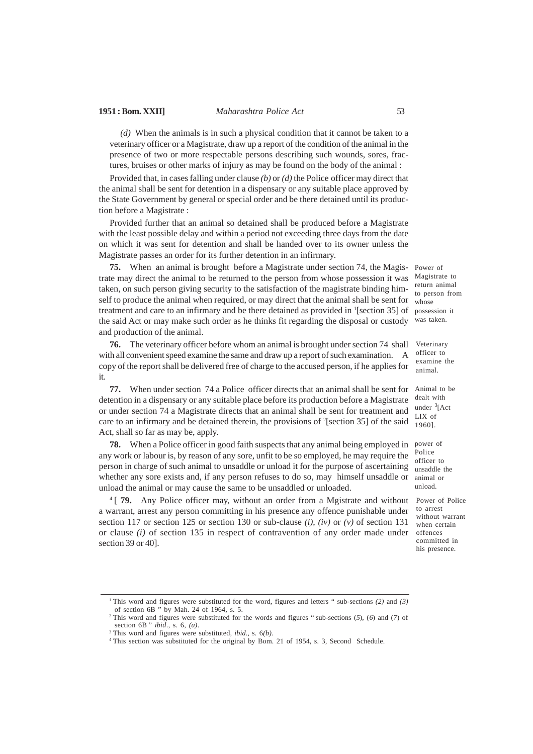*(d)* When the animals is in such a physical condition that it cannot be taken to a veterinary officer or a Magistrate, draw up a report of the condition of the animal in the presence of two or more respectable persons describing such wounds, sores, fractures, bruises or other marks of injury as may be found on the body of the animal :

Provided that, in cases falling under clause *(b)* or *(d)* the Police officer may direct that the animal shall be sent for detention in a dispensary or any suitable place approved by the State Government by general or special order and be there detained until its production before a Magistrate :

Provided further that an animal so detained shall be produced before a Magistrate with the least possible delay and within a period not exceeding three days from the date on which it was sent for detention and shall be handed over to its owner unless the Magistrate passes an order for its further detention in an infirmary.

**75.** When an animal is brought before a Magistrate under section 74, the Magistrate may direct the animal to be returned to the person from whose possession it was taken, on such person giving security to the satisfaction of the magistrate binding himself to produce the animal when required, or may direct that the animal shall be sent for treatment and care to an infirmary and be there detained as provided in <sup>1</sup>[section 35] of the said Act or may make such order as he thinks fit regarding the disposal or custody and production of the animal.

**76.** The veterinary officer before whom an animal is brought under section 74 shall with all convenient speed examine the same and draw up a report of such examination. A copy of the report shall be delivered free of charge to the accused person, if he applies for it.

**77.** When under section 74 a Police officer directs that an animal shall be sent for detention in a dispensary or any suitable place before its production before a Magistrate or under section 74 a Magistrate directs that an animal shall be sent for treatment and care to an infirmary and be detained therein, the provisions of <sup>2</sup> [section 35] of the said Act, shall so far as may be, apply.

**78.** When a Police officer in good faith suspects that any animal being employed in any work or labour is, by reason of any sore, unfit to be so employed, he may require the person in charge of such animal to unsaddle or unload it for the purpose of ascertaining whether any sore exists and, if any person refuses to do so, may himself unsaddle or unload the animal or may cause the same to be unsaddled or unloaded.

<sup>4</sup>[ **79.** Any Police officer may, without an order from a Mgistrate and without a warrant, arrest any person committing in his presence any offence punishable under section 117 or section 125 or section 130 or sub-clause *(i), (iv)* or *(v)* of section 131 or clause *(i)* of section 135 in respect of contravention of any order made under section 39 or 40].

Power of Magistrate to return animal to person from whose possession it was taken.

Veterinary officer to examine the animal.

Animal to be dealt with under  ${}^{3}$ [Act LIX of 1960].

power of Police officer to unsaddle the animal or unload.

Power of Police to arrest without warrant when certain offences committed in his presence.

<sup>1</sup>This word and figures were substituted for the word, figures and letters " sub-sections *(2)* and *(3)* of section 6B " by Mah. 24 of 1964, s. 5.

<sup>2</sup>This word and figures were substituted for the words and figures " sub-sections (*5*), (*6*) and (*7*) of section 6B " *ibid*., s. 6, *(a)*.

<sup>3</sup>This word and figures were substituted, *ibid*., s. 6*(b)*.

<sup>4</sup>This section was substituted for the original by Bom. 21 of 1954, s. 3, Second Schedule.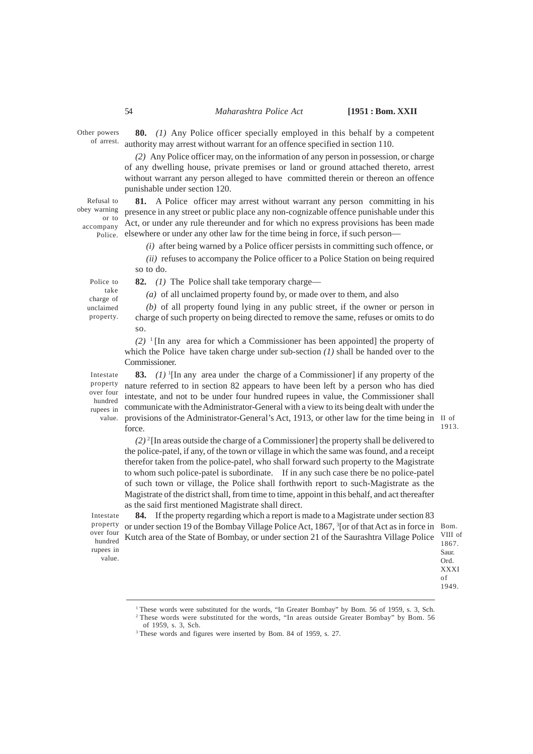## 54 *Maharashtra Police Act* **[1951 : Bom. XXII**

Other powers of arrest.

**80.** *(1)* Any Police officer specially employed in this behalf by a competent authority may arrest without warrant for an offence specified in section 110.

*(2)* Any Police officer may, on the information of any person in possession, or charge of any dwelling house, private premises or land or ground attached thereto, arrest without warrant any person alleged to have committed therein or thereon an offence punishable under section 120.

**81.** A Police officer may arrest without warrant any person committing in his presence in any street or public place any non-cognizable offence punishable under this Act, or under any rule thereunder and for which no express provisions has been made elsewhere or under any other law for the time being in force, if such person–– Refusal to obey warning or to accompany Police.

*(i)* after being warned by a Police officer persists in committing such offence, or

*(ii)* refuses to accompany the Police officer to a Police Station on being required so to do.

Police to take charge of unclaimed property. **82.** *(1)* The Police shall take temporary charge––

*(a)* of all unclaimed property found by, or made over to them, and also

*(b)* of all property found lying in any public street, if the owner or person in charge of such property on being directed to remove the same, refuses or omits to do so.

 $(2)$ <sup>1</sup>[In any area for which a Commissioner has been appointed] the property of which the Police have taken charge under sub-section *(1)* shall be handed over to the Commissioner.

Intestate property over four hundred

**83.** *(1)* <sup>1</sup> [In any area under the charge of a Commissioner] if any property of the nature referred to in section 82 appears to have been left by a person who has died intestate, and not to be under four hundred rupees in value, the Commissioner shall rupees in communicate with the Administrator-General with a view to its being dealt with under the value. provisions of the Administrator-General's Act, 1913, or other law for the time being in II of force.

1913.

 $(2)^{2}$ [In areas outside the charge of a Commissioner] the property shall be delivered to the police-patel, if any, of the town or village in which the same was found, and a receipt therefor taken from the police-patel, who shall forward such property to the Magistrate to whom such police-patel is subordinate. If in any such case there be no police-patel of such town or village, the Police shall forthwith report to such-Magistrate as the Magistrate of the district shall, from time to time, appoint in this behalf, and act thereafter as the said first mentioned Magistrate shall direct.

Intestate property over four hundred rupees in value.

**84.** If the property regarding which a report is made to a Magistrate under section 83 or under section 19 of the Bombay Village Police Act, 1867, <sup>3</sup>[or of that Act as in force in Bom. Kutch area of the State of Bombay, or under section 21 of the Saurashtra Village Police

VIII of 1867. Saur. Ord. XXXI of 1949.

<sup>&</sup>lt;sup>3</sup> These words and figures were inserted by Bom. 84 of 1959, s. 27.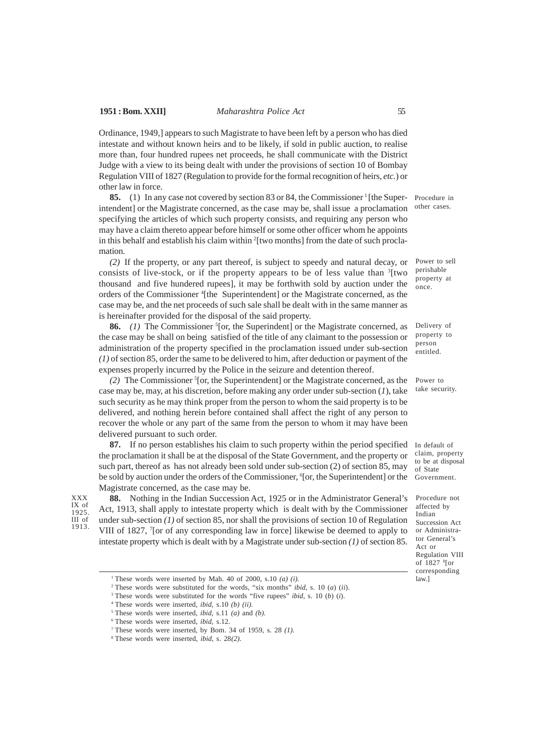Ordinance, 1949,] appears to such Magistrate to have been left by a person who has died intestate and without known heirs and to be likely, if sold in public auction, to realise more than, four hundred rupees net proceeds, he shall communicate with the District Judge with a view to its being dealt with under the provisions of section 10 of Bombay Regulation VIII of 1827 (Regulation to provide for the formal recognition of heirs, *etc.*) or other law in force.

**85.** (1) In any case not covered by section 83 or 84, the Commissioner<sup>1</sup> [the Superintendent] or the Magistrate concerned, as the case may be, shall issue a proclamation specifying the articles of which such property consists, and requiring any person who may have a claim thereto appear before himself or some other officer whom he appoints in this behalf and establish his claim within <sup>2</sup> [two months] from the date of such proclamation.

*(2)* If the property, or any part thereof, is subject to speedy and natural decay, or consists of live-stock, or if the property appears to be of less value than <sup>3</sup>[two thousand and five hundered rupees], it may be forthwith sold by auction under the orders of the Commissioner <sup>4</sup>[the Superintendent] or the Magistrate concerned, as the case may be, and the net proceeds of such sale shall be dealt with in the same manner as is hereinafter provided for the disposal of the said property.

**86.** (1) The Commissioner <sup>5</sup>[or, the Superindent] or the Magistrate concerned, as the case may be shall on being satisfied of the title of any claimant to the possession or administration of the property specified in the proclamation issued under sub-section *(1)* of section 85, order the same to be delivered to him, after deduction or payment of the expenses properly incurred by the Police in the seizure and detention thereof.

*(2)* The Commissioner <sup>5</sup> [or, the Superintendent] or the Magistrate concerned, as the case may be, may, at his discretion, before making any order under sub-section (*1*), take such security as he may think proper from the person to whom the said property is to be delivered, and nothing herein before contained shall affect the right of any person to recover the whole or any part of the same from the person to whom it may have been delivered pursuant to such order.

**87.** If no person establishes his claim to such property within the period specified the proclamation it shall be at the disposal of the State Government, and the property or such part, thereof as has not already been sold under sub-section (2) of section 85, may be sold by auction under the orders of the Commissioner, <sup>6</sup>[or, the Superintendent] or the Magistrate concerned, as the case may be.

XXX IX of 1925. III of 1913.

**88.** Nothing in the Indian Succession Act, 1925 or in the Administrator General's Act, 1913, shall apply to intestate property which is dealt with by the Commissioner under sub-section *(1)* of section 85, nor shall the provisions of section 10 of Regulation VIII of 1827, <sup>7</sup>[or of any corresponding law in force] likewise be deemed to apply to intestate property which is dealt with by a Magistrate under sub-section *(1)* of section 85.

<sup>1</sup> These words were inserted by Mah. 40 of 2000, s.10  $(a)$   $(i)$ .

Procedure in other cases.

Power to sell perishable property at once.

Delivery of property to person entitled.

Power to take security.

In default of claim, property to be at disposal of State Government.

Procedure not affected by Indian Succession Act or Administrator General's Act or Regulation VIII of 1827 <sup>8</sup> [or corresponding law.]

<sup>2</sup>These words were substituted for the words, "six months" *ibid,* s. 10 (*a*) (*ii*).

<sup>3</sup>These words were substituted for the words "five rupees" *ibid,* s. 10 (*b*) (*i*).

<sup>4</sup>These words were inserted, *ibid,* s.10 *(b) (ii).*

<sup>5</sup>These words were inserted, *ibid,* s.11 *(a)* and *(b).*

<sup>6</sup>These words were inserted, *ibid,* s.12.

<sup>&</sup>lt;sup>7</sup> These words were inserted, by Bom. 34 of 1959, s. 28  $(1)$ .

<sup>8</sup>These words were inserted, *ibid,* s. 28*(2)*.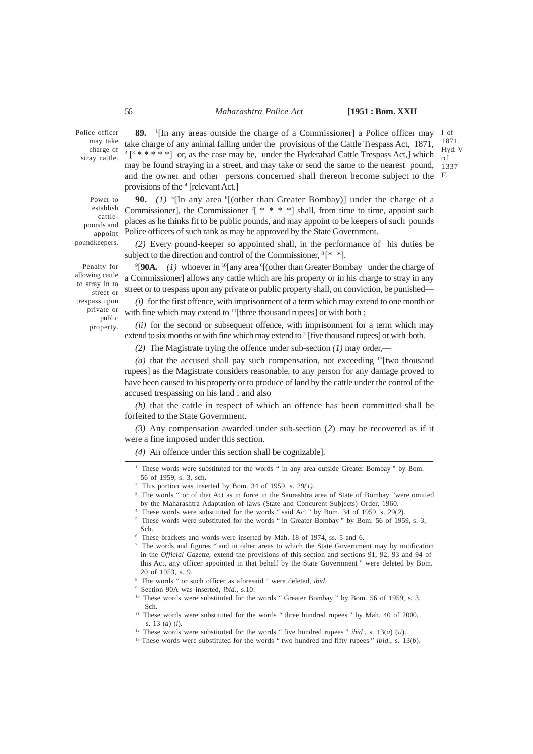### 56 *Maharashtra Police Act* **[1951 : Bom. XXII**

1871. Hyd. V of

Police officer may take charge of stray cattle.

Power to establish cattlepounds and appoint poundkeepers.

Penalty for allowing cattle to stray in to street or trespass upon private or public property.

**89.** <sup>1</sup> [In any areas outside the charge of a Commissioner] a Police officer may I of take charge of any animal falling under the provisions of the Cattle Trespass Act, 1871,  $2\left[3*****\right]$  or, as the case may be, under the Hyderabad Cattle Trespass Act,] which may be found straying in a street, and may take or send the same to the nearest pound, and the owner and other persons concerned shall thereon become subject to the F. provisions of the <sup>4</sup> [relevant Act.] 1337

**90.** (1) <sup>5</sup>[In any area <sup>6</sup>[(other than Greater Bombay)] under the charge of a Commissioner], the Commissioner  $7$ <sup>\*</sup> \* \* \* ] shall, from time to time, appoint such places as he thinks fit to be public pounds, and may appoint to be keepers of such pounds Police officers of such rank as may be approved by the State Government.

*(2)* Every pound-keeper so appointed shall, in the performance of his duties be subject to the direction and control of the Commissioner,  $8$ [\* \*].

9 [**90A.** *(1)* whoever in <sup>10</sup>[any area <sup>6</sup> [(other than Greater Bombay under the charge of a Commissioner] allows any cattle which are his property or in his charge to stray in any street or to trespass upon any private or public property shall, on conviction, be punished—

*(i)* for the first offence, with imprisonment of a term which may extend to one month or with fine which may extend to <sup>11</sup>[three thousand rupees] or with both ;

*(ii)* for the second or subsequent offence, with imprisonment for a term which may extend to six months or with fine which may extend to <sup>12</sup>[five thousand rupees] or with both.

*(2)* The Magistrate trying the offence under sub-section *(1)* may order,—

(a) that the accused shall pay such compensation, not exceeding  $13$ [two thousand rupees] as the Magistrate considers reasonable, to any person for any damage proved to have been caused to his property or to produce of land by the cattle under the control of the accused trespassing on his land ; and also

*(b)* that the cattle in respect of which an offence has been committed shall be forfeited to the State Government.

*(3)* Any compensation awarded under sub-section (*2*) may be recovered as if it were a fine imposed under this section.

*(4)* An offence under this section shall be cognizable].

- <sup>4</sup>These words were substituted for the words " said Act " by Bom. 34 of 1959*,* s. 29(*2*).
- <sup>5</sup> These words were substituted for the words " in Greater Bombay " by Bom. 56 of 1959, s. 3, Sch.

<sup>7</sup> The words and figures " and in other areas to which the State Government may by notification in the *Official Gazette*, extend the provisions of this section and sections 91, 92, 93 and 94 of this Act, any officer appointed in that behalf by the State Government " were deleted by Bom. 20 of 1953, s. 9.

<sup>&</sup>lt;sup>1</sup> These words were substituted for the words " in any area outside Greater Bombay " by Bom. 56 of 1959, s. 3, sch*.*

<sup>2</sup>This portion was inserted by Bom. 34 of 1959, s. 29*(1)*.

<sup>&</sup>lt;sup>3</sup> The words " or of that Act as in force in the Saurashtra area of State of Bombay "were omitted by the Maharashtra Adaptation of laws (State and Concurent Subjects) Order, 1960.

<sup>&</sup>lt;sup>6</sup> These brackets and words were inserted by Mah. 18 of 1974, ss. 5 and 6.

<sup>8</sup>The words " or such officer as aforesaid " were deleted, *ibid*.

<sup>9</sup> Section 90A was inserted, *ibid*., s.10.

<sup>&</sup>lt;sup>10</sup> These words were substituted for the words " Greater Bombay " by Bom. 56 of 1959, s. 3, Sch.

<sup>&</sup>lt;sup>11</sup> These words were substituted for the words " three hundred rupees " by Mah. 40 of 2000, s. 13 (*a*) (*i*).

<sup>12</sup> These words were substituted for the words " five hundred rupees " *ibid*., s. 13(*a*) (*ii*).

<sup>13</sup> These words were substituted for the words " two hundred and fifty rupees " *ibid*., s. 13(*b*).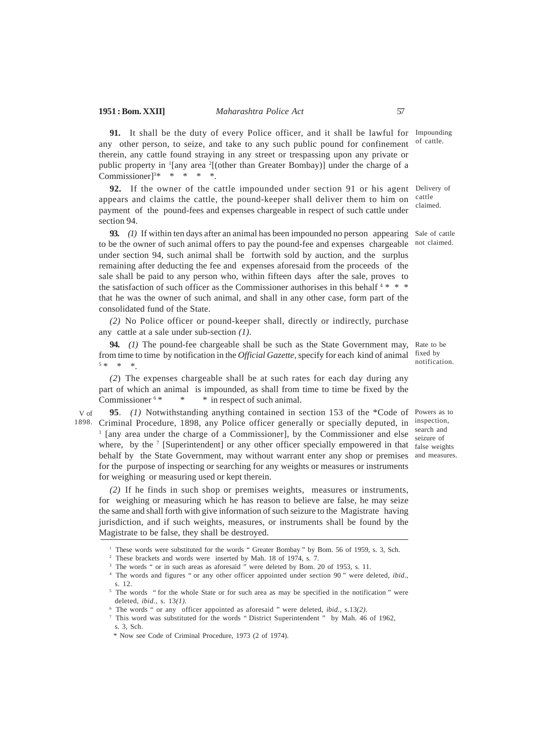**91.** It shall be the duty of every Police officer, and it shall be lawful for Impounding any other person, to seize, and take to any such public pound for confinement therein, any cattle found straying in any street or trespassing upon any private or public property in <sup>1</sup>[any area <sup>2</sup>[(other than Greater Bombay)] under the charge of a Commissioner]<sup>3\*</sup> \* \* \* \*. of cattle.

**92.** If the owner of the cattle impounded under section 91 or his agent Delivery of appears and claims the cattle, the pound-keeper shall deliver them to him on payment of the pound-fees and expenses chargeable in respect of such cattle under section 94.

**93.** (1) If within ten days after an animal has been impounded no person appearing Sale of cattle to be the owner of such animal offers to pay the pound-fee and expenses chargeable not claimed. under section 94, such animal shall be fortwith sold by auction, and the surplus remaining after deducting the fee and expenses aforesaid from the proceeds of the sale shall be paid to any person who, within fifteen days after the sale, proves to the satisfaction of such officer as the Commissioner authorises in this behalf  $4 * * *$ that he was the owner of such animal, and shall in any other case, form part of the consolidated fund of the State.

*(2)* No Police officer or pound-keeper shall, directly or indirectly, purchase any cattle at a sale under sub-section *(1)*.

**94.** *(1)* The pound-fee chargeable shall be such as the State Government may, Rate to be from time to time by notification in the *Official Gazette*, specify for each kind of animal 5 \* \* \*.

*(2*) The expenses chargeable shall be at such rates for each day during any part of which an animal is impounded, as shall from time to time be fixed by the Commissioner<sup>6\*</sup> \* in respect of such animal.

**95**. *(1)* Notwithstanding anything contained in section 153 of the \*Code of Powers as to Criminal Procedure, 1898, any Police officer generally or specially deputed, in <sup>1</sup> [any area under the charge of a Commissioner], by the Commissioner and else where, by the <sup>7</sup> [Superintendent] or any other officer specially empowered in that false weights behalf by the State Government, may without warrant enter any shop or premises and measures. for the purpose of inspecting or searching for any weights or measures or instruments for weighing or measuring used or kept therein. V of 1898.

*(2)* If he finds in such shop or premises weights, measures or instruments, for weighing or measuring which he has reason to believe are false, he may seize the same and shall forth with give information of such seizure to the Magistrate having jurisdiction, and if such weights, measures, or instruments shall be found by the Magistrate to be false, they shall be destroyed.

cattle claimed.

fixed by notification.

inspection, search and seizure of

<sup>&</sup>lt;sup>1</sup> These words were substituted for the words " Greater Bombay " by Bom. 56 of 1959, s. 3, Sch.

<sup>2</sup> These brackets and words were inserted by Mah. 18 of 1974, s. 7.

<sup>&</sup>lt;sup>3</sup> The words " or in such areas as aforesaid " were deleted by Bom. 20 of 1953, s. 11.

<sup>4</sup> The words and figures " or any other officer appointed under section 90 " were deleted, *ibid.*, s. 12.

<sup>&</sup>lt;sup>5</sup> The words " for the whole State or for such area as may be specified in the notification " were deleted, *ibid.*, s. 13*(1)*.

<sup>6</sup> The words " or any officer appointed as aforesaid " were deleted, *ibid.*, s.13*(2)*.

<sup>7</sup> This word was substituted for the words " District Superintendent " by Mah. 46 of 1962,  $s. 3.$  Sch.

<sup>\*</sup> Now see Code of Criminal Procedure, 1973 (2 of 1974).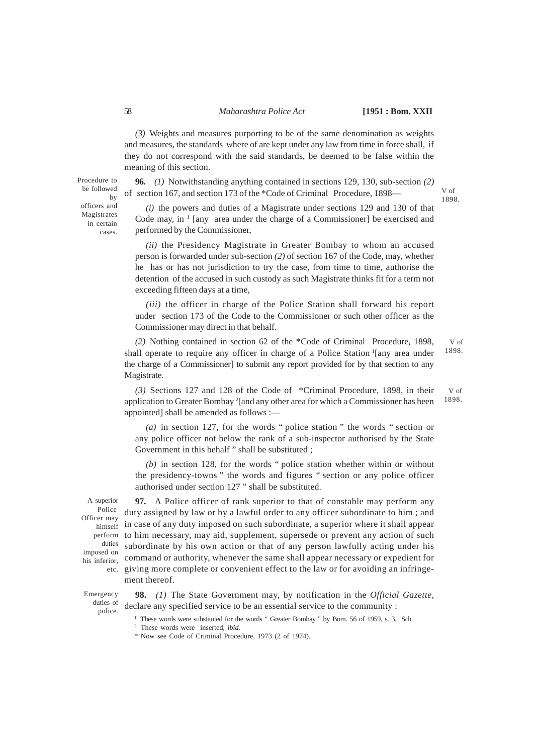*(3)* Weights and measures purporting to be of the same denomination as weights and measures, the standards where of are kept under any law from time in force shall, if they do not correspond with the said standards, be deemed to be false within the meaning of this section.

**96.** *(1)* Notwithstanding anything contained in sections 129, 130, sub-section *(2)* of section 167, and section 173 of the \*Code of Criminal Procedure, 1898—

V of 1898.

*(i)* the powers and duties of a Magistrate under sections 129 and 130 of that Code may, in  $1$  [any area under the charge of a Commissioner] be exercised and performed by the Commissioner,

*(ii)* the Presidency Magistrate in Greater Bombay to whom an accused person is forwarded under sub-section *(2)* of section 167 of the Code, may, whether he has or has not jurisdiction to try the case, from time to time, authorise the detention of the accused in such custody as such Magistrate thinks fit for a term not exceeding fifteen days at a time,

*(iii)* the officer in charge of the Police Station shall forward his report under section 173 of the Code to the Commissioner or such other officer as the Commissioner may direct in that behalf.

*(2)* Nothing contained in section 62 of the \*Code of Criminal Procedure, 1898, shall operate to require any officer in charge of a Police Station<sup>1</sup>[any area under the charge of a Commissioner] to submit any report provided for by that section to any Magistrate. V of 1898.

*(3)* Sections 127 and 128 of the Code of \*Criminal Procedure, 1898, in their application to Greater Bombay <sup>2</sup> [and any other area for which a Commissioner has been appointed] shall be amended as follows :— V of 1898.

*(a)* in section 127, for the words " police station " the words " section or any police officer not below the rank of a sub-inspector authorised by the State Government in this behalf " shall be substituted ;

*(b)* in section 128, for the words " police station whether within or without the presidency-towns " the words and figures " section or any police officer authorised under section 127 " shall be substituted.

A superior Police Officer may himself duties imposed on his inferior,

**97.** A Police officer of rank superior to that of constable may perform any duty assigned by law or by a lawful order to any officer subordinate to him ; and in case of any duty imposed on such subordinate, a superior where it shall appear perform to him necessary, may aid, supplement, supersede or prevent any action of such subordinate by his own action or that of any person lawfully acting under his command or authority, whenever the same shall appear necessary or expedient for etc. giving more complete or convenient effect to the law or for avoiding an infringement thereof.

Emergency duties of police.

**98.** *(1)* The State Government may, by notification in the *Official Gazette,* declare any specified service to be an essential service to the community :

Procedure to be followed by officers and **Magistrates** in certain cases.

<sup>1</sup>These words were substituted for the words " Greater Bombay " by Bom. 56 of 1959, s. 3, Sch*.* 2 These words were inserted, *ibid.*

<sup>\*</sup> Now see Code of Criminal Procedure, 1973 (2 of 1974).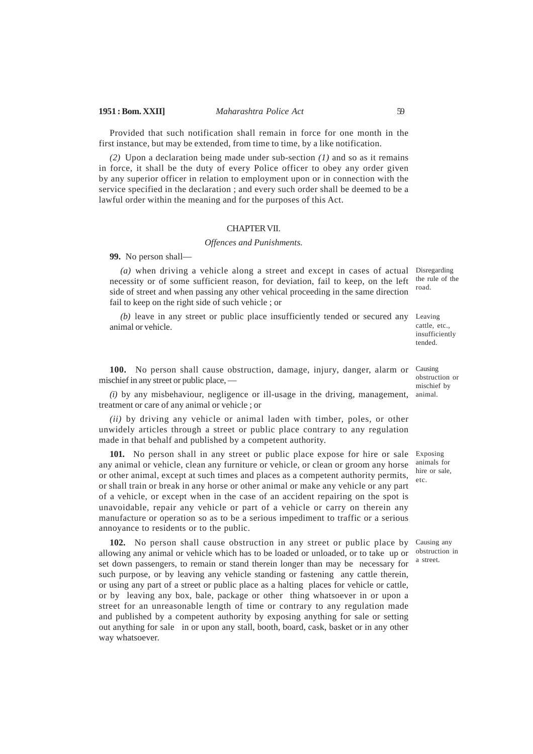Provided that such notification shall remain in force for one month in the first instance, but may be extended, from time to time, by a like notification.

*(2)* Upon a declaration being made under sub-section *(1)* and so as it remains in force, it shall be the duty of every Police officer to obey any order given by any superior officer in relation to employment upon or in connection with the service specified in the declaration ; and every such order shall be deemed to be a lawful order within the meaning and for the purposes of this Act.

#### CHAPTER VII.

#### *Offences and Punishments.*

**99.** No person shall—

(a) when driving a vehicle along a street and except in cases of actual Disregarding necessity or of some sufficient reason, for deviation, fail to keep, on the left side of street and when passing any other vehical proceeding in the same direction fail to keep on the right side of such vehicle ; or

*(b)* leave in any street or public place insufficiently tended or secured any Leaving animal or vehicle.

100. No person shall cause obstruction, damage, injury, danger, alarm or Causing mischief in any street or public place, —

*(i)* by any misbehaviour, negligence or ill-usage in the driving, management, animal. treatment or care of any animal or vehicle ; or

*(ii)* by driving any vehicle or animal laden with timber, poles, or other unwidely articles through a street or public place contrary to any regulation made in that behalf and published by a competent authority.

**101.** No person shall in any street or public place expose for hire or sale Exposing any animal or vehicle, clean any furniture or vehicle, or clean or groom any horse or other animal, except at such times and places as a competent authority permits, or shall train or break in any horse or other animal or make any vehicle or any part of a vehicle, or except when in the case of an accident repairing on the spot is unavoidable, repair any vehicle or part of a vehicle or carry on therein any manufacture or operation so as to be a serious impediment to traffic or a serious annoyance to residents or to the public.

**102.** No person shall cause obstruction in any street or public place by allowing any animal or vehicle which has to be loaded or unloaded, or to take up or set down passengers, to remain or stand therein longer than may be necessary for such purpose, or by leaving any vehicle standing or fastening any cattle therein, or using any part of a street or public place as a halting places for vehicle or cattle, or by leaving any box, bale, package or other thing whatsoever in or upon a street for an unreasonable length of time or contrary to any regulation made and published by a competent authority by exposing anything for sale or setting out anything for sale in or upon any stall, booth, board, cask, basket or in any other way whatsoever.

the rule of the road.

cattle, etc., insufficiently tended.

obstruction or mischief by

animals for hire or sale, etc.

Causing any obstruction in a street.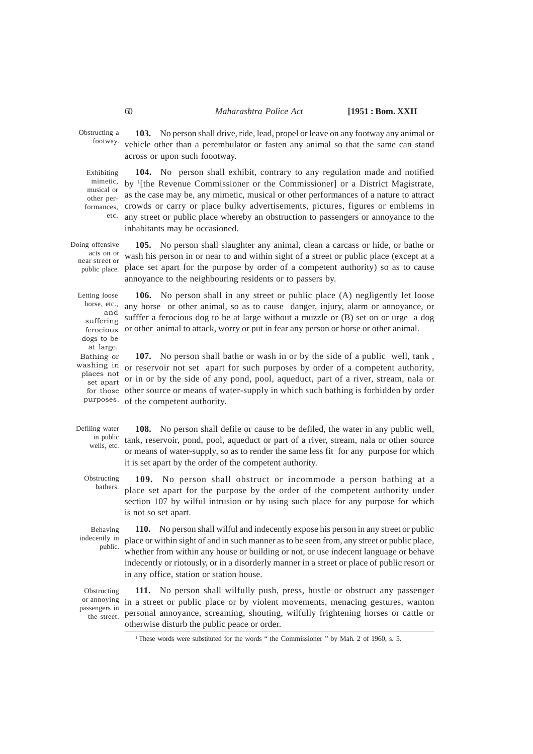### 60 *Maharashtra Police Act* **[1951 : Bom. XXII**

Obstructing a footway.

**103.** No person shall drive, ride, lead, propel or leave on any footway any animal or vehicle other than a perembulator or fasten any animal so that the same can stand across or upon such foootway.

**104.** No person shall exhibit, contrary to any regulation made and notified mimetic, by <sup>1</sup>[the Revenue Commissioner or the Commissioner] or a District Magistrate, as the case may be, any mimetic, musical or other performances of a nature to attract formances, crowds or carry or place bulky advertisements, pictures, figures or emblems in any street or public place whereby an obstruction to passengers or annoyance to the inhabitants may be occasioned. Exhibiting musical or other peretc.

**105.** No person shall slaughter any animal, clean a carcass or hide, or bathe or wash his person in or near to and within sight of a street or public place (except at a public place. place set apart for the purpose by order of a competent authority) so as to cause annoyance to the neighbouring residents or to passers by. Doing offensive acts on or near street or

Letting loose horse, etc., and suffering dogs to be at large. Bathing or washing in places not set apart

**106.** No person shall in any street or public place (A) negligently let loose any horse or other animal, so as to cause danger, injury, alarm or annoyance, or sufffer a ferocious dog to be at large without a muzzle or (B) set on or urge a dog ferocious or other animal to attack, worry or put in fear any person or horse or other animal.

**107.** No person shall bathe or wash in or by the side of a public well, tank , or reservoir not set apart for such purposes by order of a competent authority, or in or by the side of any pond, pool, aqueduct, part of a river, stream, nala or for those other source or means of water-supply in which such bathing is forbidden by order purposes. of the competent authority.

Defiling water in public wells, etc.

**108.** No person shall defile or cause to be defiled, the water in any public well, tank, reservoir, pond, pool, aqueduct or part of a river, stream, nala or other source or means of water-supply, so as to render the same less fit for any purpose for which it is set apart by the order of the competent authority.

**109.** No person shall obstruct or incommode a person bathing at a place set apart for the purpose by the order of the competent authority under section 107 by wilful intrusion or by using such place for any purpose for which is not so set apart. Obstructing bathers.

Behaving indecently in public.

**110.** No person shall wilful and indecently expose his person in any street or public place or within sight of and in such manner as to be seen from, any street or public place, whether from within any house or building or not, or use indecent language or behave indecently or riotously, or in a disorderly manner in a street or place of public resort or in any office, station or station house.

Obstructing or annoying passengers in the street.

**111.** No person shall wilfully push, press, hustle or obstruct any passenger in a street or public place or by violent movements, menacing gestures, wanton personal annoyance, screaming, shouting, wilfully frightening horses or cattle or otherwise disturb the public peace or order.

<sup>&</sup>lt;sup>1</sup>These words were substituted for the words " the Commissioner " by Mah. 2 of 1960, s. 5.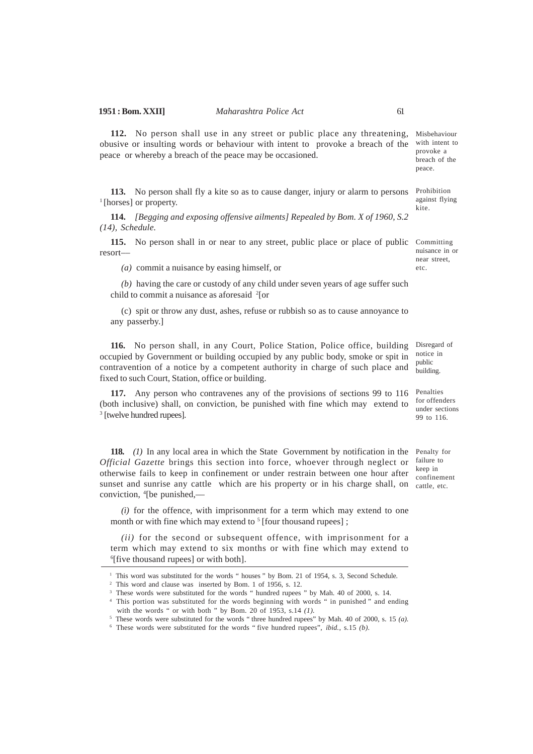**112.** No person shall use in any street or public place any threatening, Misbehaviour obusive or insulting words or behaviour with intent to provoke a breach of the with intent to peace or whereby a breach of the peace may be occasioned.

**113.** No person shall fly a kite so as to cause danger, injury or alarm to persons <sup>1</sup>[horses] or property.

**114.** *[Begging and exposing offensive ailments] Repealed by Bom. X of 1960, S.2 (14), Schedule.*

**115.** No person shall in or near to any street, public place or place of public Committing resort––

*(a)* commit a nuisance by easing himself, or

*(b)* having the care or custody of any child under seven years of age suffer such child to commit a nuisance as aforesaid <sup>2</sup> [or

(c) spit or throw any dust, ashes, refuse or rubbish so as to cause annoyance to any passerby.]

**116.** No person shall, in any Court, Police Station, Police office, building occupied by Government or building occupied by any public body, smoke or spit in contravention of a notice by a competent authority in charge of such place and fixed to such Court, Station, office or building.

**117.** Any person who contravenes any of the provisions of sections 99 to 116 (both inclusive) shall, on conviction, be punished with fine which may extend to 3 [twelve hundred rupees].

**118.** *(1)* In any local area in which the State Government by notification in the Penalty for *Official Gazette* brings this section into force, whoever through neglect or otherwise fails to keep in confinement or under restrain between one hour after sunset and sunrise any cattle which are his property or in his charge shall, on cattle, etc. conviction, <sup>4</sup> [be punished,––

*(i)* for the offence, with imprisonment for a term which may extend to one month or with fine which may extend to <sup>5</sup> [four thousand rupees];

*(ii)* for the second or subsequent offence, with imprisonment for a term which may extend to six months or with fine which may extend to 6 [five thousand rupees] or with both].

provoke a breach of the peace.

Prohibition against flying kite.

nuisance in or near street, etc.

Disregard of notice in public building.

Penalties for offenders under sections 99 to 116.

failure to keep in confinement

<sup>&</sup>lt;sup>1</sup> This word was substituted for the words " houses " by Bom. 21 of 1954, s. 3, Second Schedule.

<sup>2</sup> This word and clause was inserted by Bom. 1 of 1956, s. 12.

<sup>&</sup>lt;sup>3</sup> These words were substituted for the words " hundred rupees " by Mah. 40 of 2000, s. 14.

<sup>4</sup> This portion was substituted for the words beginning with words " in punished " and ending with the words " or with both " by Bom. 20 of 1953, s.14 *(1).*

 $^5$  These words were substituted for the words "three hundred rupees" by Mah. 40 of 2000, s. 15 *(a)*.

<sup>6</sup> These words were substituted for the words " five hundred rupees", *ibid.*, s.15 *(b)*.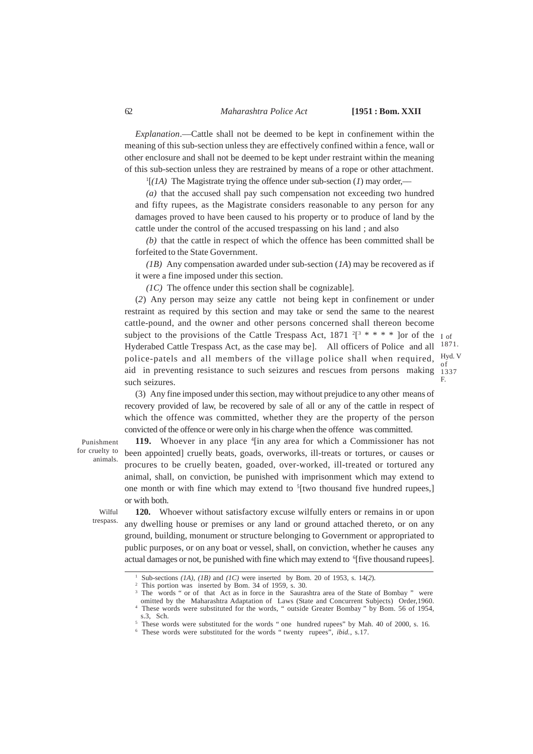#### 62 *Maharashtra Police Act* **[1951 : Bom. XXII**

of F.

*Explanation*.—Cattle shall not be deemed to be kept in confinement within the meaning of this sub-section unless they are effectively confined within a fence, wall or other enclosure and shall not be deemed to be kept under restraint within the meaning of this sub-section unless they are restrained by means of a rope or other attachment.

1 [*(1A)* The Magistrate trying the offence under sub-section (*1*) may order,––

*(a)* that the accused shall pay such compensation not exceeding two hundred and fifty rupees, as the Magistrate considers reasonable to any person for any damages proved to have been caused to his property or to produce of land by the cattle under the control of the accused trespassing on his land ; and also

*(b)* that the cattle in respect of which the offence has been committed shall be forfeited to the State Government.

*(1B)* Any compensation awarded under sub-section (*1A*) may be recovered as if it were a fine imposed under this section.

*(1C)* The offence under this section shall be cognizable].

(*2*) Any person may seize any cattle not being kept in confinement or under restraint as required by this section and may take or send the same to the nearest cattle-pound, and the owner and other persons concerned shall thereon become subject to the provisions of the Cattle Trespass Act,  $1871 \frac{2}{3}$  \* \* \*  $\frac{1}{3}$  of the <sub>I of</sub> Hyderabed Cattle Trespass Act, as the case may be]. All officers of Police and all <sup>1871.</sup> police-patels and all members of the village police shall when required,  $H_g^{\text{yd}}$ . aid in preventing resistance to such seizures and rescues from persons making 1337 such seizures.

(3) Any fine imposed under this section, may without prejudice to any other means of recovery provided of law, be recovered by sale of all or any of the cattle in respect of which the offence was committed, whether they are the property of the person convicted of the offence or were only in his charge when the offence was committed.

Punishment for cruelty to animals.

**119.** Whoever in any place <sup>4</sup>[in any area for which a Commissioner has not been appointed] cruelly beats, goads, overworks, ill-treats or tortures, or causes or procures to be cruelly beaten, goaded, over-worked, ill-treated or tortured any animal, shall, on conviction, be punished with imprisonment which may extend to one month or with fine which may extend to  $5$ [two thousand five hundred rupees,] or with both.

Wilful trespass.

**120.** Whoever without satisfactory excuse wilfully enters or remains in or upon any dwelling house or premises or any land or ground attached thereto, or on any ground, building, monument or structure belonging to Government or appropriated to public purposes, or on any boat or vessel, shall, on conviction, whether he causes any actual damages or not, be punished with fine which may extend to <sup>6</sup>[five thousand rupees].

<sup>1</sup>Sub-sections *(1A)*, *(1B)* and *(1C)* were inserted by Bom. 20 of 1953, s. 14(*2*).

This portion was inserted by Bom. 34 of 1959, s. 30.

The words " or of that Act as in force in the Saurashtra area of the State of Bombay " were omitted by the Maharashtra Adaptation of Laws (State and Concurrent Subjects) Order,1960. These words were substituted for the words, " outside Greater Bombay " by Bom. 56 of 1954,

s.3, Sch.

<sup>5</sup>These words were substituted for the words " one hundred rupees" by Mah. 40 of 2000, s. 16*.*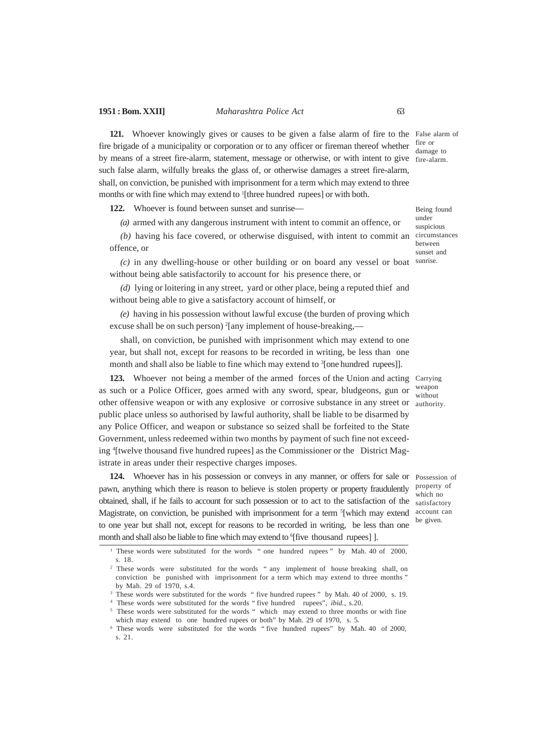121. Whoever knowingly gives or causes to be given a false alarm of fire to the False alarm of fire brigade of a municipality or corporation or to any officer or fireman thereof whether  $\frac{fire}{domeq}$ by means of a street fire-alarm, statement, message or otherwise, or with intent to give fire-alarm. such false alarm, wilfully breaks the glass of, or otherwise damages a street fire-alarm, shall, on conviction, be punished with imprisonment for a term which may extend to three months or with fine which may extend to <sup>1</sup>[three hundred rupees] or with both.

122. Whoever is found between sunset and sunrise-

*(a)* armed with any dangerous instrument with intent to commit an offence, or

*(b)* having his face covered, or otherwise disguised, with intent to commit an offence, or

*(c)* in any dwelling-house or other building or on board any vessel or boat sunrise. without being able satisfactorily to account for his presence there, or

*(d)* lying or loitering in any street, yard or other place, being a reputed thief and without being able to give a satisfactory account of himself, or

*(e)* having in his possession without lawful excuse (the burden of proving which excuse shall be on such person) <sup>2</sup>[any implement of house-breaking,—

shall, on conviction, be punished with imprisonment which may extend to one year, but shall not, except for reasons to be recorded in writing, be less than one month and shall also be liable to fine which may extend to <sup>3</sup>[one hundred rupees]].

123. Whoever not being a member of the armed forces of the Union and acting Carrying as such or a Police Officer, goes armed with any sword, spear, bludgeons, gun or other offensive weapon or with any explosive or corrosive substance in any street or authority. public place unless so authorised by lawful authority, shall be liable to be disarmed by any Police Officer, and weapon or substance so seized shall be forfeited to the State Government, unless redeemed within two months by payment of such fine not exceeding <sup>4</sup> [twelve thousand five hundred rupees] as the Commissioner or the District Magistrate in areas under their respective charges imposes.

124. Whoever has in his possession or conveys in any manner, or offers for sale or Possession of pawn, anything which there is reason to believe is stolen property or property fraudulently obtained, shall, if he fails to account for such possession or to act to the satisfaction of the Magistrate, on conviction, be punished with imprisonment for a term <sup>5</sup>[which may extend to one year but shall not, except for reasons to be recorded in writing, be less than one month and shall also be liable to fine which may extend to <sup>6</sup>[five thousand rupees]].

damage to

Being found under suspicious circumstances between sunset and

weapon without

property of which no satisfactory account can be given.

<sup>&</sup>lt;sup>1</sup> These words were substituted for the words " one hundred rupees" by Mah. 40 of 2000, s. 18.

<sup>&</sup>lt;sup>2</sup> These words were substituted for the words " any implement of house breaking shall, on conviction be punished with imprisonment for a term which may extend to three months " by Mah. 29 of 1970, s.4.

<sup>&</sup>lt;sup>3</sup> These words were substituted for the words " five hundred rupees " by Mah. 40 of 2000, s. 19.

<sup>4</sup> These words were substituted for the words " five hundred rupees", *ibid.*, s.20.

<sup>&</sup>lt;sup>5</sup> These words were substituted for the words " which may extend to three months or with fine which may extend to one hundred rupees or both" by Mah. 29 of 1970, s. 5*.*

<sup>6</sup> These words were substituted for the words " five hundred rupees" by Mah. 40 of 2000, s. 21.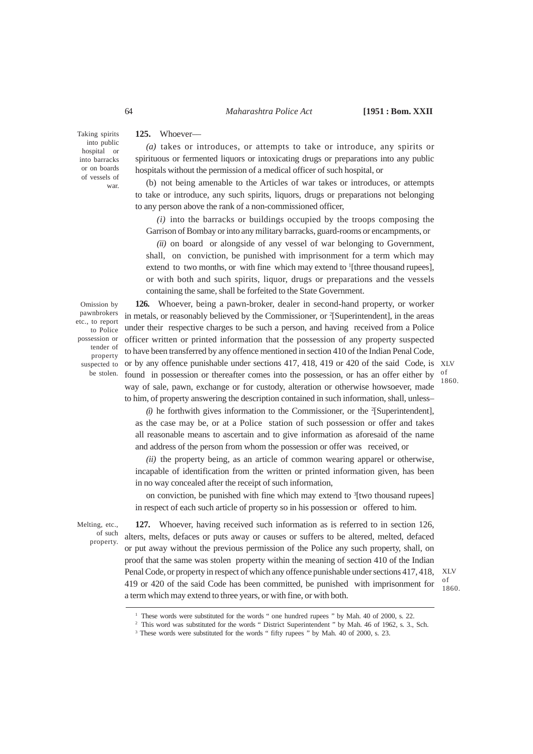**125.** Whoever––

Taking spirits into public hospital or into barracks or on boards of vessels of war.

*(a)* takes or introduces, or attempts to take or introduce, any spirits or spirituous or fermented liquors or intoxicating drugs or preparations into any public hospitals without the permission of a medical officer of such hospital, or

(b) not being amenable to the Articles of war takes or introduces, or attempts to take or introduce, any such spirits, liquors, drugs or preparations not belonging to any person above the rank of a non-commissioned officer,

*(i)* into the barracks or buildings occupied by the troops composing the Garrison of Bombay or into any military barracks, guard-rooms or encampments, or

*(ii)* on board or alongside of any vessel of war belonging to Government, shall, on conviction, be punished with imprisonment for a term which may extend to two months, or with fine which may extend to <sup>1</sup>[three thousand rupees], or with both and such spirits, liquor, drugs or preparations and the vessels containing the same, shall be forfeited to the State Government.

Omission by pawnbrokers etc., to report to Police possession or tender of property suspected to be stolen.

**126.** Whoever, being a pawn-broker, dealer in second-hand property, or worker in metals, or reasonably believed by the Commissioner, or <sup>2</sup>[Superintendent], in the areas under their respective charges to be such a person, and having received from a Police officer written or printed information that the possession of any property suspected to have been transferred by any offence mentioned in section 410 of the Indian Penal Code, or by any offence punishable under sections 417, 418, 419 or 420 of the said Code, is XLV found in possession or thereafter comes into the possession, or has an offer either by  $\frac{1}{2}$ way of sale, pawn, exchange or for custody, alteration or otherwise howsoever, made to him, of property answering the description contained in such information, shall, unless–

1860.

(i) he forthwith gives information to the Commissioner, or the <sup>2</sup>[Superintendent], as the case may be, or at a Police station of such possession or offer and takes all reasonable means to ascertain and to give information as aforesaid of the name and address of the person from whom the possession or offer was received, or

*(ii)* the property being, as an article of common wearing apparel or otherwise, incapable of identification from the written or printed information given, has been in no way concealed after the receipt of such information,

on conviction, be punished with fine which may extend to <sup>3</sup>[two thousand rupees] in respect of each such article of property so in his possession or offered to him.

Melting, etc., of such property.

**127.** Whoever, having received such information as is referred to in section 126, alters, melts, defaces or puts away or causes or suffers to be altered, melted, defaced or put away without the previous permission of the Police any such property, shall, on proof that the same was stolen property within the meaning of section 410 of the Indian Penal Code, or property in respect of which any offence punishable under sections 417, 418, 419 or 420 of the said Code has been committed, be punished with imprisonment for a term which may extend to three years, or with fine, or with both.

XLV of 1860.

<sup>&</sup>lt;sup>1</sup> These words were substituted for the words " one hundred rupees " by Mah. 40 of 2000, s. 22.

<sup>&</sup>lt;sup>2</sup> This word was substituted for the words " District Superintendent " by Mah. 46 of 1962, s. 3., Sch.

<sup>&</sup>lt;sup>3</sup> These words were substituted for the words " fifty rupees " by Mah. 40 of 2000, s. 23.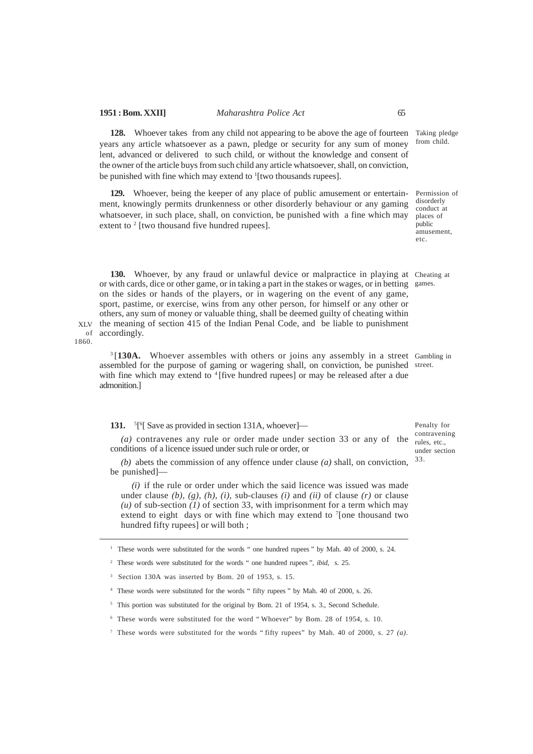128. Whoever takes from any child not appearing to be above the age of fourteen Taking pledge years any article whatsoever as a pawn, pledge or security for any sum of money lent, advanced or delivered to such child, or without the knowledge and consent of the owner of the article buys from such child any article whatsoever, shall, on conviction, be punished with fine which may extend to <sup>1</sup>[two thousands rupees].

**129.** Whoever, being the keeper of any place of public amusement or entertainment, knowingly permits drunkenness or other disorderly behaviour or any gaming whatsoever, in such place, shall, on conviction, be punished with a fine which may extent to <sup>2</sup> [two thousand five hundred rupees].

130. Whoever, by any fraud or unlawful device or malpractice in playing at Cheating at or with cards, dice or other game, or in taking a part in the stakes or wages, or in betting on the sides or hands of the players, or in wagering on the event of any game, sport, pastime, or exercise, wins from any other person, for himself or any other or others, any sum of money or valuable thing, shall be deemed guilty of cheating within XLV the meaning of section 415 of the Indian Penal Code, and be liable to punishment of accordingly.

1860.

<sup>3</sup>[130A. Whoever assembles with others or joins any assembly in a street Gambling in assembled for the purpose of gaming or wagering shall, on conviction, be punished street. with fine which may extend to <sup>4</sup>[five hundred rupees] or may be released after a due admonition.]

**131.** <sup>5</sup><sup>[6</sup>] Save as provided in section 131A, whoever]—

*(a)* contravenes any rule or order made under section 33 or any of the conditions of a licence issued under such rule or order, or

*(b)* abets the commission of any offence under clause *(a)* shall, on conviction, be punished]––

*(i)* if the rule or order under which the said licence was issued was made under clause *(b), (g), (h), (i),* sub-clauses *(i)* and *(ii)* of clause *(r)* or clause *(u)* of sub-section *(1)* of section 33, with imprisonment for a term which may extend to eight days or with fine which may extend to  $\frac{7}{2}$  [one thousand two hundred fifty rupees] or will both ;

<sup>1</sup> These words were substituted for the words " one hundred rupees " by Mah. 40 of 2000, s. 24.

<sup>2</sup>These words were substituted for the words " one hundred rupees ", *ibid,* s. 25.

<sup>3</sup> Section 130A was inserted by Bom. 20 of 1953, s. 15.

<sup>4</sup> These words were substituted for the words " fifty rupees " by Mah. 40 of 2000, s. 26.

<sup>5</sup> This portion was substituted for the original by Bom. 21 of 1954, s. 3., Second Schedule.

<sup>6</sup> These words were substituted for the word " Whoever" by Bom. 28 of 1954, s. 10.

<sup>7</sup> These words were substituted for the words " fifty rupees" by Mah. 40 of 2000, s. 27 *(a)*.

from child.

Permission of disorderly conduct at places of public amusement, etc.

games.

Penalty for contravening rules, etc., under section 33.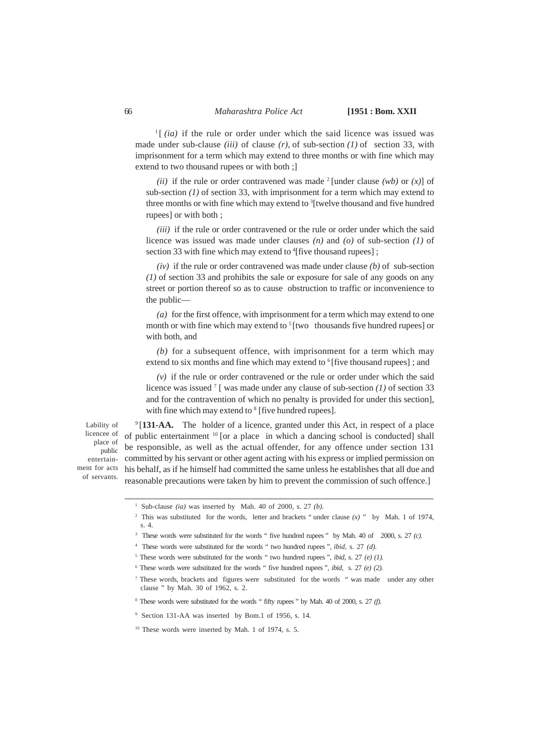$\frac{1}{1}$  (*ia*) if the rule or order under which the said licence was issued was made under sub-clause *(iii)* of clause *(r),* of sub-section *(1)* of section 33, with imprisonment for a term which may extend to three months or with fine which may extend to two thousand rupees or with both ;]

*(ii)* if the rule or order contravened was made <sup>2</sup> [under clause *(wb)* or *(x)*] of sub-section *(1)* of section 33, with imprisonment for a term which may extend to three months or with fine which may extend to <sup>3</sup>[twelve thousand and five hundred rupees] or with both ;

*(iii)* if the rule or order contravened or the rule or order under which the said licence was issued was made under clauses *(n)* and *(o)* of sub-section *(1)* of section 33 with fine which may extend to <sup>4</sup>[five thousand rupees];

*(iv)* if the rule or order contravened was made under clause *(b)* of sub-section *(1)* of section 33 and prohibits the sale or exposure for sale of any goods on any street or portion thereof so as to cause obstruction to traffic or inconvenience to the public––

*(a)* for the first offence, with imprisonment for a term which may extend to one month or with fine which may extend to  $\frac{5}{1}$  [two thousands five hundred rupees] or with both, and

*(b)* for a subsequent offence, with imprisonment for a term which may extend to six months and fine which may extend to  $6$ [five thousand rupees]; and

*(v)* if the rule or order contravened or the rule or order under which the said licence was issued <sup>7</sup> [ was made under any clause of sub-section *(1)* of section 33 and for the contravention of which no penalty is provided for under this section], with fine which may extend to <sup>8</sup> [five hundred rupees].

Lability of licencee of place of public entertainment for acts of servants.

<sup>9</sup>[131-AA. The holder of a licence, granted under this Act, in respect of a place of public entertainment <sup>10</sup> [or a place in which a dancing school is conducted] shall be responsible, as well as the actual offender, for any offence under section 131 committed by his servant or other agent acting with his express or implied permission on his behalf, as if he himself had committed the same unless he establishes that all due and reasonable precautions were taken by him to prevent the commission of such offence.]

<sup>1</sup> Sub-clause *(ia)* was inserted by Mah. 40 of 2000, s. 27 *(b).*

<sup>2</sup> This was substituted for the words, letter and brackets " under clause *(x)* " by Mah. 1 of 1974, s. 4.

<sup>3</sup> These words were substituted for the words " five hundred rupees " by Mah. 40 of 2000, s. 27 *(c)*.

<sup>4</sup> These words were substituted for the words " two hundred rupees ", *ibid*, s. 27 *(d).*

<sup>5</sup> These words were substituted for the words " two hundred rupees ", *ibid,* s. 27 *(e) (1).*

 $6$  These words were substituted for the words " five hundred rupees ", *ibid, s.* 27  $(e)$   $(2)$ .

<sup>7</sup> These words, brackets and figures were substituted for the words " was made under any other clause " by Mah. 30 of 1962, s. 2.

<sup>8</sup> These words were substituted for the words " fifty rupees " by Mah. 40 of 2000, s. 27 *(f)*.

<sup>&</sup>lt;sup>9</sup> Section 131-AA was inserted by Bom.1 of 1956, s. 14.

<sup>&</sup>lt;sup>10</sup> These words were inserted by Mah. 1 of 1974, s. 5.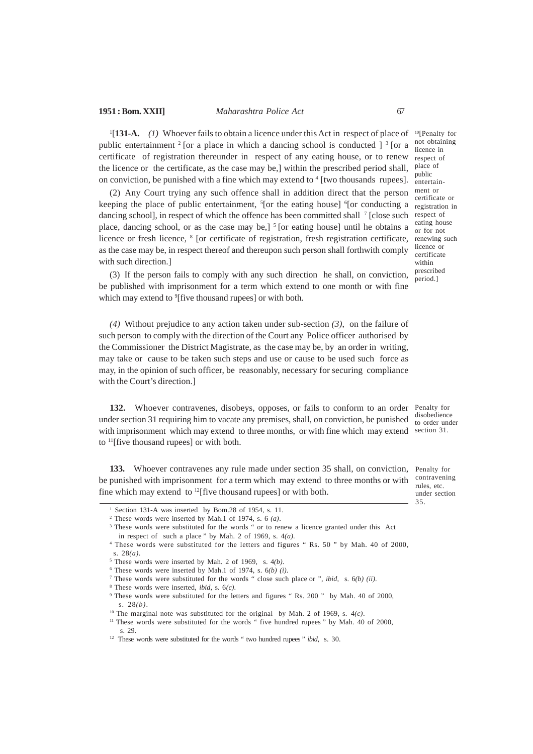<sup>1</sup>[131-A. (1) Whoever fails to obtain a licence under this Act in respect of place of <sup>10</sup>[Penalty for public entertainment  $2$  [or a place in which a dancing school is conducted  $3^{3}$  [or a certificate of registration thereunder in respect of any eating house, or to renew the licence or the certificate, as the case may be,] within the prescribed period shall,  $\frac{place}{}$  of on conviction, be punished with a fine which may extend to <sup>4</sup> [two thousands rupees].

(2) Any Court trying any such offence shall in addition direct that the person keeping the place of public entertainment, <sup>5</sup>[or the eating house] <sup>6</sup>[or conducting a dancing school], in respect of which the offence has been committed shall <sup>7</sup> [close such place, dancing school, or as the case may be, $\int$ <sup>5</sup> [or eating house] until he obtains a licence or fresh licence, <sup>8</sup> [or certificate of registration, fresh registration certificate, renewing such as the case may be, in respect thereof and thereupon such person shall forthwith comply with such direction.]

(3) If the person fails to comply with any such direction he shall, on conviction, be published with imprisonment for a term which extend to one month or with fine which may extend to <sup>9</sup>[five thousand rupees] or with both.

*(4)* Without prejudice to any action taken under sub-section *(3)*, on the failure of such person to comply with the direction of the Court any Police officer authorised by the Commissioner the District Magistrate, as the case may be, by an order in writing, may take or cause to be taken such steps and use or cause to be used such force as may, in the opinion of such officer, be reasonably, necessary for securing compliance with the Court's direction.]

132. Whoever contravenes, disobeys, opposes, or fails to conform to an order Penalty for under section 31 requiring him to vacate any premises, shall, on conviction, be punished with imprisonment which may extend to three months, or with fine which may extend section 31. to <sup>11</sup>[five thousand rupees] or with both.

133. Whoever contravenes any rule made under section 35 shall, on conviction, Penalty for be punished with imprisonment for a term which may extend to three months or with  $\frac{\text{contravening}}{\text{interaction}}$ fine which may extend to  $^{12}$  [five thousand rupees] or with both.

not obtaining licence in respect of public entertainment or certificate or registration in respect of eating house or for not licence or certificate within prescribed period.]

disobedience to order under

rules, etc. under section 35.

 $1$  Section 131-A was inserted by Bom.28 of 1954, s. 11.

<sup>2</sup> These words were inserted by Mah.1 of 1974, s. 6 *(a)*.

<sup>&</sup>lt;sup>3</sup> These words were substituted for the words " or to renew a licence granted under this Act in respect of such a place " by Mah. 2 of 1969, s. 4*(a)*.

<sup>4</sup> These words were substituted for the letters and figures " Rs. 50 " by Mah. 40 of 2000, s. 28*(a)*.

<sup>5</sup> These words were inserted by Mah. 2 of 1969, s. 4*(b)*.

<sup>6</sup> These words were inserted by Mah.1 of 1974, s. 6*(b) (i)*.

<sup>7</sup> These words were substituted for the words " close such place or ", *ibid,* s. 6*(b) (ii)*.

<sup>8</sup> These words were inserted, *ibid*, s. 6*(c)*.

<sup>9</sup> These words were substituted for the letters and figures " Rs. 200 " by Mah. 40 of 2000, s. 28*(b)*.

<sup>10</sup> The marginal note was substituted for the original by Mah. 2 of 1969, s. 4*(c)*.

<sup>&</sup>lt;sup>11</sup> These words were substituted for the words " five hundred rupees " by Mah. 40 of 2000, s. 29.

<sup>12</sup> These words were substituted for the words " two hundred rupees " *ibid,* s. 30.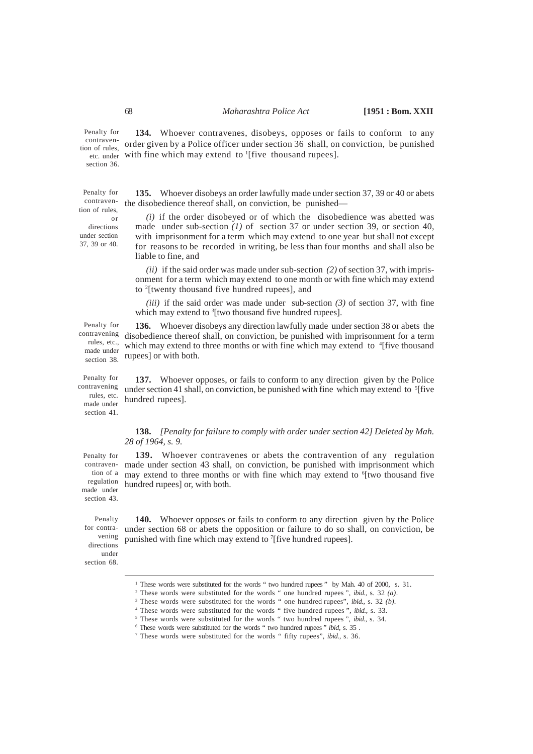Penalty for contravention of rules, etc. under section 36

Penalty for tion of rules or

directions under section 37, 39 or 40.

**134.** Whoever contravenes, disobeys, opposes or fails to conform to any order given by a Police officer under section 36 shall, on conviction, be punished with fine which may extend to  $\frac{1}{1}$  (five thousand rupees).

**135.** Whoever disobeys an order lawfully made under section 37, 39 or 40 or abets contraven- the disobedience thereof shall, on conviction, be punished—

> *(i)* if the order disobeyed or of which the disobedience was abetted was made under sub-section *(1)* of section 37 or under section 39, or section 40, with imprisonment for a term which may extend to one year but shall not except for reasons to be recorded in writing, be less than four months and shall also be liable to fine, and

> *(ii)* if the said order was made under sub-section *(2)* of section 37, with imprisonment for a term which may extend to one month or with fine which may extend to <sup>2</sup> [twenty thousand five hundred rupees], and

> *(iii)* if the said order was made under sub-section *(3)* of section 37, with fine which may extend to <sup>3</sup>[two thousand five hundred rupees].

Penalty for made under section 38.

section 41.

**136.** Whoever disobeys any direction lawfully made under section 38 or abets the contravening disobedience thereof shall, on conviction, be punished with imprisonment for a term rules, etc., which may extend to three months or with fine which may extend to <sup>4</sup>[five thousand rupees] or with both.

**137.** Whoever opposes, or fails to conform to any direction given by the Police under section 41 shall, on conviction, be punished with fine which may extend to <sup>5</sup>[five hundred rupees]. Penalty for contravening rules, etc. made under

### **138.** *[Penalty for failure to comply with order under section 42] Deleted by Mah. 28 of 1964, s. 9.*

**139.** Whoever contravenes or abets the contravention of any regulation contraven- made under section 43 shall, on conviction, be punished with imprisonment which tion of a may extend to three months or with fine which may extend to <sup>6</sup>[two thousand five regulation hundred rupees] or, with both. Penalty for made under

Penalty for contravening directions under section 68.

section 43.

**140.** Whoever opposes or fails to conform to any direction given by the Police under section 68 or abets the opposition or failure to do so shall, on conviction, be punished with fine which may extend to <sup>7</sup>[five hundred rupees].

<sup>&</sup>lt;sup>1</sup> These words were substituted for the words " two hundred rupees " by Mah. 40 of 2000, s. 31.

<sup>2</sup> These words were substituted for the words " one hundred rupees ", *ibid.,* s. 32 *(a)*.

<sup>3</sup> These words were substituted for the words " one hundred rupees", *ibid.,* s. 32 *(b)*.

<sup>4</sup> These words were substituted for the words " five hundred rupees ", *ibid.,* s. 33.

<sup>5</sup> These words were substituted for the words " two hundred rupees ", *ibid.,* s. 34.

<sup>6</sup> These words were substituted for the words " two hundred rupees " *ibid*, s. 35 .

<sup>7</sup> These words were substituted for the words " fifty rupees", *ibid.,* s. 36.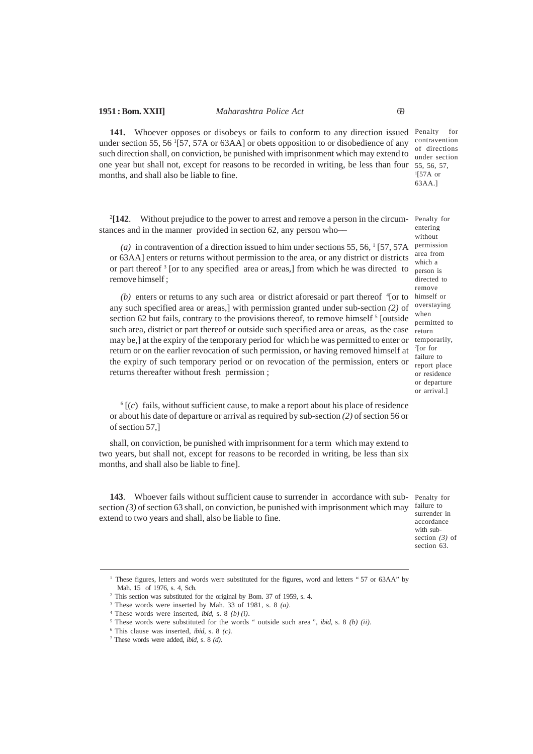141. Whoever opposes or disobeys or fails to conform to any direction issued Penalty for under section 55, 56 <sup>1</sup> [57, 57A or 63AA] or obets opposition to or disobedience of any such direction shall, on conviction, be punished with imprisonment which may extend to one year but shall not, except for reasons to be recorded in writing, be less than four 55, 56, 57, months, and shall also be liable to fine. contravention of directions under section 1 [57A or 63AA.]

 $^{2}$ [142. **[142**. Without prejudice to the power to arrest and remove a person in the circum-Penalty for stances and in the manner provided in section 62, any person who–– entering

(a) in contravention of a direction issued to him under sections  $55, 56, 1$  [57, 57A or 63AA] enters or returns without permission to the area, or any district or districts or part thereof<sup>3</sup> [or to any specified area or areas,] from which he was directed to remove himself ;

 $(b)$  enters or returns to any such area or district aforesaid or part thereof  $\frac{4}{1}$  or to any such specified area or areas,] with permission granted under sub-section *(2)* of section 62 but fails, contrary to the provisions thereof, to remove himself  $5$  [outside such area, district or part thereof or outside such specified area or areas, as the case may be,] at the expiry of the temporary period for which he was permitted to enter or return or on the earlier revocation of such permission, or having removed himself at the expiry of such temporary period or on revocation of the permission, enters or returns thereafter without fresh permission ;

without permission area from which a person is directed to remove himself or overstaying when permitted to return temporarily, 7 [or for failure to report place or residence or departure or arrival.]

 $^6$  [(*c*) fails, without sufficient cause, to make a report about his place of residence or about his date of departure or arrival as required by sub-section *(2)* of section 56 or of section 57,]

shall, on conviction, be punished with imprisonment for a term which may extend to two years, but shall not, except for reasons to be recorded in writing, be less than six months, and shall also be liable to fine].

143. Whoever fails without sufficient cause to surrender in accordance with sub- Penalty for section *(3)* of section 63 shall, on conviction, be punished with imprisonment which may extend to two years and shall, also be liable to fine.

failure to surrender in accordance with subsection *(3)* of section 63.

<sup>&</sup>lt;sup>1</sup> These figures, letters and words were substituted for the figures, word and letters "57 or 63AA" by Mah. 15 of 1976, s. 4, Sch.

<sup>2</sup> This section was substituted for the original by Bom. 37 of 1959, s. 4.

<sup>3</sup> These words were inserted by Mah. 33 of 1981, s. 8 *(a)*.

<sup>4</sup> These words were inserted, *ibid,* s. 8 *(b) (i)*.

<sup>5</sup> These words were substituted for the words " outside such area ", *ibid,* s. 8 *(b) (ii).*

<sup>6</sup> This clause was inserted, *ibid,* s. 8 *(c).*

<sup>7</sup> These words were added, *ibid,* s. 8 *(d)*.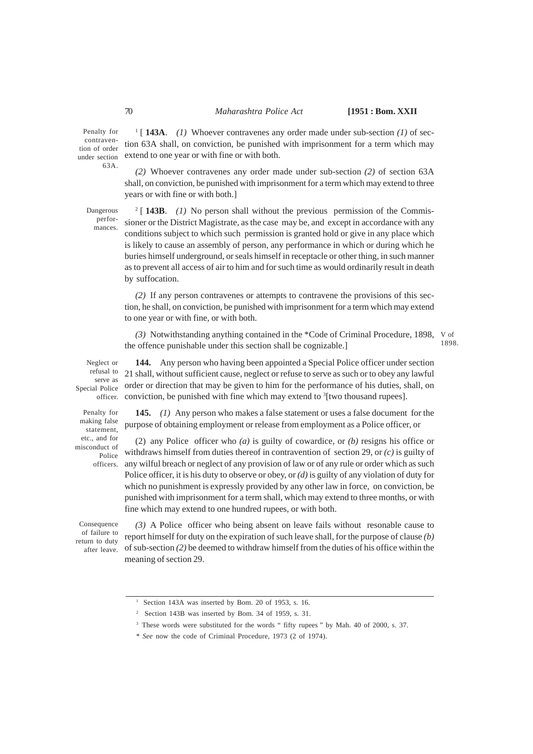Penalty for contravention of order 63A.

1 [ **143A**. *(1)* Whoever contravenes any order made under sub-section *(1)* of section 63A shall, on conviction, be punished with imprisonment for a term which may under section extend to one year or with fine or with both.

> *(2)* Whoever contravenes any order made under sub-section *(2)* of section 63A shall, on conviction, be punished with imprisonment for a term which may extend to three years or with fine or with both.]

Dangerous performances.

2 [ **143B**. *(1)* No person shall without the previous permission of the Commissioner or the District Magistrate, as the case may be, and except in accordance with any conditions subject to which such permission is granted hold or give in any place which is likely to cause an assembly of person, any performance in which or during which he buries himself underground, or seals himself in receptacle or other thing, in such manner as to prevent all access of air to him and for such time as would ordinarily result in death by suffocation.

*(2)* If any person contravenes or attempts to contravene the provisions of this section, he shall, on conviction, be punished with imprisonment for a term which may extend to one year or with fine, or with both.

(3) Notwithstanding anything contained in the \*Code of Criminal Procedure, 1898, V of the offence punishable under this section shall be cognizable.]

**144.** Any person who having been appointed a Special Police officer under section

1898.

Neglect or refusal to serve as Special Police

Penalty for making false statement, etc., and for misconduct of Police

21 shall, without sufficient cause, neglect or refuse to serve as such or to obey any lawful order or direction that may be given to him for the performance of his duties, shall, on officer. conviction, be punished with fine which may extend to <sup>3</sup>[two thousand rupees].

**145.** *(1)* Any person who makes a false statement or uses a false document for the purpose of obtaining employment or release from employment as a Police officer, or

(2) any Police officer who *(a)* is guilty of cowardice, or *(b)* resigns his office or withdraws himself from duties thereof in contravention of section 29, or *(c)* is guilty of officers. any wilful breach or neglect of any provision of law or of any rule or order which as such Police officer, it is his duty to observe or obey, or *(d)* is guilty of any violation of duty for which no punishment is expressly provided by any other law in force, on conviction, be punished with imprisonment for a term shall, which may extend to three months, or with fine which may extend to one hundred rupees, or with both.

Consequence of failure to return to duty after leave.

*(3)* A Police officer who being absent on leave fails without resonable cause to report himself for duty on the expiration of such leave shall, for the purpose of clause *(b)* of sub-section *(2)* be deemed to withdraw himself from the duties of his office within the meaning of section 29.

<sup>&</sup>lt;sup>1</sup> Section 143A was inserted by Bom. 20 of 1953, s. 16.

<sup>2</sup> Section 143B was inserted by Bom. 34 of 1959, s. 31.

<sup>&</sup>lt;sup>3</sup> These words were substituted for the words " fifty rupees " by Mah. 40 of 2000, s. 37.

<sup>\*</sup> *See* now the code of Criminal Procedure, 1973 (2 of 1974).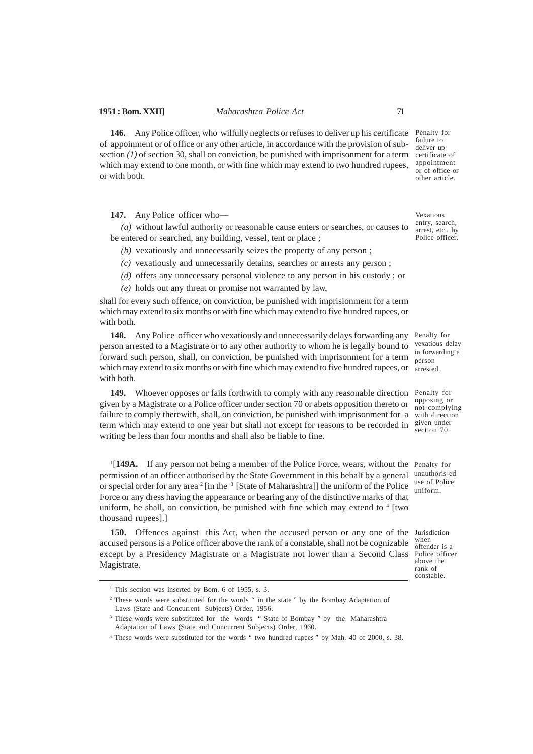**146.** Any Police officer, who wilfully neglects or refuses to deliver up his certificate of appoinment or of office or any other article, in accordance with the provision of subsection *(1)* of section 30, shall on conviction, be punished with imprisonment for a term which may extend to one month, or with fine which may extend to two hundred rupees, or with both.

**147.** Any Police officer who––

*(a)* without lawful authority or reasonable cause enters or searches, or causes to be entered or searched, any building, vessel, tent or place ;

- *(b)* vexatiously and unnecessarily seizes the property of any person ;
- *(c)* vexatiously and unnecessarily detains, searches or arrests any person ;
- *(d)* offers any unnecessary personal violence to any person in his custody ; or
- *(e)* holds out any threat or promise not warranted by law,

shall for every such offence, on conviction, be punished with imprisionment for a term which may extend to six months or with fine which may extend to five hundred rupees, or with both.

148. Any Police officer who vexatiously and unnecessarily delays forwarding any Penalty for person arrested to a Magistrate or to any other authority to whom he is legally bound to forward such person, shall, on conviction, be punished with imprisonment for a term which may extend to six months or with fine which may extend to five hundred rupees, or  $\frac{1}{\text{arrested}}$ . with both.

149. Whoever opposes or fails forthwith to comply with any reasonable direction Penalty for given by a Magistrate or a Police officer under section 70 or abets opposition thereto or failure to comply therewith, shall, on conviction, be punished with imprisonment for a with direction term which may extend to one year but shall not except for reasons to be recorded in  $\frac{\text{given under}}{\text{section 70}}$ writing be less than four months and shall also be liable to fine.

<sup>1</sup>[149A. If any person not being a member of the Police Force, wears, without the Penalty for permission of an officer authorised by the State Government in this behalf by a general unauthoris-ed or special order for any area  $2 \times 3$  [State of Maharashtra]] the uniform of the Police use of Police Force or any dress having the appearance or bearing any of the distinctive marks of that uniform, he shall, on conviction, be punished with fine which may extend to  $4$  [two thousand rupees].]

150. Offences against this Act, when the accused person or any one of the Jurisdiction accused persons is a Police officer above the rank of a constable, shall not be cognizable except by a Presidency Magistrate or a Magistrate not lower than a Second Class Police officer Magistrate.

Penalty for failure to deliver up certificate of appointment or of office or other article.

Vexatious entry, search, arrest, etc., by Police officer.

vexatious delay in forwarding a person

opposing or not complying section 70.

uniform.

when offender is a above the rank of constable.

<sup>&</sup>lt;sup>1</sup> This section was inserted by Bom. 6 of 1955, s. 3.

<sup>2</sup> These words were substituted for the words " in the state " by the Bombay Adaptation of Laws (State and Concurrent Subjects) Order, 1956.

<sup>&</sup>lt;sup>3</sup> These words were substituted for the words "State of Bombay" by the Maharashtra Adaptation of Laws (State and Concurrent Subjects) Order, 1960.

<sup>4</sup> These words were substituted for the words " two hundred rupees " by Mah. 40 of 2000, s. 38.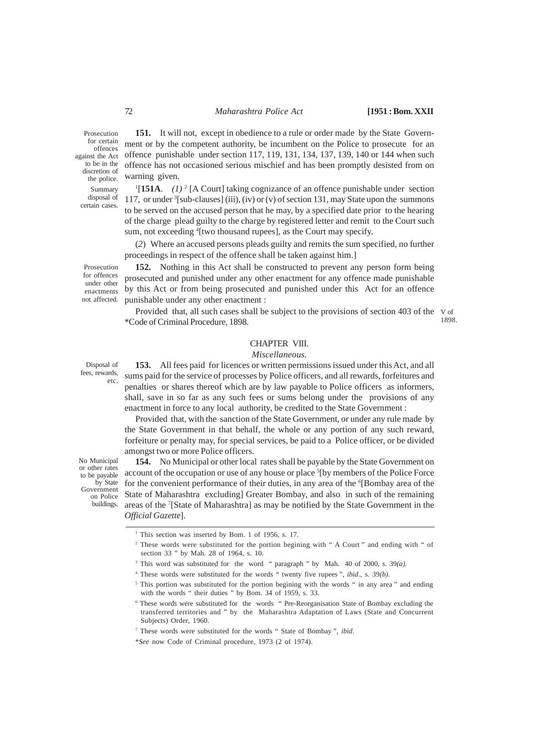Prosecution for certain offences against the Act to be in the discretion of the police. Summary disposal of certain cases.

**151.** It will not, except in obedience to a rule or order made by the State Government or by the competent authority, be incumbent on the Police to prosecute for an offence punishable under section 117, 119, 131, 134, 137, 139, 140 or 144 when such offence has not occasioned serious mischief and has been promptly desisted from on warning given.

<sup>1</sup>[151A. *(1)*<sup>2</sup> [A Court] taking cognizance of an offence punishable under section 117, or under <sup>3</sup> [sub-clauses] (iii), (iv) or (v) of section 131, may State upon the summons to be served on the accused person that he may, by a specified date prior to the hearing of the charge plead guilty to the charge by registered letter and remit to the Court such sum, not exceeding <sup>4</sup>[two thousand rupees], as the Court may specify.

(*2*) Where an accused persons pleads guilty and remits the sum specified, no further proceedings in respect of the offence shall be taken against him.]

**152.** Nothing in this Act shall be constructed to prevent any person form being prosecuted and punished under any other enactment for any offence made punishable by this Act or from being prosecuted and punished under this Act for an offence punishable under any other enactment :

Provided that, all such cases shall be subject to the provisions of section 403 of the V of \*Code of Criminal Procedure, 1898. 1898.

### CHAPTER VIII.

### *Miscellaneous.*

**153.** All fees paid for licences or written permissions issued under this Act, and all sums paid for the service of processes by Police officers, and all rewards, forfeitures and penalties or shares thereof which are by law payable to Police officers as informers, shall, save in so far as any such fees or sums belong under the provisions of any enactment in force to any local authority, be credited to the State Government :

Provided that, with the sanction of the State Government, or under any rule made by the State Government in that behalf, the whole or any portion of any such reward, forfeiture or penalty may, for special services, be paid to a Police officer, or be divided amongst two or more Police officers.

**154.** No Municipal or other local rates shall be payable by the State Government on account of the occupation or use of any house or place <sup>5</sup>[by members of the Police Force for the convenient performance of their duties, in any area of the <sup>6</sup>[Bombay area of the State of Maharashtra excluding] Greater Bombay, and also in such of the remaining areas of the <sup>7</sup> [State of Maharashtra] as may be notified by the State Government in the *Official Gazette*].

Prosecution for offences under other enactments not affected.

Disposal of fees, rewards, etc.

No Municipal or other rates to be payable by State Government on Police buildings.

<sup>&</sup>lt;sup>1</sup> This section was inserted by Bom. 1 of 1956, s. 17.

<sup>&</sup>lt;sup>2</sup> These words were substituted for the portion begining with " A Court " and ending with " of section 33 " by Mah. 28 of 1964, s. 10.

<sup>3</sup> This word was substituted for the word " paragraph " by Mah. 40 of 2000, s. 39*(a)*.

<sup>4</sup> These words were substituted for the words " twenty five rupees ", *ibid*., s. 39*(b)*.

<sup>&</sup>lt;sup>5</sup> This portion was substituted for the portion begining with the words " in any area " and ending with the words " their duties " by Bom. 34 of 1959, s. 33.

<sup>&</sup>lt;sup>6</sup> These words were substituted for the words "Pre-Reorganisation State of Bombay excluding the transferred territories and " by the Maharashtra Adaptation of Laws (State and Concurrent Subjects) Order, 1960.

<sup>7</sup> These words were substituted for the words " State of Bombay ", *ibid*.

<sup>\*</sup>*See* now Code of Criminal procedure, 1973 (2 of 1974).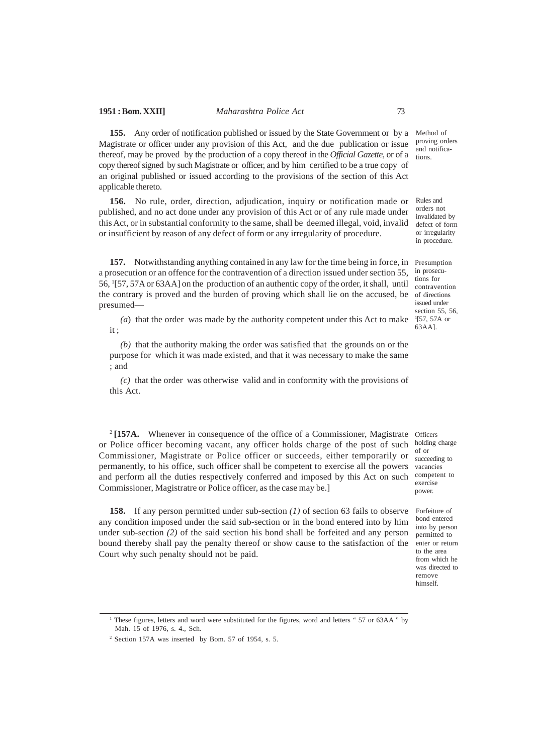**155.** Any order of notification published or issued by the State Government or by a Magistrate or officer under any provision of this Act, and the due publication or issue thereof, may be proved by the production of a copy thereof in the *Official Gazette,* or of a copy thereof signed by such Magistrate or officer, and by him certified to be a true copy of an original published or issued according to the provisions of the section of this Act applicable thereto.

**156.** No rule, order, direction, adjudication, inquiry or notification made or published, and no act done under any provision of this Act or of any rule made under this Act, or in substantial conformity to the same, shall be deemed illegal, void, invalid or insufficient by reason of any defect of form or any irregularity of procedure.

**157.** Notwithstanding anything contained in any law for the time being in force, in Presumption a prosecution or an offence for the contravention of a direction issued under section 55, 56, <sup>1</sup> [57, 57A or 63AA] on the production of an authentic copy of the order, it shall, until the contrary is proved and the burden of proving which shall lie on the accused, be of directions presumed––

*(a*) that the order was made by the authority competent under this Act to make it ;

*(b)* that the authority making the order was satisfied that the grounds on or the purpose for which it was made existed, and that it was necessary to make the same ; and

*(c)* that the order was otherwise valid and in conformity with the provisions of this Act.

<sup>2</sup>[157A. Whenever in consequence of the office of a Commissioner, Magistrate Officers or Police officer becoming vacant, any officer holds charge of the post of such holding charge Commissioner, Magistrate or Police officer or succeeds, either temporarily or permanently, to his office, such officer shall be competent to exercise all the powers and perform all the duties respectively conferred and imposed by this Act on such Commissioner, Magistratre or Police officer, as the case may be.]

**158.** If any person permitted under sub-section *(1)* of section 63 fails to observe any condition imposed under the said sub-section or in the bond entered into by him under sub-section *(2)* of the said section his bond shall be forfeited and any person bound thereby shall pay the penalty thereof or show cause to the satisfaction of the Court why such penalty should not be paid.

Method of proving orders and notifications.

Rules and orders not invalidated by defect of form or irregularity in procedure.

in prosecu tions for contravention issued under section 55, 56, 1 [57, 57A or 63AA].

of or succeeding to vacancies competent to exercise power.

Forfeiture of bond entered into by person permitted to enter or return to the area from which he was directed to remove himself.

<sup>&</sup>lt;sup>1</sup> These figures, letters and word were substituted for the figures, word and letters "57 or 63AA" by Mah. 15 of 1976, s. 4., Sch.

<sup>2</sup> Section 157A was inserted by Bom. 57 of 1954, s. 5.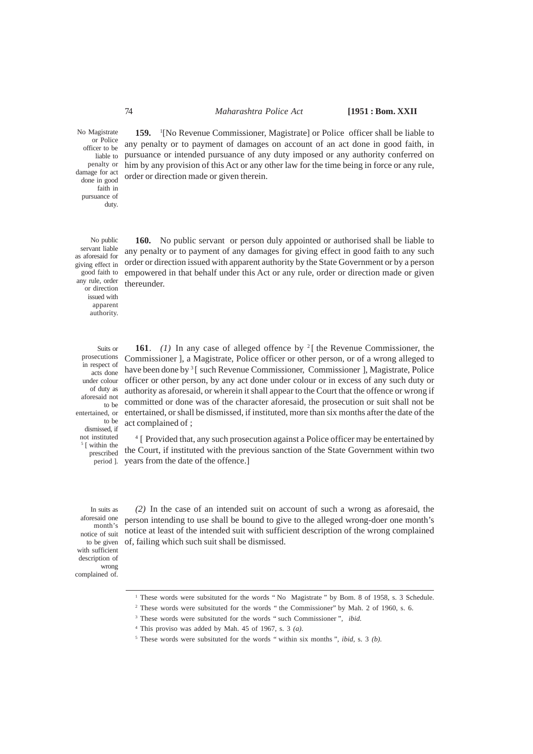order or direction made or given therein.

**159.** <sup>1</sup> [No Revenue Commissioner, Magistrate] or Police officer shall be liable to any penalty or to payment of damages on account of an act done in good faith, in pursuance or intended pursuance of any duty imposed or any authority conferred on him by any provision of this Act or any other law for the time being in force or any rule,

No Magistrate or Police officer to be liable to penalty or damage for act done in good faith in pursuance of duty.

No public servant liable as aforesaid for giving effect in good faith to any rule, order or direction issued with apparent authority.

Suits or prosecutions in respect of acts done under colour of duty as aforesaid not to be to be dismissed, if not instituted 5 [ within the prescribed

**160.** No public servant or person duly appointed or authorised shall be liable to any penalty or to payment of any damages for giving effect in good faith to any such order or direction issued with apparent authority by the State Government or by a person empowered in that behalf under this Act or any rule, order or direction made or given thereunder.

**161**. *(1)* In any case of alleged offence by <sup>2</sup> [ the Revenue Commissioner, the Commissioner ], a Magistrate, Police officer or other person, or of a wrong alleged to have been done by <sup>3</sup> [ such Revenue Commissioner, Commissioner ], Magistrate, Police officer or other person, by any act done under colour or in excess of any such duty or authority as aforesaid, or wherein it shall appear to the Court that the offence or wrong if committed or done was of the character aforesaid, the prosecution or suit shall not be entertained, or entertained, or shall be dismissed, if instituted, more than six months after the date of the act complained of ;

<sup>4</sup> [ Provided that, any such prosecution against a Police officer may be entertained by the Court, if instituted with the previous sanction of the State Government within two period ]. years from the date of the offence.]

In suits as aforesaid one month's notice of suit to be given with sufficient description of wrong complained of.

*(2)* In the case of an intended suit on account of such a wrong as aforesaid, the person intending to use shall be bound to give to the alleged wrong-doer one month's notice at least of the intended suit with sufficient description of the wrong complained of, failing which such suit shall be dismissed.

- <sup>2</sup> These words were subsituted for the words "the Commissioner" by Mah. 2 of 1960, s. 6.
- 3 These words were subsituted for the words " such Commissioner ", *ibid.*
- 4 This proviso was added by Mah. 45 of 1967, s. 3 *(a)*.
- 5 These words were subsituted for the words " within six months ", *ibid,* s. 3 *(b).*

<sup>&</sup>lt;sup>1</sup> These words were subsituted for the words "No Magistrate " by Bom. 8 of 1958, s. 3 Schedule.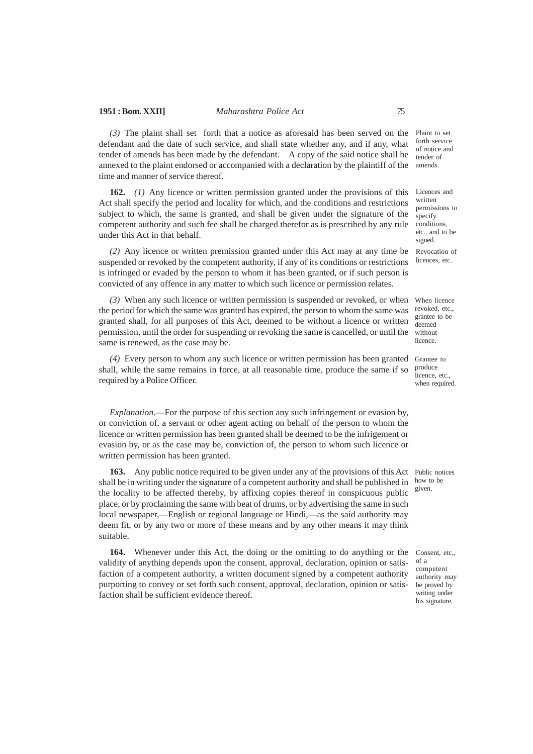*(3)* The plaint shall set forth that a notice as aforesaid has been served on the defendant and the date of such service, and shall state whether any, and if any, what tender of amends has been made by the defendant. A copy of the said notice shall be annexed to the plaint endorsed or accompanied with a declaration by the plaintiff of the time and manner of service thereof.

**162.** *(1)* Any licence or written permission granted under the provisions of this Act shall specify the period and locality for which, and the conditions and restrictions subject to which, the same is granted, and shall be given under the signature of the competent authority and such fee shall be charged therefor as is prescribed by any rule under this Act in that behalf.

*(2)* Any licence or written premission granted under this Act may at any time be suspended or revoked by the competent authority, if any of its conditions or restrictions is infringed or evaded by the person to whom it has been granted, or if such person is convicted of any offence in any matter to which such licence or permission relates.

(3) When any such licence or written permission is suspended or revoked, or when When licence the period for which the same was granted has expired, the person to whom the same was granted shall, for all purposes of this Act, deemed to be without a licence or written permission, until the order for suspending or revoking the same is cancelled, or until the same is renewed, as the case may be.

*(4)* Every person to whom any such licence or written permission has been granted Grantee to shall, while the same remains in force, at all reasonable time, produce the same if so required by a Police Officer.

*Explanation*.—For the purpose of this section any such infringement or evasion by, or conviction of, a servant or other agent acting on behalf of the person to whom the licence or written permission has been granted shall be deemed to be the infrigement or evasion by, or as the case may be, conviction of, the person to whom such licence or written permission has been granted.

**163.** Any public notice required to be given under any of the provisions of this Act Public notices shall be in writing under the signature of a competent authority and shall be published in the locality to be affected thereby, by affixing copies thereof in conspicuous public place, or by proclaiming the same with beat of drums, or by advertising the same in such local newspaper,—English or regional language or Hindi,—as the said authority may deem fit, or by any two or more of these means and by any other means it may think suitable.

**164.** Whenever under this Act, the doing or the omitting to do anything or the validity of anything depends upon the consent, approval, declaration, opinion or satisfaction of a competent authority, a written document signed by a competent authority purporting to convey or set forth such consent, approval, declaration, opinion or satisfaction shall be sufficient evidence thereof.

Plaint to set forth service of notice and tender of amends.

Licences and written permissions to specify conditions, etc., and to be signed. Revocation of

licences, etc.

revoked, etc., grantee to be deemed without licence.

produce licence, etc., when required.

how to be given.

Consent, etc., of a competent authority may be proved by writing under his signature.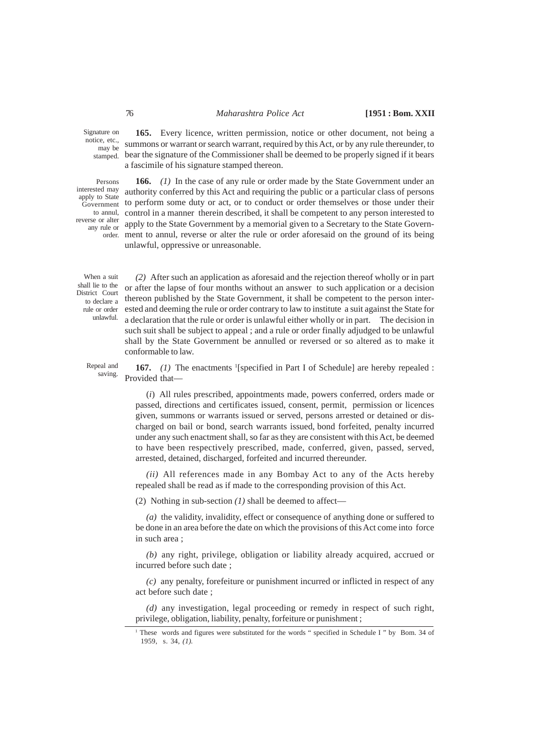Signature on notice, etc., may be stamped.

Persons interested may apply to State Government to annul, reverse or alter any rule or

**165.** Every licence, written permission, notice or other document, not being a summons or warrant or search warrant, required by this Act, or by any rule thereunder, to bear the signature of the Commissioner shall be deemed to be properly signed if it bears a fascimile of his signature stamped thereon.

**166.** *(1)* In the case of any rule or order made by the State Government under an authority conferred by this Act and requiring the public or a particular class of persons to perform some duty or act, or to conduct or order themselves or those under their control in a manner therein described, it shall be competent to any person interested to apply to the State Government by a memorial given to a Secretary to the State Government to annul, reverse or alter the rule or order aforesaid on the ground of its being order. unlawful, oppressive or unreasonable.

When a suit shall lie to the District Court to declare a rule or order unlawful.

*(2)* After such an application as aforesaid and the rejection thereof wholly or in part or after the lapse of four months without an answer to such application or a decision thereon published by the State Government, it shall be competent to the person interested and deeming the rule or order contrary to law to institute a suit against the State for a declaration that the rule or order is unlawful either wholly or in part. The decision in such suit shall be subject to appeal ; and a rule or order finally adjudged to be unlawful shall by the State Government be annulled or reversed or so altered as to make it conformable to law.

Repeal and saving.

**167.** (1) The enactments <sup>1</sup>[specified in Part I of Schedule] are hereby repealed : Provided that-

(*i*) All rules prescribed, appointments made, powers conferred, orders made or passed, directions and certificates issued, consent, permit, permission or licences given, summons or warrants issued or served, persons arrested or detained or discharged on bail or bond, search warrants issued, bond forfeited, penalty incurred under any such enactment shall, so far as they are consistent with this Act, be deemed to have been respectively prescribed, made, conferred, given, passed, served, arrested, detained, discharged, forfeited and incurred thereunder.

*(ii)* All references made in any Bombay Act to any of the Acts hereby repealed shall be read as if made to the corresponding provision of this Act.

(2) Nothing in sub-section *(1)* shall be deemed to affect––

*(a)* the validity, invalidity, effect or consequence of anything done or suffered to be done in an area before the date on which the provisions of this Act come into force in such area ;

*(b)* any right, privilege, obligation or liability already acquired, accrued or incurred before such date ;

*(c)* any penalty, forefeiture or punishment incurred or inflicted in respect of any act before such date ;

*(d)* any investigation, legal proceeding or remedy in respect of such right, privilege, obligation, liability, penalty, forfeiture or punishment ;

<sup>&</sup>lt;sup>1</sup> These words and figures were substituted for the words " specified in Schedule I " by Bom. 34 of 1959, s. 34, *(1).*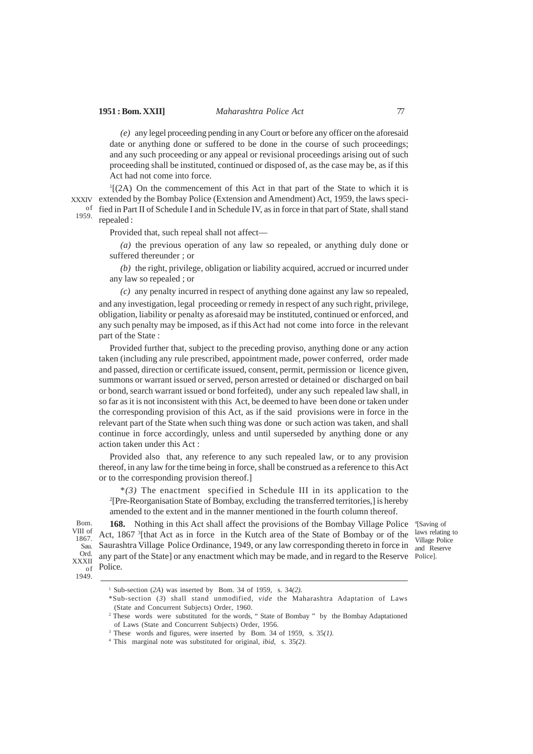*(e)* any legel proceeding pending in any Court or before any officer on the aforesaid date or anything done or suffered to be done in the course of such proceedings; and any such proceeding or any appeal or revisional proceedings arising out of such proceeding shall be instituted, continued or disposed of, as the case may be, as if this Act had not come into force.

1 [(2A) On the commencement of this Act in that part of the State to which it is XXXIV extended by the Bombay Police (Extension and Amendment) Act, 1959, the laws speciof fied in Part II of Schedule I and in Schedule IV, as in force in that part of State, shall stand repealed : 1959.

Provided that, such repeal shall not affect––

*(a)* the previous operation of any law so repealed, or anything duly done or suffered thereunder ; or

*(b)* the right, privilege, obligation or liability acquired, accrued or incurred under any law so repealed ; or

*(c)* any penalty incurred in respect of anything done against any law so repealed, and any investigation, legal proceeding or remedy in respect of any such right, privilege, obligation, liability or penalty as aforesaid may be instituted, continued or enforced, and any such penalty may be imposed, as if this Act had not come into force in the relevant part of the State :

Provided further that, subject to the preceding proviso, anything done or any action taken (including any rule prescribed, appointment made, power conferred, order made and passed, direction or certificate issued, consent, permit, permission or licence given, summons or warrant issued or served, person arrested or detained or discharged on bail or bond, search warrant issued or bond forfeited), under any such repealed law shall, in so far as it is not inconsistent with this Act, be deemed to have been done or taken under the corresponding provision of this Act, as if the said provisions were in force in the relevant part of the State when such thing was done or such action was taken, and shall continue in force accordingly, unless and until superseded by anything done or any action taken under this Act :

Provided also that, any reference to any such repealed law, or to any provision thereof, in any law for the time being in force, shall be construed as a reference to this Act or to the corresponding provision thereof.]

\**(3)* The enactment specified in Schedule III in its application to the 2 [Pre-Reorganisation State of Bombay, excluding the transferred territories,] is hereby amended to the extent and in the manner mentioned in the fourth column thereof.

Bom. VIII of 1867. Sau. Ord. XXXII of 1949.

168. Nothing in this Act shall affect the provisions of the Bombay Village Police <sup>4</sup>[Saving of Act, 1867 <sup>3</sup> [that Act as in force in the Kutch area of the State of Bombay or of the Saurashtra Village Police Ordinance, 1949, or any law corresponding thereto in force in  $\frac{v_{\text{mag}}}{\text{and} \text{Reserve}}$ any part of the State] or any enactment which may be made, and in regard to the Reserve Police]. Police.

laws relating to Village Police

<sup>2</sup> These words were substituted for the words, "State of Bombay " by the Bombay Adaptationed of Laws (State and Concurrent Subjects) Order, 1956.

<sup>1</sup> Sub-section (*2A*) was inserted by Bom. 34 of 1959, s. 34*(2).*

<sup>\*</sup>Sub-section (*3*) shall stand unmodified, *vide* the Maharashtra Adaptation of Laws (State and Concurrent Subjects) Order, 1960.

<sup>3</sup> These words and figures, were inserted by Bom. 34 of 1959, s. 35*(1).*

<sup>4</sup> This marginal note was substituted for original, *ibid,* s. 35*(2).*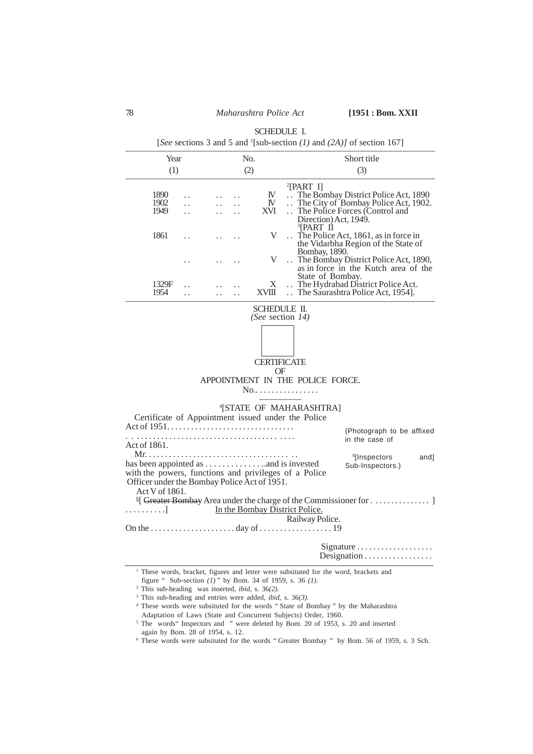|                                                                                                                                                |                                              |       | <b>SCHEDULE I.</b><br>[See sections 3 and 5 and <sup>1</sup> [sub-section $(1)$ and $(2A)$ ] of section 167]                                                                    |
|------------------------------------------------------------------------------------------------------------------------------------------------|----------------------------------------------|-------|---------------------------------------------------------------------------------------------------------------------------------------------------------------------------------|
| Year<br>(1)                                                                                                                                    |                                              | No.   | Short title                                                                                                                                                                     |
|                                                                                                                                                |                                              | (2)   | (3)                                                                                                                                                                             |
| 1890<br>1902<br>1949                                                                                                                           | $\ddot{\phantom{0}}$                         | XVI.  | $^{2}[PART I]$<br>IV<br>The Bombay District Police Act, 1890<br>The City of Bombay Police Act, 1902.<br>$\mathbb{N}$<br>The Police Forces (Control and<br>Direction) Act, 1949. |
| 1861                                                                                                                                           |                                              |       | <sup>3</sup> [PART II<br>V<br>$\therefore$ The Police Act, 1861, as in force in<br>the Vidarbha Region of the State of<br>Bombay, 1890.                                         |
|                                                                                                                                                |                                              |       | V<br>The Bombay District Police Act, 1890,<br>as in force in the Kutch area of the<br>State of Bombay.                                                                          |
| 1329F<br>1954                                                                                                                                  | $\ddot{\phantom{0}}$<br>$\ddot{\phantom{0}}$ | XVIII | The Hydrabad District Police Act.<br>X<br>The Saurashtra Police Act, 1954].                                                                                                     |
|                                                                                                                                                |                                              |       | <b>CERTIFICATE</b><br>OF<br>APPOINTMENT IN THE POLICE FORCE.<br>No<br><sup>4</sup> [STATE OF MAHARASHTRA]<br>Certificate of Appointment issued under the Police                 |
| Act of $1951$<br>Act of 1861.                                                                                                                  |                                              |       | (Photograph to be affixed<br>in the case of                                                                                                                                     |
| $Mr. \ldots$ .<br>Officer under the Bombay Police Act of 1951.<br>Act V of 1861.<br>. 1                                                        |                                              |       | <sup>5</sup> [Inspectors]<br>and]<br>Sub-Inspectors.)<br>with the powers, functions and privileges of a Police<br>In the Bombay District Police.                                |
|                                                                                                                                                |                                              |       | Railway Police.                                                                                                                                                                 |
|                                                                                                                                                |                                              |       | Designation                                                                                                                                                                     |
| <sup>2</sup> This sub-heading was inserted, <i>ibid</i> , s. $36(2)$ .<br>$3$ This sub-heading and entries were added, <i>ibid</i> , s. 36(3). |                                              |       | <sup>1</sup> These words, bracket, figures and letter were subsituted for the word, brackets and<br>figure " Sub-section $(1)$ " by Bom. 34 of 1959, s. 36 $(1)$ .              |

<sup>4</sup> These words were subsituted for the words " State of Bombay " by the Maharashtra

Adaptation of Laws (State and Concurrent Subjects) Order, 1960. <sup>5</sup> The words" Inspectors and " were deleted by Bom. 20 of 1953, s. 20 and inserted

again by Bom. 28 of 1954, s. 12.

<sup>6</sup> These words were subsituted for the words " Greater Bombay " by Bom. 56 of 1959, s. 3 Sch.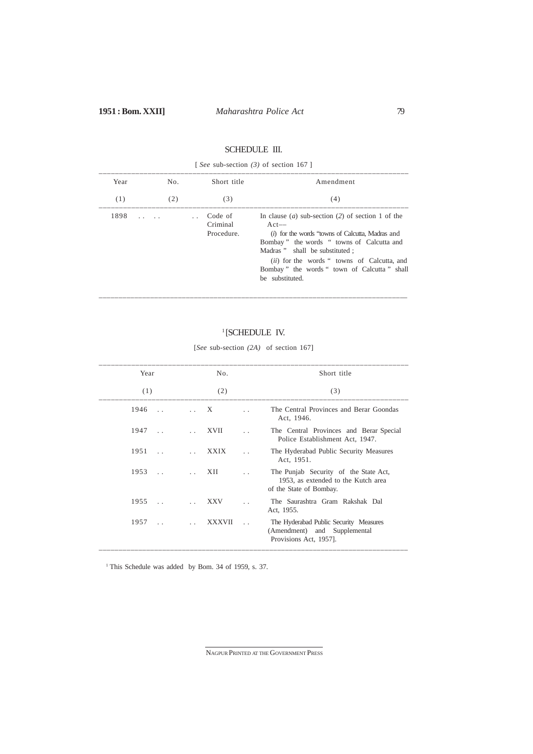# SCHEDULE III.

|      | [See sub-section $(3)$ of section 167] |                                             |                                                                                                                                                                                                                                                                                                                                  |  |  |  |  |  |
|------|----------------------------------------|---------------------------------------------|----------------------------------------------------------------------------------------------------------------------------------------------------------------------------------------------------------------------------------------------------------------------------------------------------------------------------------|--|--|--|--|--|
| Year | No.                                    | Short title                                 | Amendment                                                                                                                                                                                                                                                                                                                        |  |  |  |  |  |
| (1)  | (2)                                    | (3)                                         | (4)                                                                                                                                                                                                                                                                                                                              |  |  |  |  |  |
| 1898 | and the state                          | Code of<br>$\sim$<br>Criminal<br>Procedure. | In clause ( <i>a</i> ) sub-section (2) of section 1 of the<br>$Act--$<br>(i) for the words "towns of Calcutta, Madras and<br>Bombay" the words "towns of Calcutta and<br>Madras " shall be substituted ;<br><i>(ii)</i> for the words " towns of Calcutta, and<br>Bombay" the words " town of Calcutta" shall<br>be substituted. |  |  |  |  |  |

# ––––––––––––––––––––––––––––––––––––––––––––––––––––––––––––––––––––––––––––—

# 1 [SCHEDULE IV. [*See* sub-section *(2A)* of section 167]

| Year                 |                              | No.           |  | Short title<br>(3)                                                                                      |
|----------------------|------------------------------|---------------|--|---------------------------------------------------------------------------------------------------------|
| (1)                  |                              | (2)           |  |                                                                                                         |
| 1946<br>$\mathbf{r}$ | $\mathcal{L}(\mathcal{L})$ . | X             |  | The Central Provinces and Berar Goondas<br>Act, 1946.                                                   |
| 1947<br>$\sim$       |                              | <b>XVII</b>   |  | The Central Provinces and Berar Special<br>Police Establishment Act, 1947.                              |
| 1951<br>$\sim$       |                              | <b>XXIX</b>   |  | The Hyderabad Public Security Measures<br>Act, 1951.                                                    |
| 1953<br>$\sim$       |                              | XII           |  | The Punjab Security of the State Act,<br>1953, as extended to the Kutch area<br>of the State of Bombay. |
| 1955                 |                              | <b>XXV</b>    |  | The Saurashtra Gram Rakshak Dal<br>Act, 1955.                                                           |
| 1957                 | $\ddot{\phantom{a}}$         | <b>XXXVII</b> |  | The Hyderabad Public Security Measures<br>(Amendment) and Supplemental<br>Provisions Act, 1957].        |

<sup>1</sup> This Schedule was added by Bom. 34 of 1959, s. 37.

NAGPUR PRINTED AT THE GOVERNMENT PRESS